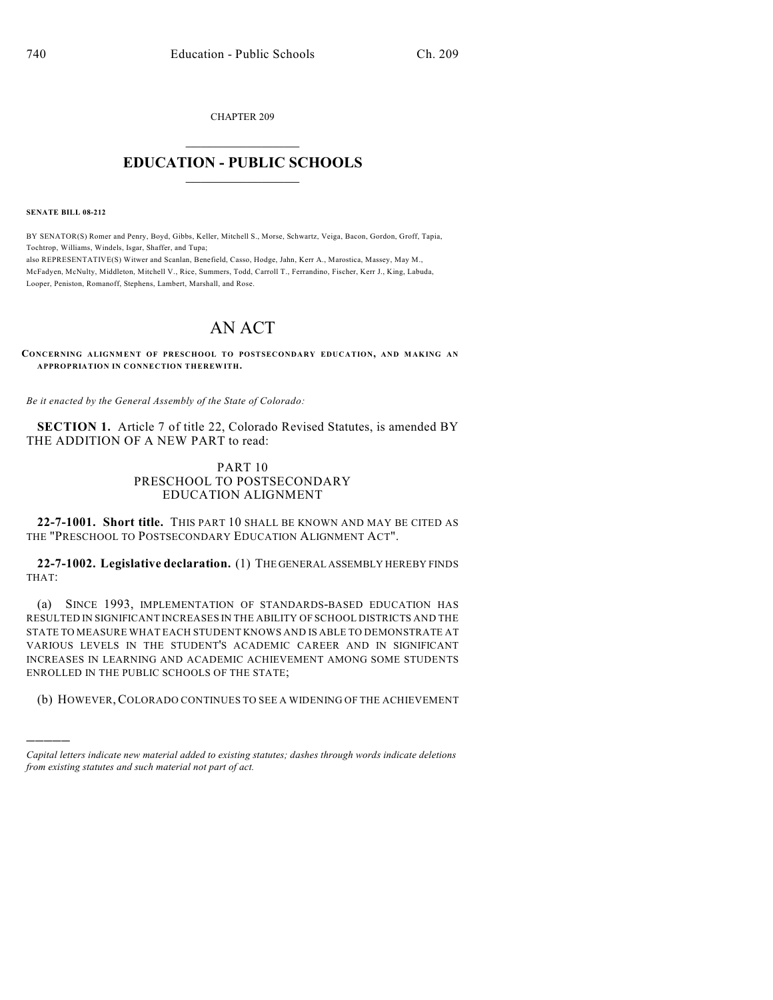CHAPTER 209

## $\overline{\phantom{a}}$  . The set of the set of the set of the set of the set of the set of the set of the set of the set of the set of the set of the set of the set of the set of the set of the set of the set of the set of the set o **EDUCATION - PUBLIC SCHOOLS**  $\_$   $\_$   $\_$   $\_$   $\_$   $\_$   $\_$   $\_$   $\_$

**SENATE BILL 08-212**

)))))

BY SENATOR(S) Romer and Penry, Boyd, Gibbs, Keller, Mitchell S., Morse, Schwartz, Veiga, Bacon, Gordon, Groff, Tapia, Tochtrop, Williams, Windels, Isgar, Shaffer, and Tupa; also REPRESENTATIVE(S) Witwer and Scanlan, Benefield, Casso, Hodge, Jahn, Kerr A., Marostica, Massey, May M., McFadyen, McNulty, Middleton, Mitchell V., Rice, Summers, Todd, Carroll T., Ferrandino, Fischer, Kerr J., King, Labuda, Looper, Peniston, Romanoff, Stephens, Lambert, Marshall, and Rose.

# AN ACT

**CONCERNING ALIGNMENT OF PRESCHOOL TO POSTSECONDARY EDUCATION, AND MAKING AN APPROPRIATION IN CONNECTION THEREWITH.**

*Be it enacted by the General Assembly of the State of Colorado:*

**SECTION 1.** Article 7 of title 22, Colorado Revised Statutes, is amended BY THE ADDITION OF A NEW PART to read:

#### PART 10 PRESCHOOL TO POSTSECONDARY EDUCATION ALIGNMENT

**22-7-1001. Short title.** THIS PART 10 SHALL BE KNOWN AND MAY BE CITED AS THE "PRESCHOOL TO POSTSECONDARY EDUCATION ALIGNMENT ACT".

**22-7-1002. Legislative declaration.** (1) THE GENERAL ASSEMBLY HEREBY FINDS THAT:

(a) SINCE 1993, IMPLEMENTATION OF STANDARDS-BASED EDUCATION HAS RESULTED IN SIGNIFICANT INCREASES IN THE ABILITY OF SCHOOL DISTRICTS AND THE STATE TO MEASURE WHAT EACH STUDENT KNOWS AND IS ABLE TO DEMONSTRATE AT VARIOUS LEVELS IN THE STUDENT'S ACADEMIC CAREER AND IN SIGNIFICANT INCREASES IN LEARNING AND ACADEMIC ACHIEVEMENT AMONG SOME STUDENTS ENROLLED IN THE PUBLIC SCHOOLS OF THE STATE;

(b) HOWEVER,COLORADO CONTINUES TO SEE A WIDENING OF THE ACHIEVEMENT

*Capital letters indicate new material added to existing statutes; dashes through words indicate deletions from existing statutes and such material not part of act.*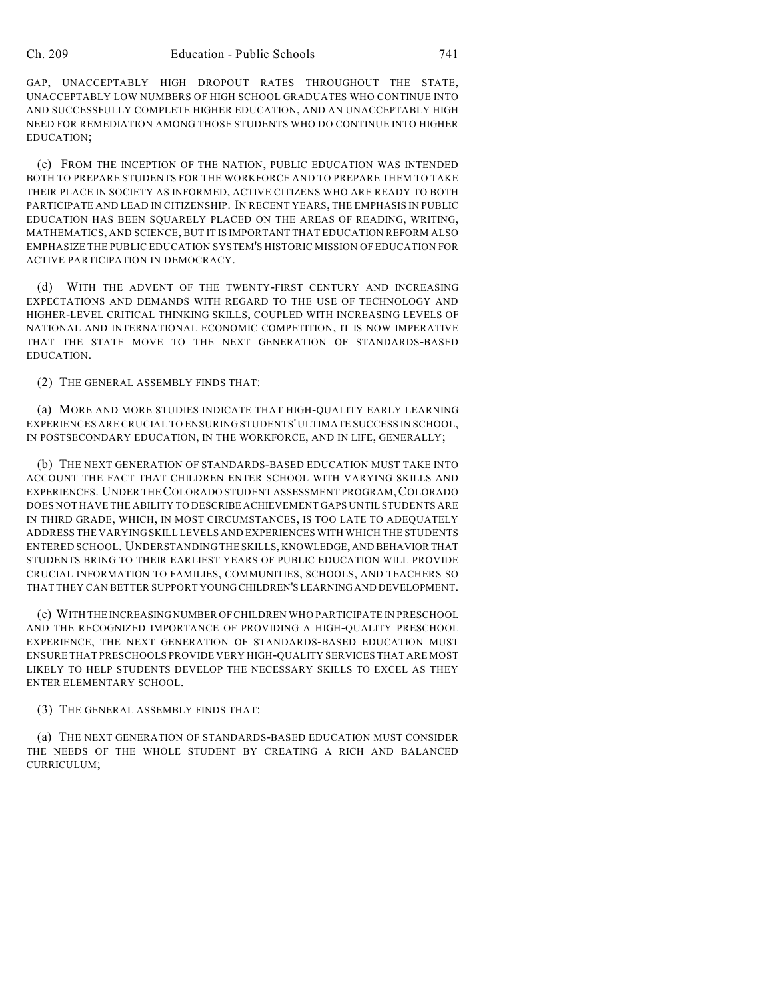GAP, UNACCEPTABLY HIGH DROPOUT RATES THROUGHOUT THE STATE, UNACCEPTABLY LOW NUMBERS OF HIGH SCHOOL GRADUATES WHO CONTINUE INTO AND SUCCESSFULLY COMPLETE HIGHER EDUCATION, AND AN UNACCEPTABLY HIGH NEED FOR REMEDIATION AMONG THOSE STUDENTS WHO DO CONTINUE INTO HIGHER EDUCATION;

(c) FROM THE INCEPTION OF THE NATION, PUBLIC EDUCATION WAS INTENDED BOTH TO PREPARE STUDENTS FOR THE WORKFORCE AND TO PREPARE THEM TO TAKE THEIR PLACE IN SOCIETY AS INFORMED, ACTIVE CITIZENS WHO ARE READY TO BOTH PARTICIPATE AND LEAD IN CITIZENSHIP. IN RECENT YEARS, THE EMPHASIS IN PUBLIC EDUCATION HAS BEEN SQUARELY PLACED ON THE AREAS OF READING, WRITING, MATHEMATICS, AND SCIENCE, BUT IT IS IMPORTANT THAT EDUCATION REFORM ALSO EMPHASIZE THE PUBLIC EDUCATION SYSTEM'S HISTORIC MISSION OF EDUCATION FOR ACTIVE PARTICIPATION IN DEMOCRACY.

(d) WITH THE ADVENT OF THE TWENTY-FIRST CENTURY AND INCREASING EXPECTATIONS AND DEMANDS WITH REGARD TO THE USE OF TECHNOLOGY AND HIGHER-LEVEL CRITICAL THINKING SKILLS, COUPLED WITH INCREASING LEVELS OF NATIONAL AND INTERNATIONAL ECONOMIC COMPETITION, IT IS NOW IMPERATIVE THAT THE STATE MOVE TO THE NEXT GENERATION OF STANDARDS-BASED EDUCATION.

(2) THE GENERAL ASSEMBLY FINDS THAT:

(a) MORE AND MORE STUDIES INDICATE THAT HIGH-QUALITY EARLY LEARNING EXPERIENCES ARE CRUCIAL TO ENSURING STUDENTS' ULTIMATE SUCCESS IN SCHOOL, IN POSTSECONDARY EDUCATION, IN THE WORKFORCE, AND IN LIFE, GENERALLY;

(b) THE NEXT GENERATION OF STANDARDS-BASED EDUCATION MUST TAKE INTO ACCOUNT THE FACT THAT CHILDREN ENTER SCHOOL WITH VARYING SKILLS AND EXPERIENCES. UNDER THE COLORADO STUDENT ASSESSMENT PROGRAM,COLORADO DOES NOT HAVE THE ABILITY TO DESCRIBE ACHIEVEMENT GAPS UNTIL STUDENTS ARE IN THIRD GRADE, WHICH, IN MOST CIRCUMSTANCES, IS TOO LATE TO ADEQUATELY ADDRESS THE VARYING SKILL LEVELS AND EXPERIENCES WITH WHICH THE STUDENTS ENTERED SCHOOL. UNDERSTANDING THE SKILLS, KNOWLEDGE, AND BEHAVIOR THAT STUDENTS BRING TO THEIR EARLIEST YEARS OF PUBLIC EDUCATION WILL PROVIDE CRUCIAL INFORMATION TO FAMILIES, COMMUNITIES, SCHOOLS, AND TEACHERS SO THAT THEY CAN BETTER SUPPORT YOUNG CHILDREN'S LEARNING AND DEVELOPMENT.

(c) WITH THE INCREASING NUMBER OF CHILDREN WHO PARTICIPATE IN PRESCHOOL AND THE RECOGNIZED IMPORTANCE OF PROVIDING A HIGH-QUALITY PRESCHOOL EXPERIENCE, THE NEXT GENERATION OF STANDARDS-BASED EDUCATION MUST ENSURE THAT PRESCHOOLS PROVIDE VERY HIGH-QUALITY SERVICES THAT ARE MOST LIKELY TO HELP STUDENTS DEVELOP THE NECESSARY SKILLS TO EXCEL AS THEY ENTER ELEMENTARY SCHOOL.

(3) THE GENERAL ASSEMBLY FINDS THAT:

(a) THE NEXT GENERATION OF STANDARDS-BASED EDUCATION MUST CONSIDER THE NEEDS OF THE WHOLE STUDENT BY CREATING A RICH AND BALANCED CURRICULUM;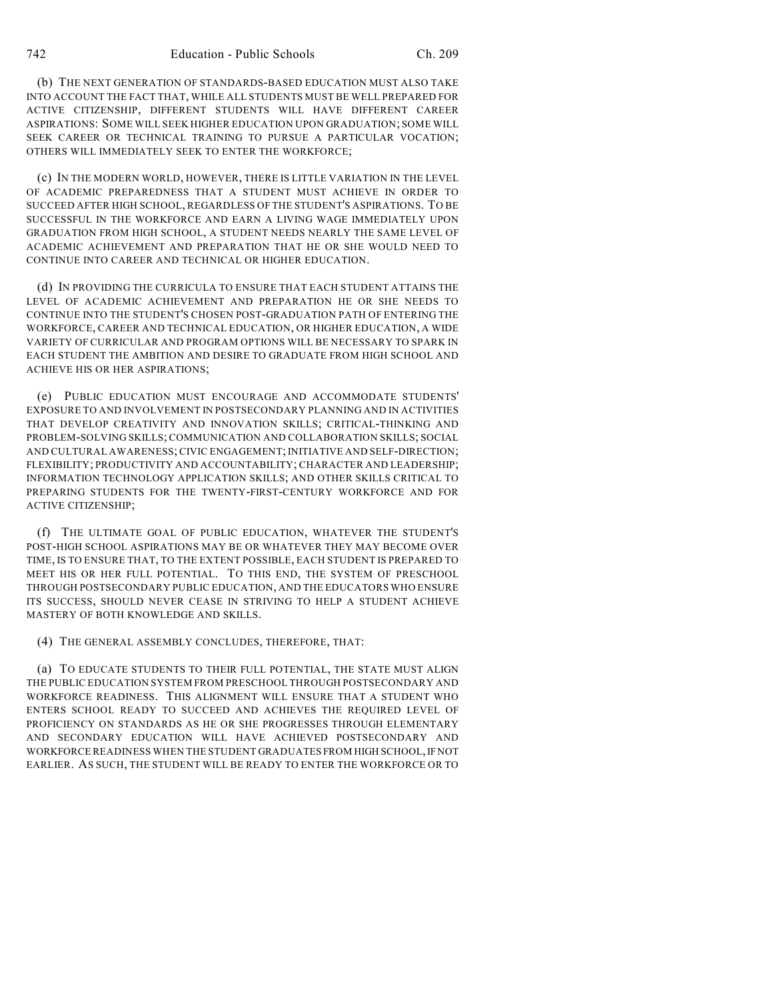(b) THE NEXT GENERATION OF STANDARDS-BASED EDUCATION MUST ALSO TAKE INTO ACCOUNT THE FACT THAT, WHILE ALL STUDENTS MUST BE WELL PREPARED FOR ACTIVE CITIZENSHIP, DIFFERENT STUDENTS WILL HAVE DIFFERENT CAREER ASPIRATIONS: SOME WILL SEEK HIGHER EDUCATION UPON GRADUATION; SOME WILL SEEK CAREER OR TECHNICAL TRAINING TO PURSUE A PARTICULAR VOCATION; OTHERS WILL IMMEDIATELY SEEK TO ENTER THE WORKFORCE;

(c) IN THE MODERN WORLD, HOWEVER, THERE IS LITTLE VARIATION IN THE LEVEL OF ACADEMIC PREPAREDNESS THAT A STUDENT MUST ACHIEVE IN ORDER TO SUCCEED AFTER HIGH SCHOOL, REGARDLESS OF THE STUDENT'S ASPIRATIONS. TO BE SUCCESSFUL IN THE WORKFORCE AND EARN A LIVING WAGE IMMEDIATELY UPON GRADUATION FROM HIGH SCHOOL, A STUDENT NEEDS NEARLY THE SAME LEVEL OF ACADEMIC ACHIEVEMENT AND PREPARATION THAT HE OR SHE WOULD NEED TO CONTINUE INTO CAREER AND TECHNICAL OR HIGHER EDUCATION.

(d) IN PROVIDING THE CURRICULA TO ENSURE THAT EACH STUDENT ATTAINS THE LEVEL OF ACADEMIC ACHIEVEMENT AND PREPARATION HE OR SHE NEEDS TO CONTINUE INTO THE STUDENT'S CHOSEN POST-GRADUATION PATH OF ENTERING THE WORKFORCE, CAREER AND TECHNICAL EDUCATION, OR HIGHER EDUCATION, A WIDE VARIETY OF CURRICULAR AND PROGRAM OPTIONS WILL BE NECESSARY TO SPARK IN EACH STUDENT THE AMBITION AND DESIRE TO GRADUATE FROM HIGH SCHOOL AND ACHIEVE HIS OR HER ASPIRATIONS;

(e) PUBLIC EDUCATION MUST ENCOURAGE AND ACCOMMODATE STUDENTS' EXPOSURE TO AND INVOLVEMENT IN POSTSECONDARY PLANNING AND IN ACTIVITIES THAT DEVELOP CREATIVITY AND INNOVATION SKILLS; CRITICAL-THINKING AND PROBLEM-SOLVING SKILLS; COMMUNICATION AND COLLABORATION SKILLS; SOCIAL AND CULTURAL AWARENESS; CIVIC ENGAGEMENT; INITIATIVE AND SELF-DIRECTION; FLEXIBILITY; PRODUCTIVITY AND ACCOUNTABILITY; CHARACTER AND LEADERSHIP; INFORMATION TECHNOLOGY APPLICATION SKILLS; AND OTHER SKILLS CRITICAL TO PREPARING STUDENTS FOR THE TWENTY-FIRST-CENTURY WORKFORCE AND FOR ACTIVE CITIZENSHIP;

(f) THE ULTIMATE GOAL OF PUBLIC EDUCATION, WHATEVER THE STUDENT'S POST-HIGH SCHOOL ASPIRATIONS MAY BE OR WHATEVER THEY MAY BECOME OVER TIME, IS TO ENSURE THAT, TO THE EXTENT POSSIBLE, EACH STUDENT IS PREPARED TO MEET HIS OR HER FULL POTENTIAL. TO THIS END, THE SYSTEM OF PRESCHOOL THROUGH POSTSECONDARY PUBLIC EDUCATION, AND THE EDUCATORS WHO ENSURE ITS SUCCESS, SHOULD NEVER CEASE IN STRIVING TO HELP A STUDENT ACHIEVE MASTERY OF BOTH KNOWLEDGE AND SKILLS.

(4) THE GENERAL ASSEMBLY CONCLUDES, THEREFORE, THAT:

(a) TO EDUCATE STUDENTS TO THEIR FULL POTENTIAL, THE STATE MUST ALIGN THE PUBLIC EDUCATION SYSTEM FROM PRESCHOOL THROUGH POSTSECONDARY AND WORKFORCE READINESS. THIS ALIGNMENT WILL ENSURE THAT A STUDENT WHO ENTERS SCHOOL READY TO SUCCEED AND ACHIEVES THE REQUIRED LEVEL OF PROFICIENCY ON STANDARDS AS HE OR SHE PROGRESSES THROUGH ELEMENTARY AND SECONDARY EDUCATION WILL HAVE ACHIEVED POSTSECONDARY AND WORKFORCE READINESS WHEN THE STUDENT GRADUATES FROM HIGH SCHOOL, IF NOT EARLIER. AS SUCH, THE STUDENT WILL BE READY TO ENTER THE WORKFORCE OR TO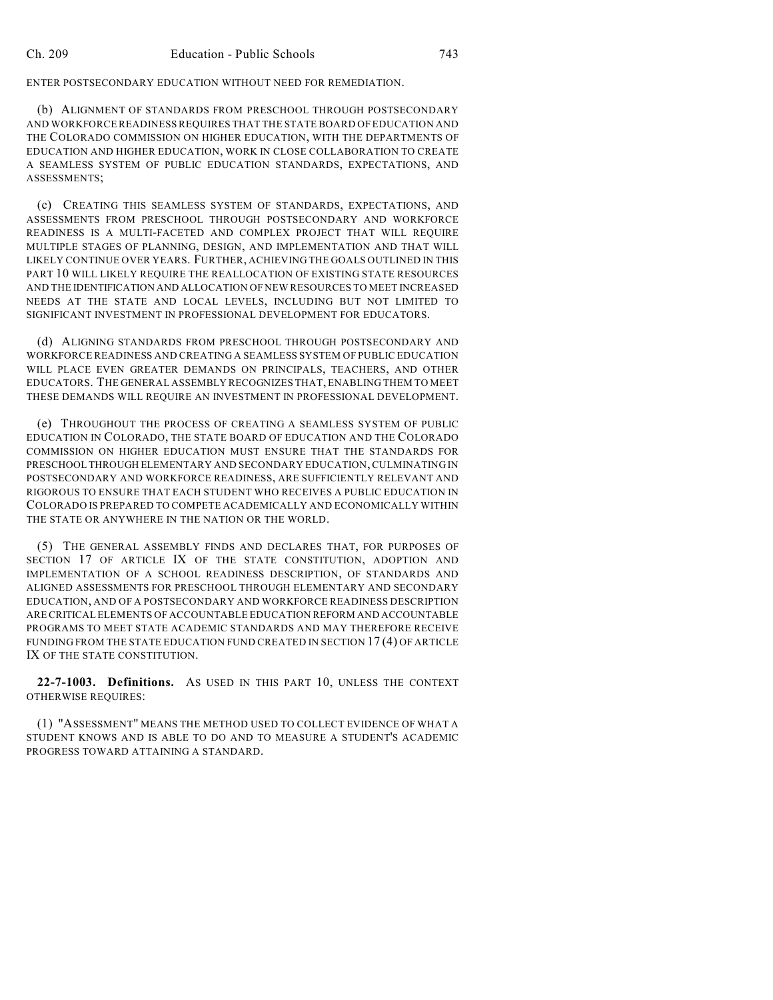ENTER POSTSECONDARY EDUCATION WITHOUT NEED FOR REMEDIATION.

(b) ALIGNMENT OF STANDARDS FROM PRESCHOOL THROUGH POSTSECONDARY AND WORKFORCE READINESS REQUIRES THAT THE STATE BOARD OF EDUCATION AND THE COLORADO COMMISSION ON HIGHER EDUCATION, WITH THE DEPARTMENTS OF EDUCATION AND HIGHER EDUCATION, WORK IN CLOSE COLLABORATION TO CREATE A SEAMLESS SYSTEM OF PUBLIC EDUCATION STANDARDS, EXPECTATIONS, AND ASSESSMENTS;

(c) CREATING THIS SEAMLESS SYSTEM OF STANDARDS, EXPECTATIONS, AND ASSESSMENTS FROM PRESCHOOL THROUGH POSTSECONDARY AND WORKFORCE READINESS IS A MULTI-FACETED AND COMPLEX PROJECT THAT WILL REQUIRE MULTIPLE STAGES OF PLANNING, DESIGN, AND IMPLEMENTATION AND THAT WILL LIKELY CONTINUE OVER YEARS. FURTHER, ACHIEVING THE GOALS OUTLINED IN THIS PART 10 WILL LIKELY REQUIRE THE REALLOCATION OF EXISTING STATE RESOURCES AND THE IDENTIFICATION AND ALLOCATION OF NEW RESOURCES TO MEET INCREASED NEEDS AT THE STATE AND LOCAL LEVELS, INCLUDING BUT NOT LIMITED TO SIGNIFICANT INVESTMENT IN PROFESSIONAL DEVELOPMENT FOR EDUCATORS.

(d) ALIGNING STANDARDS FROM PRESCHOOL THROUGH POSTSECONDARY AND WORKFORCE READINESS AND CREATING A SEAMLESS SYSTEM OF PUBLIC EDUCATION WILL PLACE EVEN GREATER DEMANDS ON PRINCIPALS, TEACHERS, AND OTHER EDUCATORS. THE GENERAL ASSEMBLY RECOGNIZES THAT, ENABLING THEM TO MEET THESE DEMANDS WILL REQUIRE AN INVESTMENT IN PROFESSIONAL DEVELOPMENT.

(e) THROUGHOUT THE PROCESS OF CREATING A SEAMLESS SYSTEM OF PUBLIC EDUCATION IN COLORADO, THE STATE BOARD OF EDUCATION AND THE COLORADO COMMISSION ON HIGHER EDUCATION MUST ENSURE THAT THE STANDARDS FOR PRESCHOOL THROUGH ELEMENTARY AND SECONDARY EDUCATION, CULMINATING IN POSTSECONDARY AND WORKFORCE READINESS, ARE SUFFICIENTLY RELEVANT AND RIGOROUS TO ENSURE THAT EACH STUDENT WHO RECEIVES A PUBLIC EDUCATION IN COLORADO IS PREPARED TO COMPETE ACADEMICALLY AND ECONOMICALLY WITHIN THE STATE OR ANYWHERE IN THE NATION OR THE WORLD.

(5) THE GENERAL ASSEMBLY FINDS AND DECLARES THAT, FOR PURPOSES OF SECTION 17 OF ARTICLE IX OF THE STATE CONSTITUTION, ADOPTION AND IMPLEMENTATION OF A SCHOOL READINESS DESCRIPTION, OF STANDARDS AND ALIGNED ASSESSMENTS FOR PRESCHOOL THROUGH ELEMENTARY AND SECONDARY EDUCATION, AND OF A POSTSECONDARY AND WORKFORCE READINESS DESCRIPTION ARE CRITICAL ELEMENTS OF ACCOUNTABLE EDUCATION REFORM AND ACCOUNTABLE PROGRAMS TO MEET STATE ACADEMIC STANDARDS AND MAY THEREFORE RECEIVE FUNDING FROM THE STATE EDUCATION FUND CREATED IN SECTION 17 (4) OF ARTICLE IX OF THE STATE CONSTITUTION.

**22-7-1003. Definitions.** AS USED IN THIS PART 10, UNLESS THE CONTEXT OTHERWISE REQUIRES:

(1) "ASSESSMENT" MEANS THE METHOD USED TO COLLECT EVIDENCE OF WHAT A STUDENT KNOWS AND IS ABLE TO DO AND TO MEASURE A STUDENT'S ACADEMIC PROGRESS TOWARD ATTAINING A STANDARD.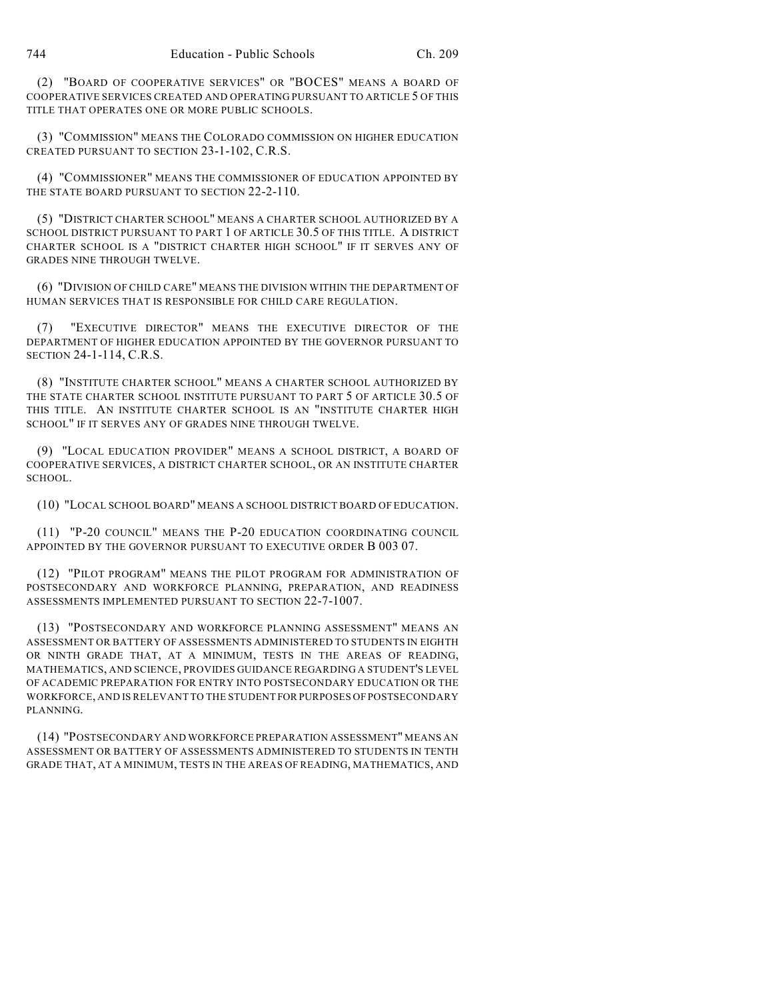(2) "BOARD OF COOPERATIVE SERVICES" OR "BOCES" MEANS A BOARD OF COOPERATIVE SERVICES CREATED AND OPERATING PURSUANT TO ARTICLE 5 OF THIS TITLE THAT OPERATES ONE OR MORE PUBLIC SCHOOLS.

(3) "COMMISSION" MEANS THE COLORADO COMMISSION ON HIGHER EDUCATION CREATED PURSUANT TO SECTION 23-1-102, C.R.S.

(4) "COMMISSIONER" MEANS THE COMMISSIONER OF EDUCATION APPOINTED BY THE STATE BOARD PURSUANT TO SECTION 22-2-110.

(5) "DISTRICT CHARTER SCHOOL" MEANS A CHARTER SCHOOL AUTHORIZED BY A SCHOOL DISTRICT PURSUANT TO PART 1 OF ARTICLE 30.5 OF THIS TITLE. A DISTRICT CHARTER SCHOOL IS A "DISTRICT CHARTER HIGH SCHOOL" IF IT SERVES ANY OF GRADES NINE THROUGH TWELVE.

(6) "DIVISION OF CHILD CARE" MEANS THE DIVISION WITHIN THE DEPARTMENT OF HUMAN SERVICES THAT IS RESPONSIBLE FOR CHILD CARE REGULATION.

(7) "EXECUTIVE DIRECTOR" MEANS THE EXECUTIVE DIRECTOR OF THE DEPARTMENT OF HIGHER EDUCATION APPOINTED BY THE GOVERNOR PURSUANT TO SECTION 24-1-114, C.R.S.

(8) "INSTITUTE CHARTER SCHOOL" MEANS A CHARTER SCHOOL AUTHORIZED BY THE STATE CHARTER SCHOOL INSTITUTE PURSUANT TO PART 5 OF ARTICLE 30.5 OF THIS TITLE. AN INSTITUTE CHARTER SCHOOL IS AN "INSTITUTE CHARTER HIGH SCHOOL" IF IT SERVES ANY OF GRADES NINE THROUGH TWELVE.

(9) "LOCAL EDUCATION PROVIDER" MEANS A SCHOOL DISTRICT, A BOARD OF COOPERATIVE SERVICES, A DISTRICT CHARTER SCHOOL, OR AN INSTITUTE CHARTER SCHOOL.

(10) "LOCAL SCHOOL BOARD" MEANS A SCHOOL DISTRICT BOARD OF EDUCATION.

(11) "P-20 COUNCIL" MEANS THE P-20 EDUCATION COORDINATING COUNCIL APPOINTED BY THE GOVERNOR PURSUANT TO EXECUTIVE ORDER B 003 07.

(12) "PILOT PROGRAM" MEANS THE PILOT PROGRAM FOR ADMINISTRATION OF POSTSECONDARY AND WORKFORCE PLANNING, PREPARATION, AND READINESS ASSESSMENTS IMPLEMENTED PURSUANT TO SECTION 22-7-1007.

(13) "POSTSECONDARY AND WORKFORCE PLANNING ASSESSMENT" MEANS AN ASSESSMENT OR BATTERY OF ASSESSMENTS ADMINISTERED TO STUDENTS IN EIGHTH OR NINTH GRADE THAT, AT A MINIMUM, TESTS IN THE AREAS OF READING, MATHEMATICS, AND SCIENCE, PROVIDES GUIDANCE REGARDING A STUDENT'S LEVEL OF ACADEMIC PREPARATION FOR ENTRY INTO POSTSECONDARY EDUCATION OR THE WORKFORCE, AND IS RELEVANT TO THE STUDENT FOR PURPOSES OF POSTSECONDARY PLANNING.

(14) "POSTSECONDARY AND WORKFORCE PREPARATION ASSESSMENT" MEANS AN ASSESSMENT OR BATTERY OF ASSESSMENTS ADMINISTERED TO STUDENTS IN TENTH GRADE THAT, AT A MINIMUM, TESTS IN THE AREAS OF READING, MATHEMATICS, AND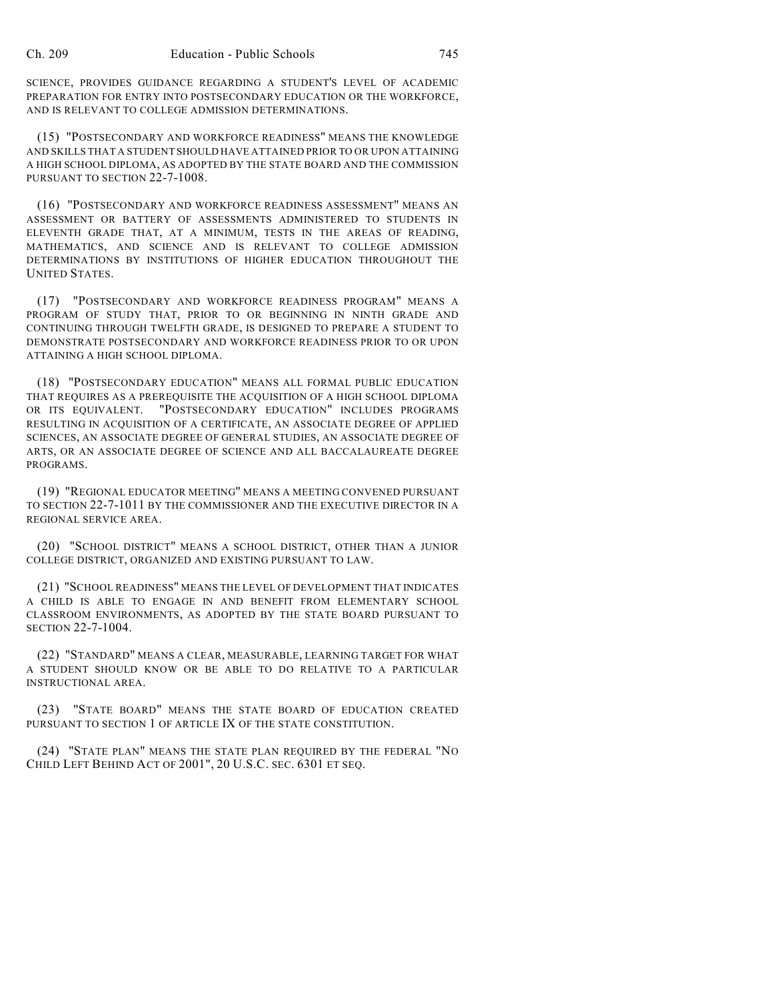SCIENCE, PROVIDES GUIDANCE REGARDING A STUDENT'S LEVEL OF ACADEMIC PREPARATION FOR ENTRY INTO POSTSECONDARY EDUCATION OR THE WORKFORCE, AND IS RELEVANT TO COLLEGE ADMISSION DETERMINATIONS.

(15) "POSTSECONDARY AND WORKFORCE READINESS" MEANS THE KNOWLEDGE AND SKILLS THAT A STUDENT SHOULD HAVE ATTAINED PRIOR TO OR UPON ATTAINING A HIGH SCHOOL DIPLOMA, AS ADOPTED BY THE STATE BOARD AND THE COMMISSION PURSUANT TO SECTION 22-7-1008.

(16) "POSTSECONDARY AND WORKFORCE READINESS ASSESSMENT" MEANS AN ASSESSMENT OR BATTERY OF ASSESSMENTS ADMINISTERED TO STUDENTS IN ELEVENTH GRADE THAT, AT A MINIMUM, TESTS IN THE AREAS OF READING, MATHEMATICS, AND SCIENCE AND IS RELEVANT TO COLLEGE ADMISSION DETERMINATIONS BY INSTITUTIONS OF HIGHER EDUCATION THROUGHOUT THE UNITED STATES.

(17) "POSTSECONDARY AND WORKFORCE READINESS PROGRAM" MEANS A PROGRAM OF STUDY THAT, PRIOR TO OR BEGINNING IN NINTH GRADE AND CONTINUING THROUGH TWELFTH GRADE, IS DESIGNED TO PREPARE A STUDENT TO DEMONSTRATE POSTSECONDARY AND WORKFORCE READINESS PRIOR TO OR UPON ATTAINING A HIGH SCHOOL DIPLOMA.

(18) "POSTSECONDARY EDUCATION" MEANS ALL FORMAL PUBLIC EDUCATION THAT REQUIRES AS A PREREQUISITE THE ACQUISITION OF A HIGH SCHOOL DIPLOMA OR ITS EQUIVALENT. "POSTSECONDARY EDUCATION" INCLUDES PROGRAMS RESULTING IN ACQUISITION OF A CERTIFICATE, AN ASSOCIATE DEGREE OF APPLIED SCIENCES, AN ASSOCIATE DEGREE OF GENERAL STUDIES, AN ASSOCIATE DEGREE OF ARTS, OR AN ASSOCIATE DEGREE OF SCIENCE AND ALL BACCALAUREATE DEGREE PROGRAMS.

(19) "REGIONAL EDUCATOR MEETING" MEANS A MEETING CONVENED PURSUANT TO SECTION 22-7-1011 BY THE COMMISSIONER AND THE EXECUTIVE DIRECTOR IN A REGIONAL SERVICE AREA.

(20) "SCHOOL DISTRICT" MEANS A SCHOOL DISTRICT, OTHER THAN A JUNIOR COLLEGE DISTRICT, ORGANIZED AND EXISTING PURSUANT TO LAW.

(21) "SCHOOL READINESS" MEANS THE LEVEL OF DEVELOPMENT THAT INDICATES A CHILD IS ABLE TO ENGAGE IN AND BENEFIT FROM ELEMENTARY SCHOOL CLASSROOM ENVIRONMENTS, AS ADOPTED BY THE STATE BOARD PURSUANT TO SECTION 22-7-1004.

(22) "STANDARD" MEANS A CLEAR, MEASURABLE, LEARNING TARGET FOR WHAT A STUDENT SHOULD KNOW OR BE ABLE TO DO RELATIVE TO A PARTICULAR INSTRUCTIONAL AREA.

(23) "STATE BOARD" MEANS THE STATE BOARD OF EDUCATION CREATED PURSUANT TO SECTION 1 OF ARTICLE IX OF THE STATE CONSTITUTION.

(24) "STATE PLAN" MEANS THE STATE PLAN REQUIRED BY THE FEDERAL "NO CHILD LEFT BEHIND ACT OF 2001", 20 U.S.C. SEC. 6301 ET SEQ.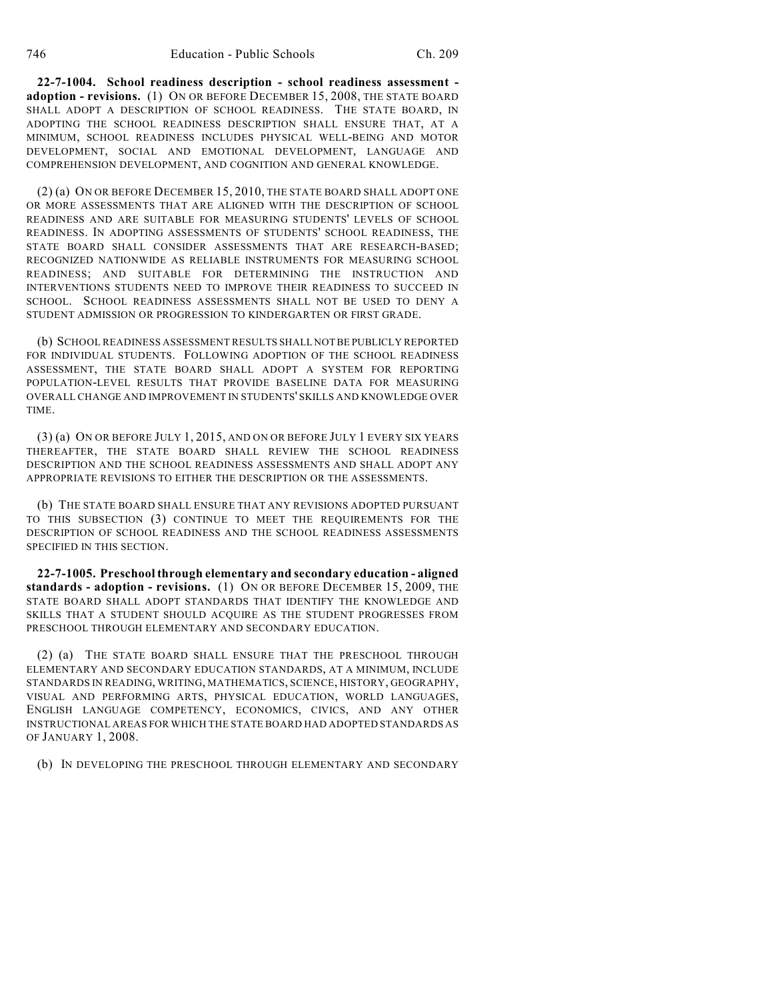**22-7-1004. School readiness description - school readiness assessment adoption - revisions.** (1) ON OR BEFORE DECEMBER 15, 2008, THE STATE BOARD SHALL ADOPT A DESCRIPTION OF SCHOOL READINESS. THE STATE BOARD, IN ADOPTING THE SCHOOL READINESS DESCRIPTION SHALL ENSURE THAT, AT A MINIMUM, SCHOOL READINESS INCLUDES PHYSICAL WELL-BEING AND MOTOR DEVELOPMENT, SOCIAL AND EMOTIONAL DEVELOPMENT, LANGUAGE AND COMPREHENSION DEVELOPMENT, AND COGNITION AND GENERAL KNOWLEDGE.

(2) (a) ON OR BEFORE DECEMBER 15, 2010, THE STATE BOARD SHALL ADOPT ONE OR MORE ASSESSMENTS THAT ARE ALIGNED WITH THE DESCRIPTION OF SCHOOL READINESS AND ARE SUITABLE FOR MEASURING STUDENTS' LEVELS OF SCHOOL READINESS. IN ADOPTING ASSESSMENTS OF STUDENTS' SCHOOL READINESS, THE STATE BOARD SHALL CONSIDER ASSESSMENTS THAT ARE RESEARCH-BASED; RECOGNIZED NATIONWIDE AS RELIABLE INSTRUMENTS FOR MEASURING SCHOOL READINESS; AND SUITABLE FOR DETERMINING THE INSTRUCTION AND INTERVENTIONS STUDENTS NEED TO IMPROVE THEIR READINESS TO SUCCEED IN SCHOOL. SCHOOL READINESS ASSESSMENTS SHALL NOT BE USED TO DENY A STUDENT ADMISSION OR PROGRESSION TO KINDERGARTEN OR FIRST GRADE.

(b) SCHOOL READINESS ASSESSMENT RESULTS SHALL NOT BE PUBLICLY REPORTED FOR INDIVIDUAL STUDENTS. FOLLOWING ADOPTION OF THE SCHOOL READINESS ASSESSMENT, THE STATE BOARD SHALL ADOPT A SYSTEM FOR REPORTING POPULATION-LEVEL RESULTS THAT PROVIDE BASELINE DATA FOR MEASURING OVERALL CHANGE AND IMPROVEMENT IN STUDENTS' SKILLS AND KNOWLEDGE OVER TIME.

(3) (a) ON OR BEFORE JULY 1, 2015, AND ON OR BEFORE JULY 1 EVERY SIX YEARS THEREAFTER, THE STATE BOARD SHALL REVIEW THE SCHOOL READINESS DESCRIPTION AND THE SCHOOL READINESS ASSESSMENTS AND SHALL ADOPT ANY APPROPRIATE REVISIONS TO EITHER THE DESCRIPTION OR THE ASSESSMENTS.

(b) THE STATE BOARD SHALL ENSURE THAT ANY REVISIONS ADOPTED PURSUANT TO THIS SUBSECTION (3) CONTINUE TO MEET THE REQUIREMENTS FOR THE DESCRIPTION OF SCHOOL READINESS AND THE SCHOOL READINESS ASSESSMENTS SPECIFIED IN THIS SECTION.

**22-7-1005. Preschool through elementary and secondary education - aligned standards - adoption - revisions.** (1) ON OR BEFORE DECEMBER 15, 2009, THE STATE BOARD SHALL ADOPT STANDARDS THAT IDENTIFY THE KNOWLEDGE AND SKILLS THAT A STUDENT SHOULD ACQUIRE AS THE STUDENT PROGRESSES FROM PRESCHOOL THROUGH ELEMENTARY AND SECONDARY EDUCATION.

(2) (a) THE STATE BOARD SHALL ENSURE THAT THE PRESCHOOL THROUGH ELEMENTARY AND SECONDARY EDUCATION STANDARDS, AT A MINIMUM, INCLUDE STANDARDS IN READING, WRITING, MATHEMATICS, SCIENCE, HISTORY, GEOGRAPHY, VISUAL AND PERFORMING ARTS, PHYSICAL EDUCATION, WORLD LANGUAGES, ENGLISH LANGUAGE COMPETENCY, ECONOMICS, CIVICS, AND ANY OTHER INSTRUCTIONAL AREAS FOR WHICH THE STATE BOARD HAD ADOPTED STANDARDS AS OF JANUARY 1, 2008.

(b) IN DEVELOPING THE PRESCHOOL THROUGH ELEMENTARY AND SECONDARY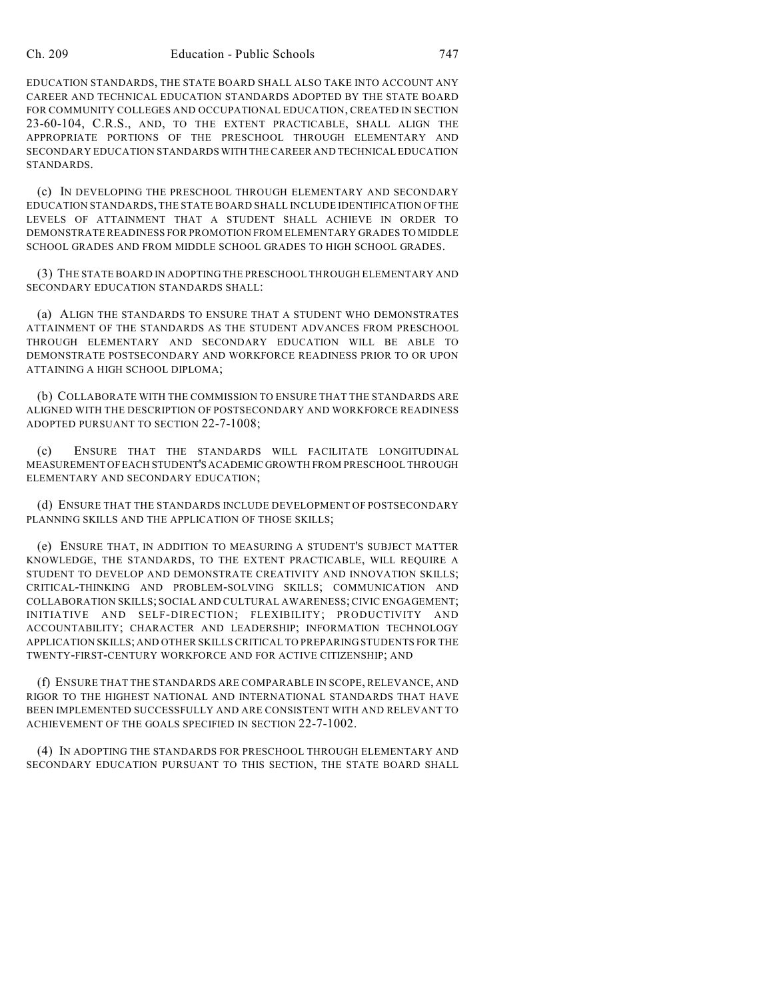EDUCATION STANDARDS, THE STATE BOARD SHALL ALSO TAKE INTO ACCOUNT ANY CAREER AND TECHNICAL EDUCATION STANDARDS ADOPTED BY THE STATE BOARD FOR COMMUNITY COLLEGES AND OCCUPATIONAL EDUCATION, CREATED IN SECTION 23-60-104, C.R.S., AND, TO THE EXTENT PRACTICABLE, SHALL ALIGN THE APPROPRIATE PORTIONS OF THE PRESCHOOL THROUGH ELEMENTARY AND SECONDARY EDUCATION STANDARDS WITH THE CAREER AND TECHNICAL EDUCATION STANDARDS.

(c) IN DEVELOPING THE PRESCHOOL THROUGH ELEMENTARY AND SECONDARY EDUCATION STANDARDS, THE STATE BOARD SHALL INCLUDE IDENTIFICATION OF THE LEVELS OF ATTAINMENT THAT A STUDENT SHALL ACHIEVE IN ORDER TO DEMONSTRATE READINESS FOR PROMOTION FROM ELEMENTARY GRADES TO MIDDLE SCHOOL GRADES AND FROM MIDDLE SCHOOL GRADES TO HIGH SCHOOL GRADES.

(3) THE STATE BOARD IN ADOPTING THE PRESCHOOL THROUGH ELEMENTARY AND SECONDARY EDUCATION STANDARDS SHALL:

(a) ALIGN THE STANDARDS TO ENSURE THAT A STUDENT WHO DEMONSTRATES ATTAINMENT OF THE STANDARDS AS THE STUDENT ADVANCES FROM PRESCHOOL THROUGH ELEMENTARY AND SECONDARY EDUCATION WILL BE ABLE TO DEMONSTRATE POSTSECONDARY AND WORKFORCE READINESS PRIOR TO OR UPON ATTAINING A HIGH SCHOOL DIPLOMA;

(b) COLLABORATE WITH THE COMMISSION TO ENSURE THAT THE STANDARDS ARE ALIGNED WITH THE DESCRIPTION OF POSTSECONDARY AND WORKFORCE READINESS ADOPTED PURSUANT TO SECTION 22-7-1008;

(c) ENSURE THAT THE STANDARDS WILL FACILITATE LONGITUDINAL MEASUREMENT OF EACH STUDENT'S ACADEMIC GROWTH FROM PRESCHOOL THROUGH ELEMENTARY AND SECONDARY EDUCATION;

(d) ENSURE THAT THE STANDARDS INCLUDE DEVELOPMENT OF POSTSECONDARY PLANNING SKILLS AND THE APPLICATION OF THOSE SKILLS;

(e) ENSURE THAT, IN ADDITION TO MEASURING A STUDENT'S SUBJECT MATTER KNOWLEDGE, THE STANDARDS, TO THE EXTENT PRACTICABLE, WILL REQUIRE A STUDENT TO DEVELOP AND DEMONSTRATE CREATIVITY AND INNOVATION SKILLS; CRITICAL-THINKING AND PROBLEM-SOLVING SKILLS; COMMUNICATION AND COLLABORATION SKILLS; SOCIAL AND CULTURAL AWARENESS; CIVIC ENGAGEMENT; INITIATIVE AND SELF-DIRECTION; FLEXIBILITY; PRODUCTIVITY AND ACCOUNTABILITY; CHARACTER AND LEADERSHIP; INFORMATION TECHNOLOGY APPLICATION SKILLS; AND OTHER SKILLS CRITICAL TO PREPARING STUDENTS FOR THE TWENTY-FIRST-CENTURY WORKFORCE AND FOR ACTIVE CITIZENSHIP; AND

(f) ENSURE THAT THE STANDARDS ARE COMPARABLE IN SCOPE, RELEVANCE, AND RIGOR TO THE HIGHEST NATIONAL AND INTERNATIONAL STANDARDS THAT HAVE BEEN IMPLEMENTED SUCCESSFULLY AND ARE CONSISTENT WITH AND RELEVANT TO ACHIEVEMENT OF THE GOALS SPECIFIED IN SECTION 22-7-1002.

(4) IN ADOPTING THE STANDARDS FOR PRESCHOOL THROUGH ELEMENTARY AND SECONDARY EDUCATION PURSUANT TO THIS SECTION, THE STATE BOARD SHALL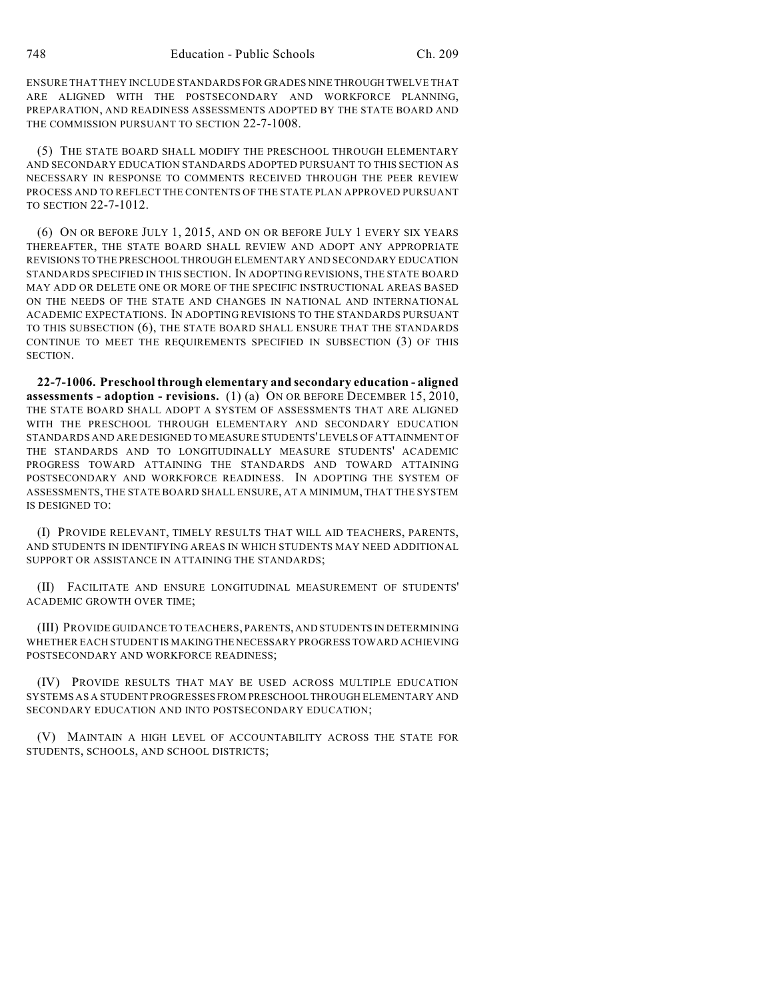ENSURE THAT THEY INCLUDE STANDARDS FOR GRADES NINE THROUGH TWELVE THAT ARE ALIGNED WITH THE POSTSECONDARY AND WORKFORCE PLANNING, PREPARATION, AND READINESS ASSESSMENTS ADOPTED BY THE STATE BOARD AND THE COMMISSION PURSUANT TO SECTION 22-7-1008.

(5) THE STATE BOARD SHALL MODIFY THE PRESCHOOL THROUGH ELEMENTARY AND SECONDARY EDUCATION STANDARDS ADOPTED PURSUANT TO THIS SECTION AS NECESSARY IN RESPONSE TO COMMENTS RECEIVED THROUGH THE PEER REVIEW PROCESS AND TO REFLECT THE CONTENTS OF THE STATE PLAN APPROVED PURSUANT TO SECTION 22-7-1012.

(6) ON OR BEFORE JULY 1, 2015, AND ON OR BEFORE JULY 1 EVERY SIX YEARS THEREAFTER, THE STATE BOARD SHALL REVIEW AND ADOPT ANY APPROPRIATE REVISIONS TO THE PRESCHOOL THROUGH ELEMENTARY AND SECONDARY EDUCATION STANDARDS SPECIFIED IN THIS SECTION. IN ADOPTING REVISIONS, THE STATE BOARD MAY ADD OR DELETE ONE OR MORE OF THE SPECIFIC INSTRUCTIONAL AREAS BASED ON THE NEEDS OF THE STATE AND CHANGES IN NATIONAL AND INTERNATIONAL ACADEMIC EXPECTATIONS. IN ADOPTING REVISIONS TO THE STANDARDS PURSUANT TO THIS SUBSECTION (6), THE STATE BOARD SHALL ENSURE THAT THE STANDARDS CONTINUE TO MEET THE REQUIREMENTS SPECIFIED IN SUBSECTION (3) OF THIS SECTION.

**22-7-1006. Preschool through elementary and secondary education - aligned assessments - adoption - revisions.** (1) (a) ON OR BEFORE DECEMBER 15, 2010, THE STATE BOARD SHALL ADOPT A SYSTEM OF ASSESSMENTS THAT ARE ALIGNED WITH THE PRESCHOOL THROUGH ELEMENTARY AND SECONDARY EDUCATION STANDARDS AND ARE DESIGNED TO MEASURE STUDENTS' LEVELS OF ATTAINMENT OF THE STANDARDS AND TO LONGITUDINALLY MEASURE STUDENTS' ACADEMIC PROGRESS TOWARD ATTAINING THE STANDARDS AND TOWARD ATTAINING POSTSECONDARY AND WORKFORCE READINESS. IN ADOPTING THE SYSTEM OF ASSESSMENTS, THE STATE BOARD SHALL ENSURE, AT A MINIMUM, THAT THE SYSTEM IS DESIGNED TO:

(I) PROVIDE RELEVANT, TIMELY RESULTS THAT WILL AID TEACHERS, PARENTS, AND STUDENTS IN IDENTIFYING AREAS IN WHICH STUDENTS MAY NEED ADDITIONAL SUPPORT OR ASSISTANCE IN ATTAINING THE STANDARDS;

(II) FACILITATE AND ENSURE LONGITUDINAL MEASUREMENT OF STUDENTS' ACADEMIC GROWTH OVER TIME;

(III) PROVIDE GUIDANCE TO TEACHERS, PARENTS, AND STUDENTS IN DETERMINING WHETHER EACH STUDENT IS MAKING THE NECESSARY PROGRESS TOWARD ACHIEVING POSTSECONDARY AND WORKFORCE READINESS;

(IV) PROVIDE RESULTS THAT MAY BE USED ACROSS MULTIPLE EDUCATION SYSTEMS AS A STUDENT PROGRESSES FROM PRESCHOOL THROUGH ELEMENTARY AND SECONDARY EDUCATION AND INTO POSTSECONDARY EDUCATION;

(V) MAINTAIN A HIGH LEVEL OF ACCOUNTABILITY ACROSS THE STATE FOR STUDENTS, SCHOOLS, AND SCHOOL DISTRICTS;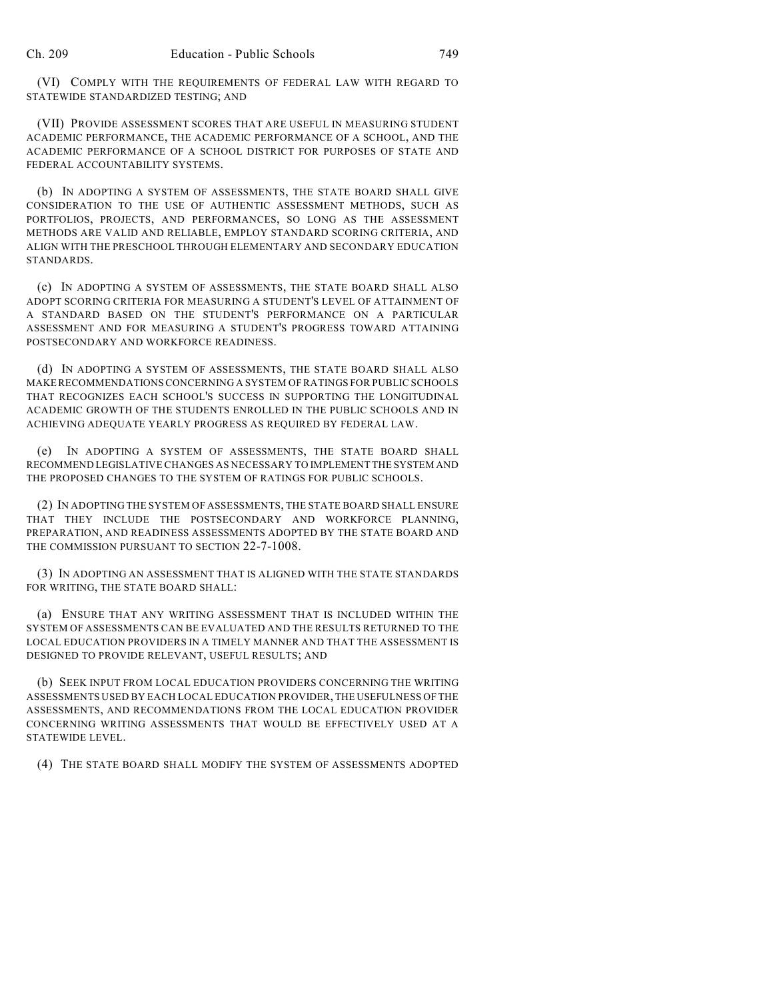(VI) COMPLY WITH THE REQUIREMENTS OF FEDERAL LAW WITH REGARD TO STATEWIDE STANDARDIZED TESTING; AND

(VII) PROVIDE ASSESSMENT SCORES THAT ARE USEFUL IN MEASURING STUDENT ACADEMIC PERFORMANCE, THE ACADEMIC PERFORMANCE OF A SCHOOL, AND THE ACADEMIC PERFORMANCE OF A SCHOOL DISTRICT FOR PURPOSES OF STATE AND FEDERAL ACCOUNTABILITY SYSTEMS.

(b) IN ADOPTING A SYSTEM OF ASSESSMENTS, THE STATE BOARD SHALL GIVE CONSIDERATION TO THE USE OF AUTHENTIC ASSESSMENT METHODS, SUCH AS PORTFOLIOS, PROJECTS, AND PERFORMANCES, SO LONG AS THE ASSESSMENT METHODS ARE VALID AND RELIABLE, EMPLOY STANDARD SCORING CRITERIA, AND ALIGN WITH THE PRESCHOOL THROUGH ELEMENTARY AND SECONDARY EDUCATION STANDARDS.

(c) IN ADOPTING A SYSTEM OF ASSESSMENTS, THE STATE BOARD SHALL ALSO ADOPT SCORING CRITERIA FOR MEASURING A STUDENT'S LEVEL OF ATTAINMENT OF A STANDARD BASED ON THE STUDENT'S PERFORMANCE ON A PARTICULAR ASSESSMENT AND FOR MEASURING A STUDENT'S PROGRESS TOWARD ATTAINING POSTSECONDARY AND WORKFORCE READINESS.

(d) IN ADOPTING A SYSTEM OF ASSESSMENTS, THE STATE BOARD SHALL ALSO MAKE RECOMMENDATIONS CONCERNING A SYSTEM OF RATINGS FOR PUBLIC SCHOOLS THAT RECOGNIZES EACH SCHOOL'S SUCCESS IN SUPPORTING THE LONGITUDINAL ACADEMIC GROWTH OF THE STUDENTS ENROLLED IN THE PUBLIC SCHOOLS AND IN ACHIEVING ADEQUATE YEARLY PROGRESS AS REQUIRED BY FEDERAL LAW.

(e) IN ADOPTING A SYSTEM OF ASSESSMENTS, THE STATE BOARD SHALL RECOMMEND LEGISLATIVE CHANGES AS NECESSARY TO IMPLEMENT THE SYSTEM AND THE PROPOSED CHANGES TO THE SYSTEM OF RATINGS FOR PUBLIC SCHOOLS.

(2) IN ADOPTING THE SYSTEM OF ASSESSMENTS, THE STATE BOARD SHALL ENSURE THAT THEY INCLUDE THE POSTSECONDARY AND WORKFORCE PLANNING, PREPARATION, AND READINESS ASSESSMENTS ADOPTED BY THE STATE BOARD AND THE COMMISSION PURSUANT TO SECTION 22-7-1008.

(3) IN ADOPTING AN ASSESSMENT THAT IS ALIGNED WITH THE STATE STANDARDS FOR WRITING, THE STATE BOARD SHALL:

(a) ENSURE THAT ANY WRITING ASSESSMENT THAT IS INCLUDED WITHIN THE SYSTEM OF ASSESSMENTS CAN BE EVALUATED AND THE RESULTS RETURNED TO THE LOCAL EDUCATION PROVIDERS IN A TIMELY MANNER AND THAT THE ASSESSMENT IS DESIGNED TO PROVIDE RELEVANT, USEFUL RESULTS; AND

(b) SEEK INPUT FROM LOCAL EDUCATION PROVIDERS CONCERNING THE WRITING ASSESSMENTS USED BY EACH LOCAL EDUCATION PROVIDER, THE USEFULNESS OF THE ASSESSMENTS, AND RECOMMENDATIONS FROM THE LOCAL EDUCATION PROVIDER CONCERNING WRITING ASSESSMENTS THAT WOULD BE EFFECTIVELY USED AT A STATEWIDE LEVEL.

(4) THE STATE BOARD SHALL MODIFY THE SYSTEM OF ASSESSMENTS ADOPTED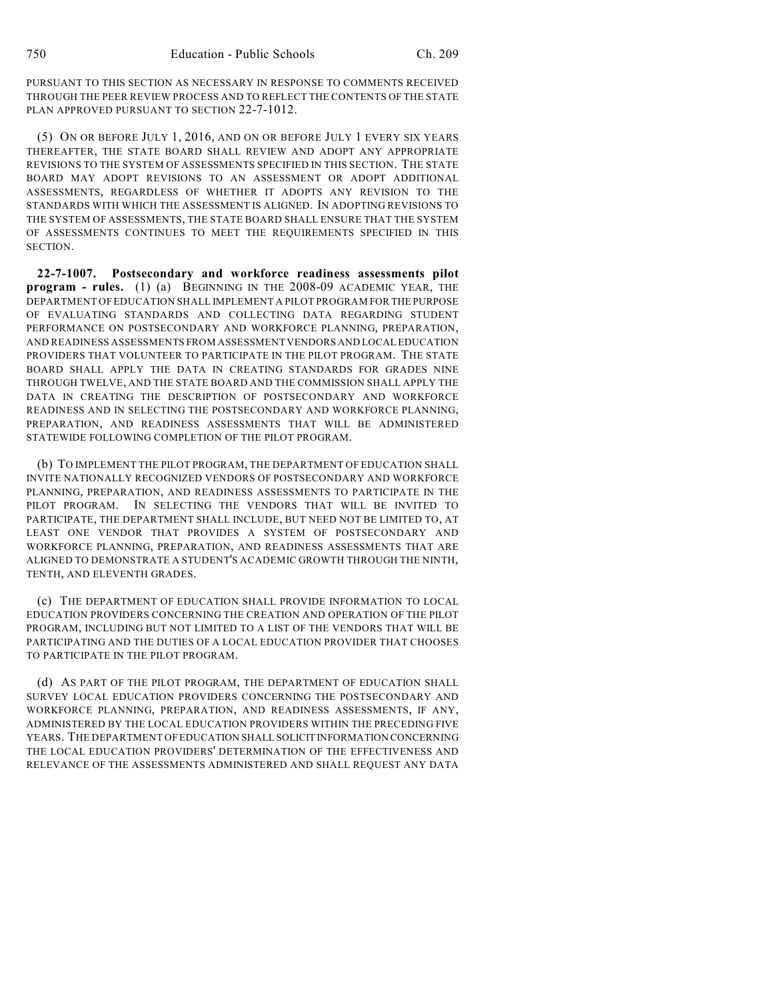PURSUANT TO THIS SECTION AS NECESSARY IN RESPONSE TO COMMENTS RECEIVED THROUGH THE PEER REVIEW PROCESS AND TO REFLECT THE CONTENTS OF THE STATE PLAN APPROVED PURSUANT TO SECTION 22-7-1012.

(5) ON OR BEFORE JULY 1, 2016, AND ON OR BEFORE JULY 1 EVERY SIX YEARS THEREAFTER, THE STATE BOARD SHALL REVIEW AND ADOPT ANY APPROPRIATE REVISIONS TO THE SYSTEM OF ASSESSMENTS SPECIFIED IN THIS SECTION. THE STATE BOARD MAY ADOPT REVISIONS TO AN ASSESSMENT OR ADOPT ADDITIONAL ASSESSMENTS, REGARDLESS OF WHETHER IT ADOPTS ANY REVISION TO THE STANDARDS WITH WHICH THE ASSESSMENT IS ALIGNED. IN ADOPTING REVISIONS TO THE SYSTEM OF ASSESSMENTS, THE STATE BOARD SHALL ENSURE THAT THE SYSTEM OF ASSESSMENTS CONTINUES TO MEET THE REQUIREMENTS SPECIFIED IN THIS SECTION.

**22-7-1007. Postsecondary and workforce readiness assessments pilot program - rules.** (1) (a) BEGINNING IN THE 2008-09 ACADEMIC YEAR, THE DEPARTMENT OF EDUCATION SHALL IMPLEMENT A PILOT PROGRAM FOR THE PURPOSE OF EVALUATING STANDARDS AND COLLECTING DATA REGARDING STUDENT PERFORMANCE ON POSTSECONDARY AND WORKFORCE PLANNING, PREPARATION, AND READINESS ASSESSMENTS FROM ASSESSMENT VENDORS AND LOCAL EDUCATION PROVIDERS THAT VOLUNTEER TO PARTICIPATE IN THE PILOT PROGRAM. THE STATE BOARD SHALL APPLY THE DATA IN CREATING STANDARDS FOR GRADES NINE THROUGH TWELVE, AND THE STATE BOARD AND THE COMMISSION SHALL APPLY THE DATA IN CREATING THE DESCRIPTION OF POSTSECONDARY AND WORKFORCE READINESS AND IN SELECTING THE POSTSECONDARY AND WORKFORCE PLANNING, PREPARATION, AND READINESS ASSESSMENTS THAT WILL BE ADMINISTERED STATEWIDE FOLLOWING COMPLETION OF THE PILOT PROGRAM.

(b) TO IMPLEMENT THE PILOT PROGRAM, THE DEPARTMENT OF EDUCATION SHALL INVITE NATIONALLY RECOGNIZED VENDORS OF POSTSECONDARY AND WORKFORCE PLANNING, PREPARATION, AND READINESS ASSESSMENTS TO PARTICIPATE IN THE PILOT PROGRAM. IN SELECTING THE VENDORS THAT WILL BE INVITED TO PARTICIPATE, THE DEPARTMENT SHALL INCLUDE, BUT NEED NOT BE LIMITED TO, AT LEAST ONE VENDOR THAT PROVIDES A SYSTEM OF POSTSECONDARY AND WORKFORCE PLANNING, PREPARATION, AND READINESS ASSESSMENTS THAT ARE ALIGNED TO DEMONSTRATE A STUDENT'S ACADEMIC GROWTH THROUGH THE NINTH, TENTH, AND ELEVENTH GRADES.

(c) THE DEPARTMENT OF EDUCATION SHALL PROVIDE INFORMATION TO LOCAL EDUCATION PROVIDERS CONCERNING THE CREATION AND OPERATION OF THE PILOT PROGRAM, INCLUDING BUT NOT LIMITED TO A LIST OF THE VENDORS THAT WILL BE PARTICIPATING AND THE DUTIES OF A LOCAL EDUCATION PROVIDER THAT CHOOSES TO PARTICIPATE IN THE PILOT PROGRAM.

(d) AS PART OF THE PILOT PROGRAM, THE DEPARTMENT OF EDUCATION SHALL SURVEY LOCAL EDUCATION PROVIDERS CONCERNING THE POSTSECONDARY AND WORKFORCE PLANNING, PREPARATION, AND READINESS ASSESSMENTS, IF ANY, ADMINISTERED BY THE LOCAL EDUCATION PROVIDERS WITHIN THE PRECEDING FIVE YEARS. THE DEPARTMENT OF EDUCATION SHALL SOLICIT INFORMATION CONCERNING THE LOCAL EDUCATION PROVIDERS' DETERMINATION OF THE EFFECTIVENESS AND RELEVANCE OF THE ASSESSMENTS ADMINISTERED AND SHALL REQUEST ANY DATA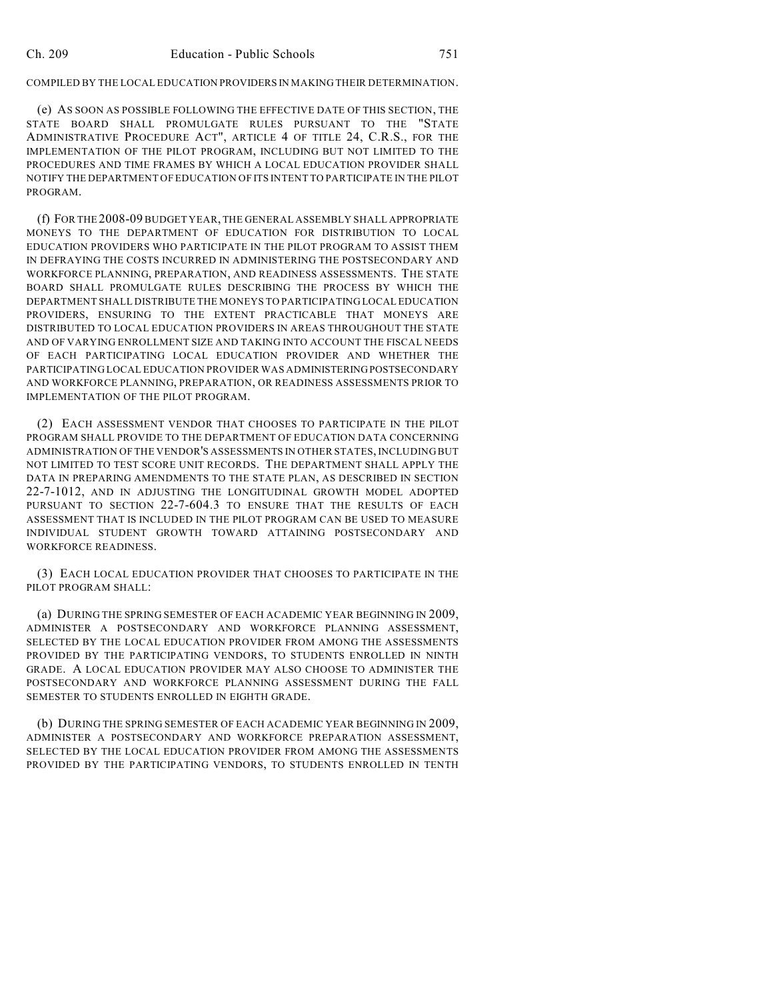#### COMPILED BY THE LOCAL EDUCATION PROVIDERS IN MAKING THEIR DETERMINATION.

(e) AS SOON AS POSSIBLE FOLLOWING THE EFFECTIVE DATE OF THIS SECTION, THE STATE BOARD SHALL PROMULGATE RULES PURSUANT TO THE "STATE ADMINISTRATIVE PROCEDURE ACT", ARTICLE 4 OF TITLE 24, C.R.S., FOR THE IMPLEMENTATION OF THE PILOT PROGRAM, INCLUDING BUT NOT LIMITED TO THE PROCEDURES AND TIME FRAMES BY WHICH A LOCAL EDUCATION PROVIDER SHALL NOTIFY THE DEPARTMENT OF EDUCATION OF ITS INTENT TO PARTICIPATE IN THE PILOT PROGRAM.

(f) FOR THE 2008-09 BUDGET YEAR, THE GENERAL ASSEMBLY SHALL APPROPRIATE MONEYS TO THE DEPARTMENT OF EDUCATION FOR DISTRIBUTION TO LOCAL EDUCATION PROVIDERS WHO PARTICIPATE IN THE PILOT PROGRAM TO ASSIST THEM IN DEFRAYING THE COSTS INCURRED IN ADMINISTERING THE POSTSECONDARY AND WORKFORCE PLANNING, PREPARATION, AND READINESS ASSESSMENTS. THE STATE BOARD SHALL PROMULGATE RULES DESCRIBING THE PROCESS BY WHICH THE DEPARTMENT SHALL DISTRIBUTE THE MONEYS TO PARTICIPATING LOCAL EDUCATION PROVIDERS, ENSURING TO THE EXTENT PRACTICABLE THAT MONEYS ARE DISTRIBUTED TO LOCAL EDUCATION PROVIDERS IN AREAS THROUGHOUT THE STATE AND OF VARYING ENROLLMENT SIZE AND TAKING INTO ACCOUNT THE FISCAL NEEDS OF EACH PARTICIPATING LOCAL EDUCATION PROVIDER AND WHETHER THE PARTICIPATING LOCAL EDUCATION PROVIDER WAS ADMINISTERING POSTSECONDARY AND WORKFORCE PLANNING, PREPARATION, OR READINESS ASSESSMENTS PRIOR TO IMPLEMENTATION OF THE PILOT PROGRAM.

(2) EACH ASSESSMENT VENDOR THAT CHOOSES TO PARTICIPATE IN THE PILOT PROGRAM SHALL PROVIDE TO THE DEPARTMENT OF EDUCATION DATA CONCERNING ADMINISTRATION OF THE VENDOR'S ASSESSMENTS IN OTHER STATES, INCLUDING BUT NOT LIMITED TO TEST SCORE UNIT RECORDS. THE DEPARTMENT SHALL APPLY THE DATA IN PREPARING AMENDMENTS TO THE STATE PLAN, AS DESCRIBED IN SECTION 22-7-1012, AND IN ADJUSTING THE LONGITUDINAL GROWTH MODEL ADOPTED PURSUANT TO SECTION 22-7-604.3 TO ENSURE THAT THE RESULTS OF EACH ASSESSMENT THAT IS INCLUDED IN THE PILOT PROGRAM CAN BE USED TO MEASURE INDIVIDUAL STUDENT GROWTH TOWARD ATTAINING POSTSECONDARY AND WORKFORCE READINESS.

(3) EACH LOCAL EDUCATION PROVIDER THAT CHOOSES TO PARTICIPATE IN THE PILOT PROGRAM SHALL:

(a) DURING THE SPRING SEMESTER OF EACH ACADEMIC YEAR BEGINNING IN 2009, ADMINISTER A POSTSECONDARY AND WORKFORCE PLANNING ASSESSMENT, SELECTED BY THE LOCAL EDUCATION PROVIDER FROM AMONG THE ASSESSMENTS PROVIDED BY THE PARTICIPATING VENDORS, TO STUDENTS ENROLLED IN NINTH GRADE. A LOCAL EDUCATION PROVIDER MAY ALSO CHOOSE TO ADMINISTER THE POSTSECONDARY AND WORKFORCE PLANNING ASSESSMENT DURING THE FALL SEMESTER TO STUDENTS ENROLLED IN EIGHTH GRADE.

(b) DURING THE SPRING SEMESTER OF EACH ACADEMIC YEAR BEGINNING IN 2009, ADMINISTER A POSTSECONDARY AND WORKFORCE PREPARATION ASSESSMENT, SELECTED BY THE LOCAL EDUCATION PROVIDER FROM AMONG THE ASSESSMENTS PROVIDED BY THE PARTICIPATING VENDORS, TO STUDENTS ENROLLED IN TENTH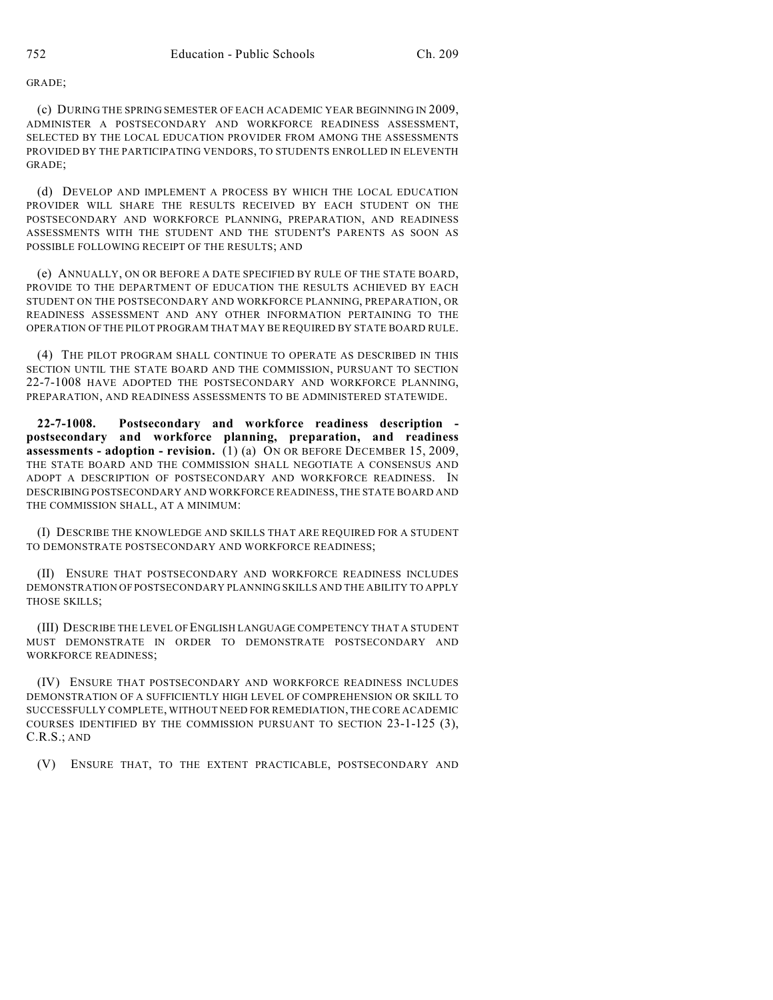GRADE;

(c) DURING THE SPRING SEMESTER OF EACH ACADEMIC YEAR BEGINNING IN 2009, ADMINISTER A POSTSECONDARY AND WORKFORCE READINESS ASSESSMENT, SELECTED BY THE LOCAL EDUCATION PROVIDER FROM AMONG THE ASSESSMENTS PROVIDED BY THE PARTICIPATING VENDORS, TO STUDENTS ENROLLED IN ELEVENTH GRADE;

(d) DEVELOP AND IMPLEMENT A PROCESS BY WHICH THE LOCAL EDUCATION PROVIDER WILL SHARE THE RESULTS RECEIVED BY EACH STUDENT ON THE POSTSECONDARY AND WORKFORCE PLANNING, PREPARATION, AND READINESS ASSESSMENTS WITH THE STUDENT AND THE STUDENT'S PARENTS AS SOON AS POSSIBLE FOLLOWING RECEIPT OF THE RESULTS; AND

(e) ANNUALLY, ON OR BEFORE A DATE SPECIFIED BY RULE OF THE STATE BOARD, PROVIDE TO THE DEPARTMENT OF EDUCATION THE RESULTS ACHIEVED BY EACH STUDENT ON THE POSTSECONDARY AND WORKFORCE PLANNING, PREPARATION, OR READINESS ASSESSMENT AND ANY OTHER INFORMATION PERTAINING TO THE OPERATION OF THE PILOT PROGRAM THAT MAY BE REQUIRED BY STATE BOARD RULE.

(4) THE PILOT PROGRAM SHALL CONTINUE TO OPERATE AS DESCRIBED IN THIS SECTION UNTIL THE STATE BOARD AND THE COMMISSION, PURSUANT TO SECTION 22-7-1008 HAVE ADOPTED THE POSTSECONDARY AND WORKFORCE PLANNING, PREPARATION, AND READINESS ASSESSMENTS TO BE ADMINISTERED STATEWIDE.

**22-7-1008. Postsecondary and workforce readiness description postsecondary and workforce planning, preparation, and readiness assessments - adoption - revision.** (1) (a) ON OR BEFORE DECEMBER 15, 2009, THE STATE BOARD AND THE COMMISSION SHALL NEGOTIATE A CONSENSUS AND ADOPT A DESCRIPTION OF POSTSECONDARY AND WORKFORCE READINESS. IN DESCRIBING POSTSECONDARY AND WORKFORCE READINESS, THE STATE BOARD AND THE COMMISSION SHALL, AT A MINIMUM:

(I) DESCRIBE THE KNOWLEDGE AND SKILLS THAT ARE REQUIRED FOR A STUDENT TO DEMONSTRATE POSTSECONDARY AND WORKFORCE READINESS;

(II) ENSURE THAT POSTSECONDARY AND WORKFORCE READINESS INCLUDES DEMONSTRATION OF POSTSECONDARY PLANNING SKILLS AND THE ABILITY TO APPLY THOSE SKILLS;

(III) DESCRIBE THE LEVEL OF ENGLISH LANGUAGE COMPETENCY THAT A STUDENT MUST DEMONSTRATE IN ORDER TO DEMONSTRATE POSTSECONDARY AND WORKFORCE READINESS;

(IV) ENSURE THAT POSTSECONDARY AND WORKFORCE READINESS INCLUDES DEMONSTRATION OF A SUFFICIENTLY HIGH LEVEL OF COMPREHENSION OR SKILL TO SUCCESSFULLY COMPLETE, WITHOUT NEED FOR REMEDIATION, THE CORE ACADEMIC COURSES IDENTIFIED BY THE COMMISSION PURSUANT TO SECTION 23-1-125 (3), C.R.S.; AND

(V) ENSURE THAT, TO THE EXTENT PRACTICABLE, POSTSECONDARY AND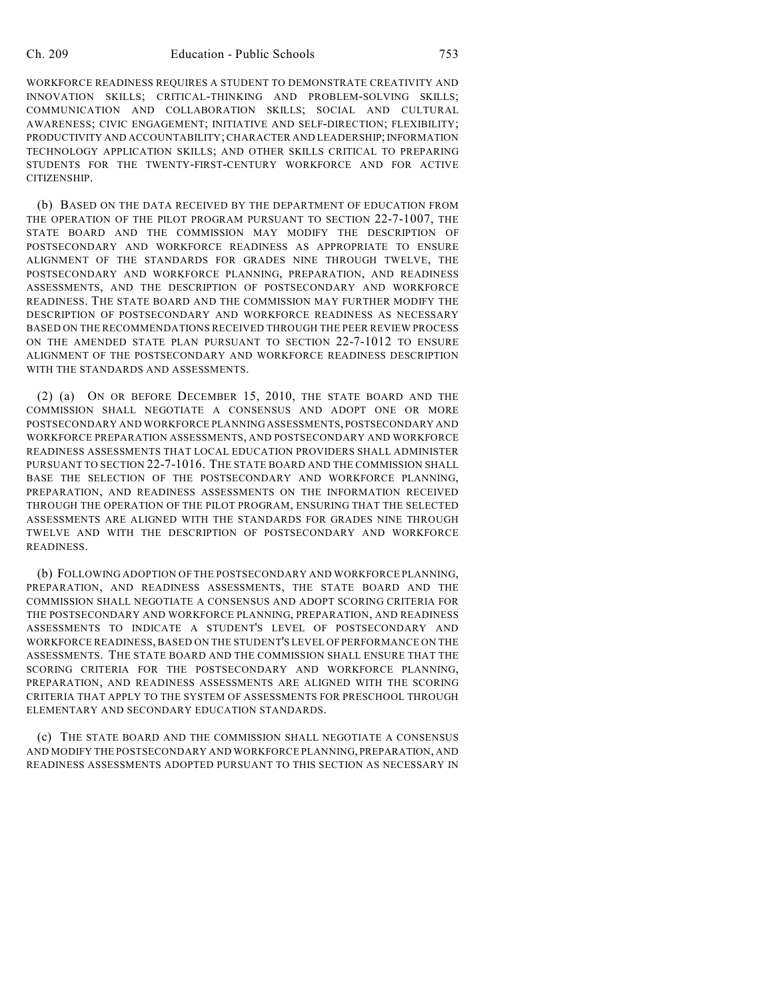WORKFORCE READINESS REQUIRES A STUDENT TO DEMONSTRATE CREATIVITY AND INNOVATION SKILLS; CRITICAL-THINKING AND PROBLEM-SOLVING SKILLS; COMMUNICATION AND COLLABORATION SKILLS; SOCIAL AND CULTURAL AWARENESS; CIVIC ENGAGEMENT; INITIATIVE AND SELF-DIRECTION; FLEXIBILITY; PRODUCTIVITY AND ACCOUNTABILITY; CHARACTER AND LEADERSHIP; INFORMATION TECHNOLOGY APPLICATION SKILLS; AND OTHER SKILLS CRITICAL TO PREPARING STUDENTS FOR THE TWENTY-FIRST-CENTURY WORKFORCE AND FOR ACTIVE CITIZENSHIP.

(b) BASED ON THE DATA RECEIVED BY THE DEPARTMENT OF EDUCATION FROM THE OPERATION OF THE PILOT PROGRAM PURSUANT TO SECTION 22-7-1007, THE STATE BOARD AND THE COMMISSION MAY MODIFY THE DESCRIPTION OF POSTSECONDARY AND WORKFORCE READINESS AS APPROPRIATE TO ENSURE ALIGNMENT OF THE STANDARDS FOR GRADES NINE THROUGH TWELVE, THE POSTSECONDARY AND WORKFORCE PLANNING, PREPARATION, AND READINESS ASSESSMENTS, AND THE DESCRIPTION OF POSTSECONDARY AND WORKFORCE READINESS. THE STATE BOARD AND THE COMMISSION MAY FURTHER MODIFY THE DESCRIPTION OF POSTSECONDARY AND WORKFORCE READINESS AS NECESSARY BASED ON THE RECOMMENDATIONS RECEIVED THROUGH THE PEER REVIEW PROCESS ON THE AMENDED STATE PLAN PURSUANT TO SECTION 22-7-1012 TO ENSURE ALIGNMENT OF THE POSTSECONDARY AND WORKFORCE READINESS DESCRIPTION WITH THE STANDARDS AND ASSESSMENTS.

(2) (a) ON OR BEFORE DECEMBER 15, 2010, THE STATE BOARD AND THE COMMISSION SHALL NEGOTIATE A CONSENSUS AND ADOPT ONE OR MORE POSTSECONDARY AND WORKFORCE PLANNING ASSESSMENTS, POSTSECONDARY AND WORKFORCE PREPARATION ASSESSMENTS, AND POSTSECONDARY AND WORKFORCE READINESS ASSESSMENTS THAT LOCAL EDUCATION PROVIDERS SHALL ADMINISTER PURSUANT TO SECTION 22-7-1016. THE STATE BOARD AND THE COMMISSION SHALL BASE THE SELECTION OF THE POSTSECONDARY AND WORKFORCE PLANNING, PREPARATION, AND READINESS ASSESSMENTS ON THE INFORMATION RECEIVED THROUGH THE OPERATION OF THE PILOT PROGRAM, ENSURING THAT THE SELECTED ASSESSMENTS ARE ALIGNED WITH THE STANDARDS FOR GRADES NINE THROUGH TWELVE AND WITH THE DESCRIPTION OF POSTSECONDARY AND WORKFORCE READINESS.

(b) FOLLOWING ADOPTION OF THE POSTSECONDARY AND WORKFORCE PLANNING, PREPARATION, AND READINESS ASSESSMENTS, THE STATE BOARD AND THE COMMISSION SHALL NEGOTIATE A CONSENSUS AND ADOPT SCORING CRITERIA FOR THE POSTSECONDARY AND WORKFORCE PLANNING, PREPARATION, AND READINESS ASSESSMENTS TO INDICATE A STUDENT'S LEVEL OF POSTSECONDARY AND WORKFORCE READINESS, BASED ON THE STUDENT'S LEVEL OF PERFORMANCE ON THE ASSESSMENTS. THE STATE BOARD AND THE COMMISSION SHALL ENSURE THAT THE SCORING CRITERIA FOR THE POSTSECONDARY AND WORKFORCE PLANNING, PREPARATION, AND READINESS ASSESSMENTS ARE ALIGNED WITH THE SCORING CRITERIA THAT APPLY TO THE SYSTEM OF ASSESSMENTS FOR PRESCHOOL THROUGH ELEMENTARY AND SECONDARY EDUCATION STANDARDS.

(c) THE STATE BOARD AND THE COMMISSION SHALL NEGOTIATE A CONSENSUS AND MODIFY THE POSTSECONDARY AND WORKFORCE PLANNING, PREPARATION, AND READINESS ASSESSMENTS ADOPTED PURSUANT TO THIS SECTION AS NECESSARY IN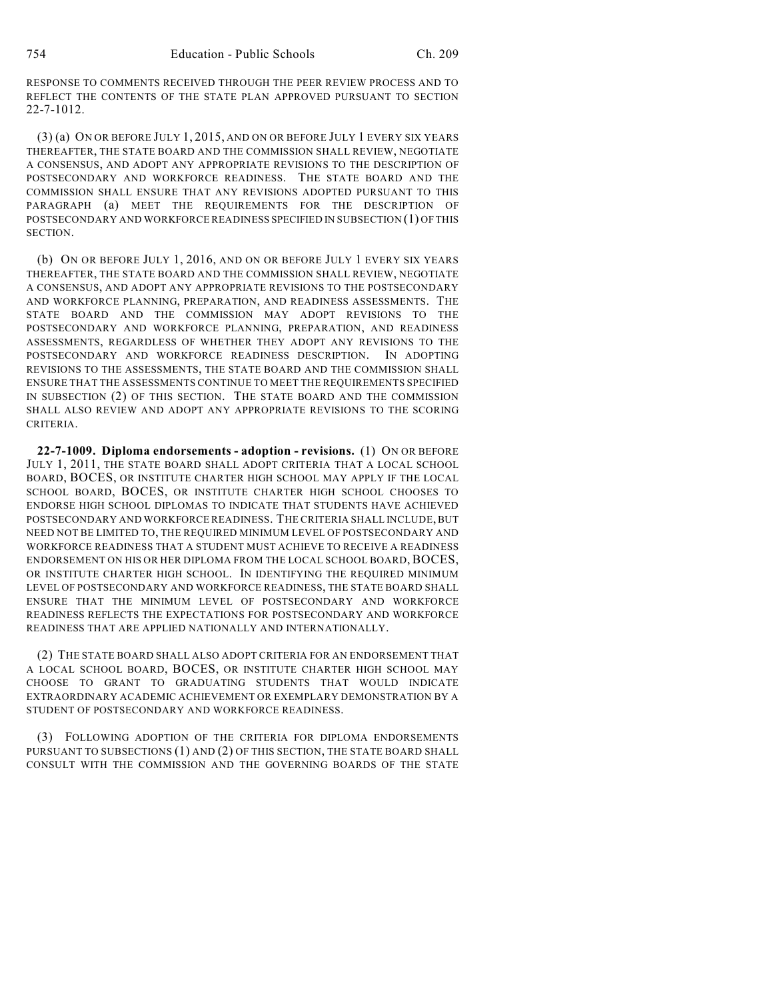RESPONSE TO COMMENTS RECEIVED THROUGH THE PEER REVIEW PROCESS AND TO REFLECT THE CONTENTS OF THE STATE PLAN APPROVED PURSUANT TO SECTION 22-7-1012.

(3) (a) ON OR BEFORE JULY 1, 2015, AND ON OR BEFORE JULY 1 EVERY SIX YEARS THEREAFTER, THE STATE BOARD AND THE COMMISSION SHALL REVIEW, NEGOTIATE A CONSENSUS, AND ADOPT ANY APPROPRIATE REVISIONS TO THE DESCRIPTION OF POSTSECONDARY AND WORKFORCE READINESS. THE STATE BOARD AND THE COMMISSION SHALL ENSURE THAT ANY REVISIONS ADOPTED PURSUANT TO THIS PARAGRAPH (a) MEET THE REQUIREMENTS FOR THE DESCRIPTION OF POSTSECONDARY AND WORKFORCE READINESS SPECIFIED IN SUBSECTION (1) OF THIS SECTION.

(b) ON OR BEFORE JULY 1, 2016, AND ON OR BEFORE JULY 1 EVERY SIX YEARS THEREAFTER, THE STATE BOARD AND THE COMMISSION SHALL REVIEW, NEGOTIATE A CONSENSUS, AND ADOPT ANY APPROPRIATE REVISIONS TO THE POSTSECONDARY AND WORKFORCE PLANNING, PREPARATION, AND READINESS ASSESSMENTS. THE STATE BOARD AND THE COMMISSION MAY ADOPT REVISIONS TO THE POSTSECONDARY AND WORKFORCE PLANNING, PREPARATION, AND READINESS ASSESSMENTS, REGARDLESS OF WHETHER THEY ADOPT ANY REVISIONS TO THE POSTSECONDARY AND WORKFORCE READINESS DESCRIPTION. IN ADOPTING REVISIONS TO THE ASSESSMENTS, THE STATE BOARD AND THE COMMISSION SHALL ENSURE THAT THE ASSESSMENTS CONTINUE TO MEET THE REQUIREMENTS SPECIFIED IN SUBSECTION (2) OF THIS SECTION. THE STATE BOARD AND THE COMMISSION SHALL ALSO REVIEW AND ADOPT ANY APPROPRIATE REVISIONS TO THE SCORING CRITERIA.

**22-7-1009. Diploma endorsements - adoption - revisions.** (1) ON OR BEFORE JULY 1, 2011, THE STATE BOARD SHALL ADOPT CRITERIA THAT A LOCAL SCHOOL BOARD, BOCES, OR INSTITUTE CHARTER HIGH SCHOOL MAY APPLY IF THE LOCAL SCHOOL BOARD, BOCES, OR INSTITUTE CHARTER HIGH SCHOOL CHOOSES TO ENDORSE HIGH SCHOOL DIPLOMAS TO INDICATE THAT STUDENTS HAVE ACHIEVED POSTSECONDARY AND WORKFORCE READINESS. THE CRITERIA SHALL INCLUDE, BUT NEED NOT BE LIMITED TO, THE REQUIRED MINIMUM LEVEL OF POSTSECONDARY AND WORKFORCE READINESS THAT A STUDENT MUST ACHIEVE TO RECEIVE A READINESS ENDORSEMENT ON HIS OR HER DIPLOMA FROM THE LOCAL SCHOOL BOARD, BOCES, OR INSTITUTE CHARTER HIGH SCHOOL. IN IDENTIFYING THE REQUIRED MINIMUM LEVEL OF POSTSECONDARY AND WORKFORCE READINESS, THE STATE BOARD SHALL ENSURE THAT THE MINIMUM LEVEL OF POSTSECONDARY AND WORKFORCE READINESS REFLECTS THE EXPECTATIONS FOR POSTSECONDARY AND WORKFORCE READINESS THAT ARE APPLIED NATIONALLY AND INTERNATIONALLY.

(2) THE STATE BOARD SHALL ALSO ADOPT CRITERIA FOR AN ENDORSEMENT THAT A LOCAL SCHOOL BOARD, BOCES, OR INSTITUTE CHARTER HIGH SCHOOL MAY CHOOSE TO GRANT TO GRADUATING STUDENTS THAT WOULD INDICATE EXTRAORDINARY ACADEMIC ACHIEVEMENT OR EXEMPLARY DEMONSTRATION BY A STUDENT OF POSTSECONDARY AND WORKFORCE READINESS.

(3) FOLLOWING ADOPTION OF THE CRITERIA FOR DIPLOMA ENDORSEMENTS PURSUANT TO SUBSECTIONS (1) AND (2) OF THIS SECTION, THE STATE BOARD SHALL CONSULT WITH THE COMMISSION AND THE GOVERNING BOARDS OF THE STATE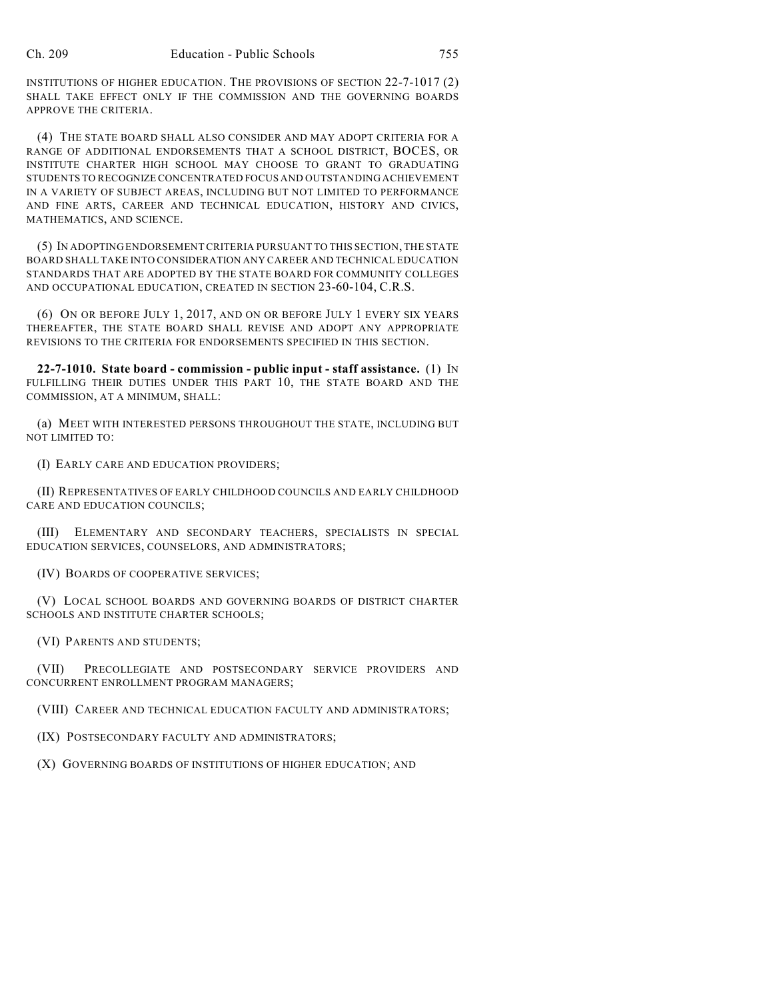INSTITUTIONS OF HIGHER EDUCATION. THE PROVISIONS OF SECTION 22-7-1017 (2) SHALL TAKE EFFECT ONLY IF THE COMMISSION AND THE GOVERNING BOARDS APPROVE THE CRITERIA.

(4) THE STATE BOARD SHALL ALSO CONSIDER AND MAY ADOPT CRITERIA FOR A RANGE OF ADDITIONAL ENDORSEMENTS THAT A SCHOOL DISTRICT, BOCES, OR INSTITUTE CHARTER HIGH SCHOOL MAY CHOOSE TO GRANT TO GRADUATING STUDENTS TO RECOGNIZE CONCENTRATED FOCUS AND OUTSTANDING ACHIEVEMENT IN A VARIETY OF SUBJECT AREAS, INCLUDING BUT NOT LIMITED TO PERFORMANCE AND FINE ARTS, CAREER AND TECHNICAL EDUCATION, HISTORY AND CIVICS, MATHEMATICS, AND SCIENCE.

(5) IN ADOPTING ENDORSEMENT CRITERIA PURSUANT TO THIS SECTION, THE STATE BOARD SHALL TAKE INTO CONSIDERATION ANY CAREER AND TECHNICAL EDUCATION STANDARDS THAT ARE ADOPTED BY THE STATE BOARD FOR COMMUNITY COLLEGES AND OCCUPATIONAL EDUCATION, CREATED IN SECTION 23-60-104, C.R.S.

(6) ON OR BEFORE JULY 1, 2017, AND ON OR BEFORE JULY 1 EVERY SIX YEARS THEREAFTER, THE STATE BOARD SHALL REVISE AND ADOPT ANY APPROPRIATE REVISIONS TO THE CRITERIA FOR ENDORSEMENTS SPECIFIED IN THIS SECTION.

**22-7-1010. State board - commission - public input - staff assistance.** (1) IN FULFILLING THEIR DUTIES UNDER THIS PART 10, THE STATE BOARD AND THE COMMISSION, AT A MINIMUM, SHALL:

(a) MEET WITH INTERESTED PERSONS THROUGHOUT THE STATE, INCLUDING BUT NOT LIMITED TO:

(I) EARLY CARE AND EDUCATION PROVIDERS;

(II) REPRESENTATIVES OF EARLY CHILDHOOD COUNCILS AND EARLY CHILDHOOD CARE AND EDUCATION COUNCILS;

(III) ELEMENTARY AND SECONDARY TEACHERS, SPECIALISTS IN SPECIAL EDUCATION SERVICES, COUNSELORS, AND ADMINISTRATORS;

(IV) BOARDS OF COOPERATIVE SERVICES;

(V) LOCAL SCHOOL BOARDS AND GOVERNING BOARDS OF DISTRICT CHARTER SCHOOLS AND INSTITUTE CHARTER SCHOOLS;

(VI) PARENTS AND STUDENTS;

(VII) PRECOLLEGIATE AND POSTSECONDARY SERVICE PROVIDERS AND CONCURRENT ENROLLMENT PROGRAM MANAGERS;

(VIII) CAREER AND TECHNICAL EDUCATION FACULTY AND ADMINISTRATORS;

(IX) POSTSECONDARY FACULTY AND ADMINISTRATORS;

(X) GOVERNING BOARDS OF INSTITUTIONS OF HIGHER EDUCATION; AND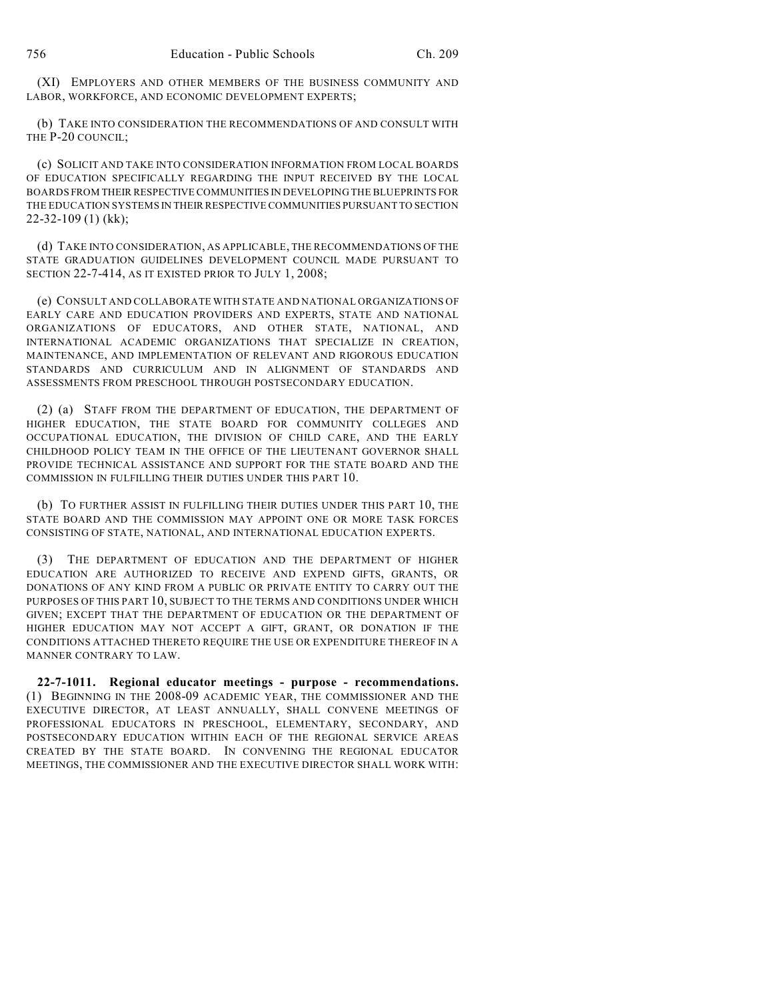(XI) EMPLOYERS AND OTHER MEMBERS OF THE BUSINESS COMMUNITY AND LABOR, WORKFORCE, AND ECONOMIC DEVELOPMENT EXPERTS;

(b) TAKE INTO CONSIDERATION THE RECOMMENDATIONS OF AND CONSULT WITH THE P-20 COUNCIL;

(c) SOLICIT AND TAKE INTO CONSIDERATION INFORMATION FROM LOCAL BOARDS OF EDUCATION SPECIFICALLY REGARDING THE INPUT RECEIVED BY THE LOCAL BOARDS FROM THEIR RESPECTIVE COMMUNITIES IN DEVELOPING THE BLUEPRINTS FOR THE EDUCATION SYSTEMS IN THEIR RESPECTIVE COMMUNITIES PURSUANT TO SECTION 22-32-109 (1) (kk);

(d) TAKE INTO CONSIDERATION, AS APPLICABLE, THE RECOMMENDATIONS OF THE STATE GRADUATION GUIDELINES DEVELOPMENT COUNCIL MADE PURSUANT TO SECTION 22-7-414, AS IT EXISTED PRIOR TO JULY 1, 2008;

(e) CONSULT AND COLLABORATE WITH STATE AND NATIONAL ORGANIZATIONS OF EARLY CARE AND EDUCATION PROVIDERS AND EXPERTS, STATE AND NATIONAL ORGANIZATIONS OF EDUCATORS, AND OTHER STATE, NATIONAL, AND INTERNATIONAL ACADEMIC ORGANIZATIONS THAT SPECIALIZE IN CREATION, MAINTENANCE, AND IMPLEMENTATION OF RELEVANT AND RIGOROUS EDUCATION STANDARDS AND CURRICULUM AND IN ALIGNMENT OF STANDARDS AND ASSESSMENTS FROM PRESCHOOL THROUGH POSTSECONDARY EDUCATION.

(2) (a) STAFF FROM THE DEPARTMENT OF EDUCATION, THE DEPARTMENT OF HIGHER EDUCATION, THE STATE BOARD FOR COMMUNITY COLLEGES AND OCCUPATIONAL EDUCATION, THE DIVISION OF CHILD CARE, AND THE EARLY CHILDHOOD POLICY TEAM IN THE OFFICE OF THE LIEUTENANT GOVERNOR SHALL PROVIDE TECHNICAL ASSISTANCE AND SUPPORT FOR THE STATE BOARD AND THE COMMISSION IN FULFILLING THEIR DUTIES UNDER THIS PART 10.

(b) TO FURTHER ASSIST IN FULFILLING THEIR DUTIES UNDER THIS PART 10, THE STATE BOARD AND THE COMMISSION MAY APPOINT ONE OR MORE TASK FORCES CONSISTING OF STATE, NATIONAL, AND INTERNATIONAL EDUCATION EXPERTS.

(3) THE DEPARTMENT OF EDUCATION AND THE DEPARTMENT OF HIGHER EDUCATION ARE AUTHORIZED TO RECEIVE AND EXPEND GIFTS, GRANTS, OR DONATIONS OF ANY KIND FROM A PUBLIC OR PRIVATE ENTITY TO CARRY OUT THE PURPOSES OF THIS PART 10, SUBJECT TO THE TERMS AND CONDITIONS UNDER WHICH GIVEN; EXCEPT THAT THE DEPARTMENT OF EDUCATION OR THE DEPARTMENT OF HIGHER EDUCATION MAY NOT ACCEPT A GIFT, GRANT, OR DONATION IF THE CONDITIONS ATTACHED THERETO REQUIRE THE USE OR EXPENDITURE THEREOF IN A MANNER CONTRARY TO LAW.

**22-7-1011. Regional educator meetings - purpose - recommendations.** (1) BEGINNING IN THE 2008-09 ACADEMIC YEAR, THE COMMISSIONER AND THE EXECUTIVE DIRECTOR, AT LEAST ANNUALLY, SHALL CONVENE MEETINGS OF PROFESSIONAL EDUCATORS IN PRESCHOOL, ELEMENTARY, SECONDARY, AND POSTSECONDARY EDUCATION WITHIN EACH OF THE REGIONAL SERVICE AREAS CREATED BY THE STATE BOARD. IN CONVENING THE REGIONAL EDUCATOR MEETINGS, THE COMMISSIONER AND THE EXECUTIVE DIRECTOR SHALL WORK WITH: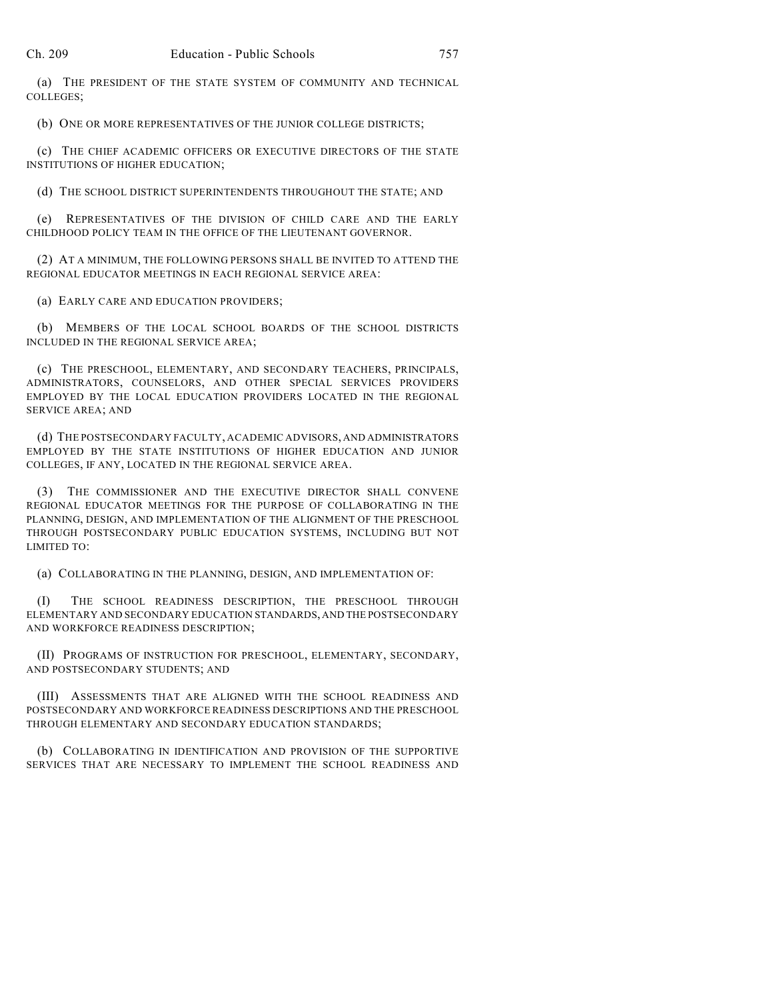(a) THE PRESIDENT OF THE STATE SYSTEM OF COMMUNITY AND TECHNICAL COLLEGES;

(b) ONE OR MORE REPRESENTATIVES OF THE JUNIOR COLLEGE DISTRICTS;

(c) THE CHIEF ACADEMIC OFFICERS OR EXECUTIVE DIRECTORS OF THE STATE INSTITUTIONS OF HIGHER EDUCATION;

(d) THE SCHOOL DISTRICT SUPERINTENDENTS THROUGHOUT THE STATE; AND

(e) REPRESENTATIVES OF THE DIVISION OF CHILD CARE AND THE EARLY CHILDHOOD POLICY TEAM IN THE OFFICE OF THE LIEUTENANT GOVERNOR.

(2) AT A MINIMUM, THE FOLLOWING PERSONS SHALL BE INVITED TO ATTEND THE REGIONAL EDUCATOR MEETINGS IN EACH REGIONAL SERVICE AREA:

(a) EARLY CARE AND EDUCATION PROVIDERS;

(b) MEMBERS OF THE LOCAL SCHOOL BOARDS OF THE SCHOOL DISTRICTS INCLUDED IN THE REGIONAL SERVICE AREA;

(c) THE PRESCHOOL, ELEMENTARY, AND SECONDARY TEACHERS, PRINCIPALS, ADMINISTRATORS, COUNSELORS, AND OTHER SPECIAL SERVICES PROVIDERS EMPLOYED BY THE LOCAL EDUCATION PROVIDERS LOCATED IN THE REGIONAL SERVICE AREA; AND

(d) THE POSTSECONDARY FACULTY, ACADEMIC ADVISORS, AND ADMINISTRATORS EMPLOYED BY THE STATE INSTITUTIONS OF HIGHER EDUCATION AND JUNIOR COLLEGES, IF ANY, LOCATED IN THE REGIONAL SERVICE AREA.

(3) THE COMMISSIONER AND THE EXECUTIVE DIRECTOR SHALL CONVENE REGIONAL EDUCATOR MEETINGS FOR THE PURPOSE OF COLLABORATING IN THE PLANNING, DESIGN, AND IMPLEMENTATION OF THE ALIGNMENT OF THE PRESCHOOL THROUGH POSTSECONDARY PUBLIC EDUCATION SYSTEMS, INCLUDING BUT NOT LIMITED TO:

(a) COLLABORATING IN THE PLANNING, DESIGN, AND IMPLEMENTATION OF:

(I) THE SCHOOL READINESS DESCRIPTION, THE PRESCHOOL THROUGH ELEMENTARY AND SECONDARY EDUCATION STANDARDS, AND THE POSTSECONDARY AND WORKFORCE READINESS DESCRIPTION;

(II) PROGRAMS OF INSTRUCTION FOR PRESCHOOL, ELEMENTARY, SECONDARY, AND POSTSECONDARY STUDENTS; AND

(III) ASSESSMENTS THAT ARE ALIGNED WITH THE SCHOOL READINESS AND POSTSECONDARY AND WORKFORCE READINESS DESCRIPTIONS AND THE PRESCHOOL THROUGH ELEMENTARY AND SECONDARY EDUCATION STANDARDS;

(b) COLLABORATING IN IDENTIFICATION AND PROVISION OF THE SUPPORTIVE SERVICES THAT ARE NECESSARY TO IMPLEMENT THE SCHOOL READINESS AND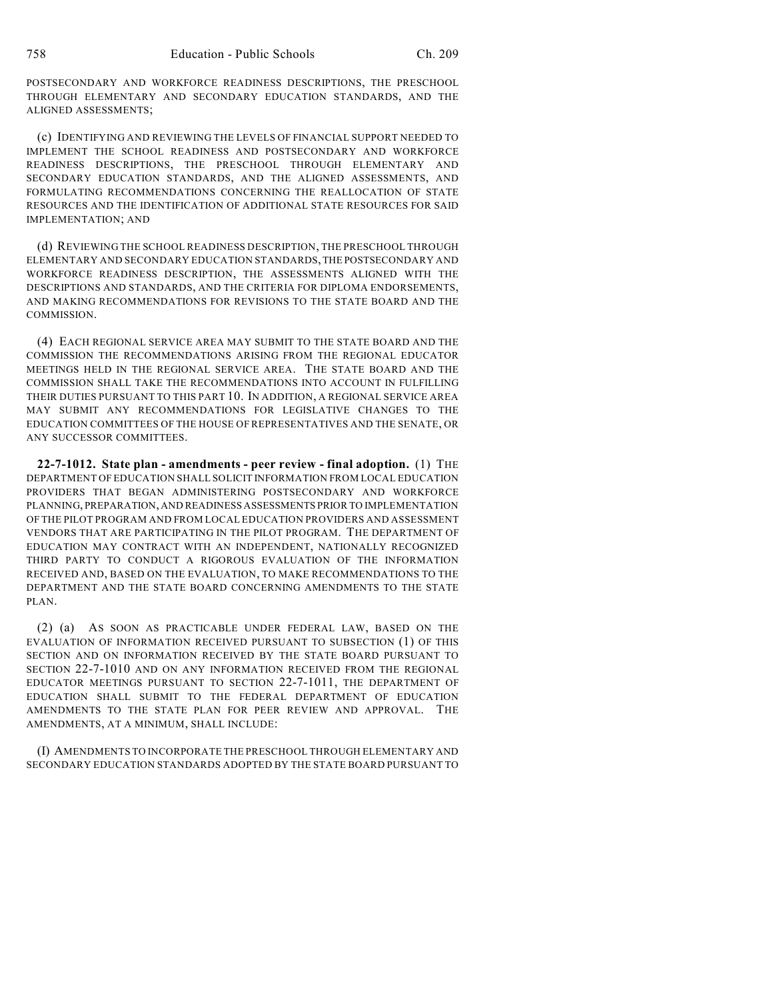POSTSECONDARY AND WORKFORCE READINESS DESCRIPTIONS, THE PRESCHOOL THROUGH ELEMENTARY AND SECONDARY EDUCATION STANDARDS, AND THE ALIGNED ASSESSMENTS;

(c) IDENTIFYING AND REVIEWING THE LEVELS OF FINANCIAL SUPPORT NEEDED TO IMPLEMENT THE SCHOOL READINESS AND POSTSECONDARY AND WORKFORCE READINESS DESCRIPTIONS, THE PRESCHOOL THROUGH ELEMENTARY AND SECONDARY EDUCATION STANDARDS, AND THE ALIGNED ASSESSMENTS, AND FORMULATING RECOMMENDATIONS CONCERNING THE REALLOCATION OF STATE RESOURCES AND THE IDENTIFICATION OF ADDITIONAL STATE RESOURCES FOR SAID IMPLEMENTATION; AND

(d) REVIEWING THE SCHOOL READINESS DESCRIPTION, THE PRESCHOOL THROUGH ELEMENTARY AND SECONDARY EDUCATION STANDARDS, THE POSTSECONDARY AND WORKFORCE READINESS DESCRIPTION, THE ASSESSMENTS ALIGNED WITH THE DESCRIPTIONS AND STANDARDS, AND THE CRITERIA FOR DIPLOMA ENDORSEMENTS, AND MAKING RECOMMENDATIONS FOR REVISIONS TO THE STATE BOARD AND THE COMMISSION.

(4) EACH REGIONAL SERVICE AREA MAY SUBMIT TO THE STATE BOARD AND THE COMMISSION THE RECOMMENDATIONS ARISING FROM THE REGIONAL EDUCATOR MEETINGS HELD IN THE REGIONAL SERVICE AREA. THE STATE BOARD AND THE COMMISSION SHALL TAKE THE RECOMMENDATIONS INTO ACCOUNT IN FULFILLING THEIR DUTIES PURSUANT TO THIS PART 10. IN ADDITION, A REGIONAL SERVICE AREA MAY SUBMIT ANY RECOMMENDATIONS FOR LEGISLATIVE CHANGES TO THE EDUCATION COMMITTEES OF THE HOUSE OF REPRESENTATIVES AND THE SENATE, OR ANY SUCCESSOR COMMITTEES.

**22-7-1012. State plan - amendments - peer review - final adoption.** (1) THE DEPARTMENT OF EDUCATION SHALL SOLICIT INFORMATION FROM LOCAL EDUCATION PROVIDERS THAT BEGAN ADMINISTERING POSTSECONDARY AND WORKFORCE PLANNING, PREPARATION, AND READINESS ASSESSMENTS PRIOR TO IMPLEMENTATION OF THE PILOT PROGRAM AND FROM LOCAL EDUCATION PROVIDERS AND ASSESSMENT VENDORS THAT ARE PARTICIPATING IN THE PILOT PROGRAM. THE DEPARTMENT OF EDUCATION MAY CONTRACT WITH AN INDEPENDENT, NATIONALLY RECOGNIZED THIRD PARTY TO CONDUCT A RIGOROUS EVALUATION OF THE INFORMATION RECEIVED AND, BASED ON THE EVALUATION, TO MAKE RECOMMENDATIONS TO THE DEPARTMENT AND THE STATE BOARD CONCERNING AMENDMENTS TO THE STATE PLAN.

(2) (a) AS SOON AS PRACTICABLE UNDER FEDERAL LAW, BASED ON THE EVALUATION OF INFORMATION RECEIVED PURSUANT TO SUBSECTION (1) OF THIS SECTION AND ON INFORMATION RECEIVED BY THE STATE BOARD PURSUANT TO SECTION 22-7-1010 AND ON ANY INFORMATION RECEIVED FROM THE REGIONAL EDUCATOR MEETINGS PURSUANT TO SECTION 22-7-1011, THE DEPARTMENT OF EDUCATION SHALL SUBMIT TO THE FEDERAL DEPARTMENT OF EDUCATION AMENDMENTS TO THE STATE PLAN FOR PEER REVIEW AND APPROVAL. THE AMENDMENTS, AT A MINIMUM, SHALL INCLUDE:

(I) AMENDMENTS TO INCORPORATE THE PRESCHOOL THROUGH ELEMENTARY AND SECONDARY EDUCATION STANDARDS ADOPTED BY THE STATE BOARD PURSUANT TO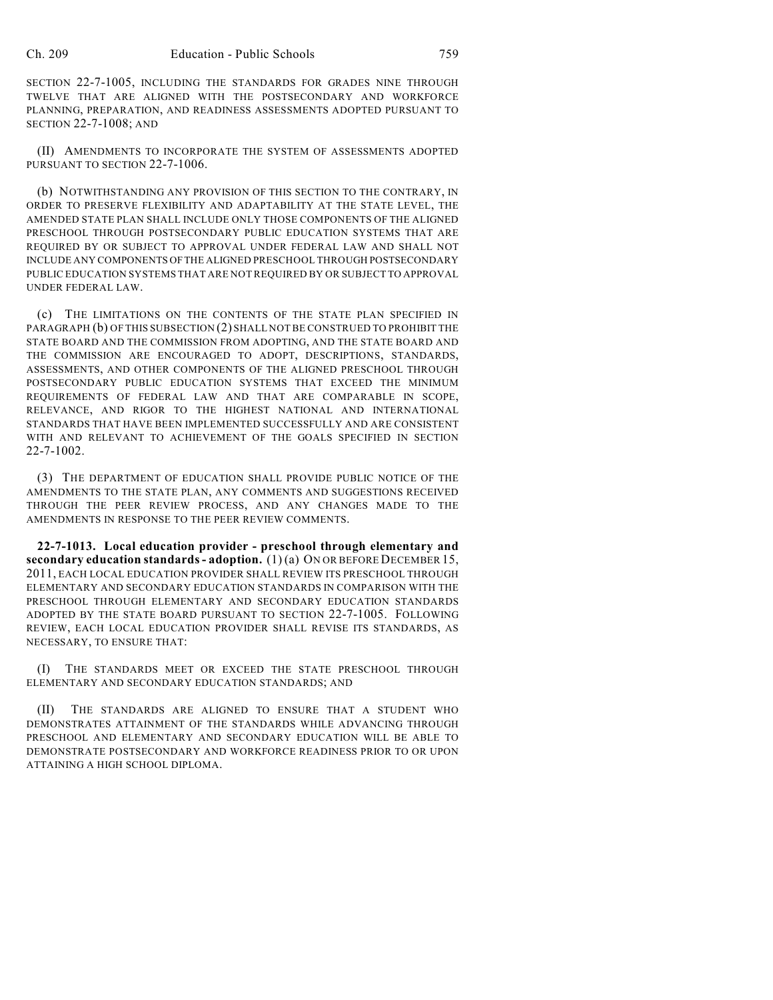SECTION 22-7-1005, INCLUDING THE STANDARDS FOR GRADES NINE THROUGH TWELVE THAT ARE ALIGNED WITH THE POSTSECONDARY AND WORKFORCE PLANNING, PREPARATION, AND READINESS ASSESSMENTS ADOPTED PURSUANT TO SECTION 22-7-1008; AND

(II) AMENDMENTS TO INCORPORATE THE SYSTEM OF ASSESSMENTS ADOPTED PURSUANT TO SECTION 22-7-1006.

(b) NOTWITHSTANDING ANY PROVISION OF THIS SECTION TO THE CONTRARY, IN ORDER TO PRESERVE FLEXIBILITY AND ADAPTABILITY AT THE STATE LEVEL, THE AMENDED STATE PLAN SHALL INCLUDE ONLY THOSE COMPONENTS OF THE ALIGNED PRESCHOOL THROUGH POSTSECONDARY PUBLIC EDUCATION SYSTEMS THAT ARE REQUIRED BY OR SUBJECT TO APPROVAL UNDER FEDERAL LAW AND SHALL NOT INCLUDE ANY COMPONENTS OF THE ALIGNED PRESCHOOL THROUGH POSTSECONDARY PUBLIC EDUCATION SYSTEMS THAT ARE NOT REQUIRED BY OR SUBJECT TO APPROVAL UNDER FEDERAL LAW.

(c) THE LIMITATIONS ON THE CONTENTS OF THE STATE PLAN SPECIFIED IN PARAGRAPH (b) OF THIS SUBSECTION (2) SHALL NOT BE CONSTRUED TO PROHIBIT THE STATE BOARD AND THE COMMISSION FROM ADOPTING, AND THE STATE BOARD AND THE COMMISSION ARE ENCOURAGED TO ADOPT, DESCRIPTIONS, STANDARDS, ASSESSMENTS, AND OTHER COMPONENTS OF THE ALIGNED PRESCHOOL THROUGH POSTSECONDARY PUBLIC EDUCATION SYSTEMS THAT EXCEED THE MINIMUM REQUIREMENTS OF FEDERAL LAW AND THAT ARE COMPARABLE IN SCOPE, RELEVANCE, AND RIGOR TO THE HIGHEST NATIONAL AND INTERNATIONAL STANDARDS THAT HAVE BEEN IMPLEMENTED SUCCESSFULLY AND ARE CONSISTENT WITH AND RELEVANT TO ACHIEVEMENT OF THE GOALS SPECIFIED IN SECTION 22-7-1002.

(3) THE DEPARTMENT OF EDUCATION SHALL PROVIDE PUBLIC NOTICE OF THE AMENDMENTS TO THE STATE PLAN, ANY COMMENTS AND SUGGESTIONS RECEIVED THROUGH THE PEER REVIEW PROCESS, AND ANY CHANGES MADE TO THE AMENDMENTS IN RESPONSE TO THE PEER REVIEW COMMENTS.

**22-7-1013. Local education provider - preschool through elementary and secondary education standards- adoption.** (1) (a) ON OR BEFORE DECEMBER 15, 2011, EACH LOCAL EDUCATION PROVIDER SHALL REVIEW ITS PRESCHOOL THROUGH ELEMENTARY AND SECONDARY EDUCATION STANDARDS IN COMPARISON WITH THE PRESCHOOL THROUGH ELEMENTARY AND SECONDARY EDUCATION STANDARDS ADOPTED BY THE STATE BOARD PURSUANT TO SECTION 22-7-1005. FOLLOWING REVIEW, EACH LOCAL EDUCATION PROVIDER SHALL REVISE ITS STANDARDS, AS NECESSARY, TO ENSURE THAT:

(I) THE STANDARDS MEET OR EXCEED THE STATE PRESCHOOL THROUGH ELEMENTARY AND SECONDARY EDUCATION STANDARDS; AND

(II) THE STANDARDS ARE ALIGNED TO ENSURE THAT A STUDENT WHO DEMONSTRATES ATTAINMENT OF THE STANDARDS WHILE ADVANCING THROUGH PRESCHOOL AND ELEMENTARY AND SECONDARY EDUCATION WILL BE ABLE TO DEMONSTRATE POSTSECONDARY AND WORKFORCE READINESS PRIOR TO OR UPON ATTAINING A HIGH SCHOOL DIPLOMA.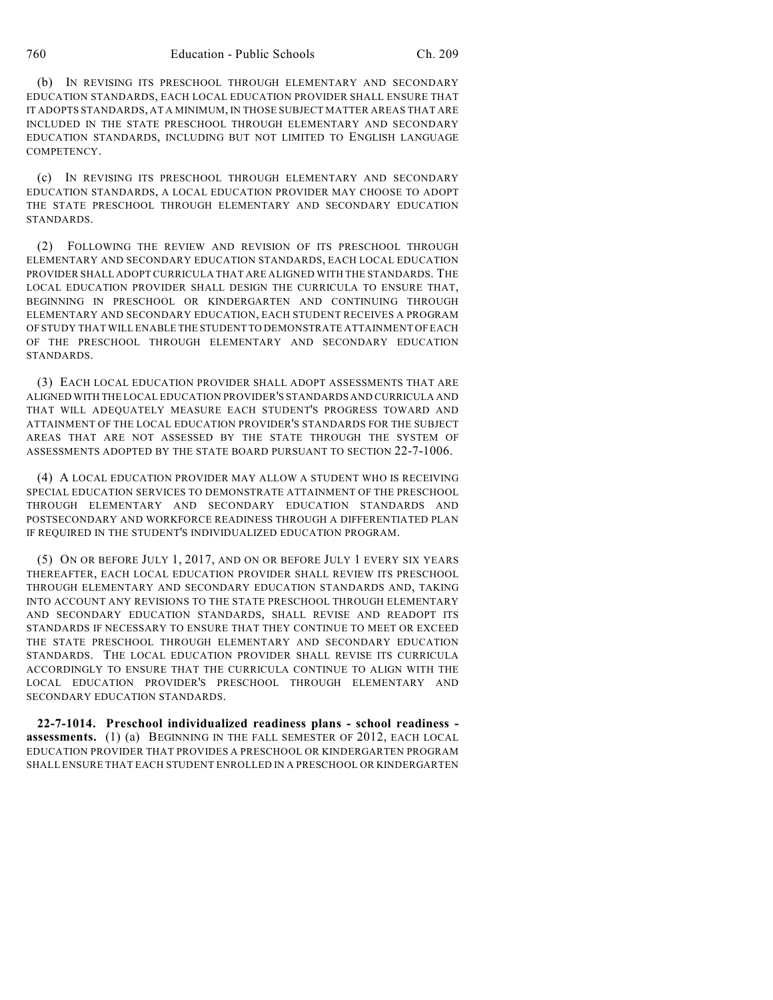(b) IN REVISING ITS PRESCHOOL THROUGH ELEMENTARY AND SECONDARY EDUCATION STANDARDS, EACH LOCAL EDUCATION PROVIDER SHALL ENSURE THAT IT ADOPTS STANDARDS, AT A MINIMUM, IN THOSE SUBJECT MATTER AREAS THAT ARE INCLUDED IN THE STATE PRESCHOOL THROUGH ELEMENTARY AND SECONDARY EDUCATION STANDARDS, INCLUDING BUT NOT LIMITED TO ENGLISH LANGUAGE COMPETENCY.

(c) IN REVISING ITS PRESCHOOL THROUGH ELEMENTARY AND SECONDARY EDUCATION STANDARDS, A LOCAL EDUCATION PROVIDER MAY CHOOSE TO ADOPT THE STATE PRESCHOOL THROUGH ELEMENTARY AND SECONDARY EDUCATION STANDARDS.

(2) FOLLOWING THE REVIEW AND REVISION OF ITS PRESCHOOL THROUGH ELEMENTARY AND SECONDARY EDUCATION STANDARDS, EACH LOCAL EDUCATION PROVIDER SHALL ADOPT CURRICULA THAT ARE ALIGNED WITH THE STANDARDS. THE LOCAL EDUCATION PROVIDER SHALL DESIGN THE CURRICULA TO ENSURE THAT, BEGINNING IN PRESCHOOL OR KINDERGARTEN AND CONTINUING THROUGH ELEMENTARY AND SECONDARY EDUCATION, EACH STUDENT RECEIVES A PROGRAM OF STUDY THAT WILL ENABLE THE STUDENT TO DEMONSTRATE ATTAINMENT OF EACH OF THE PRESCHOOL THROUGH ELEMENTARY AND SECONDARY EDUCATION STANDARDS.

(3) EACH LOCAL EDUCATION PROVIDER SHALL ADOPT ASSESSMENTS THAT ARE ALIGNED WITH THE LOCAL EDUCATION PROVIDER'S STANDARDS AND CURRICULA AND THAT WILL ADEQUATELY MEASURE EACH STUDENT'S PROGRESS TOWARD AND ATTAINMENT OF THE LOCAL EDUCATION PROVIDER'S STANDARDS FOR THE SUBJECT AREAS THAT ARE NOT ASSESSED BY THE STATE THROUGH THE SYSTEM OF ASSESSMENTS ADOPTED BY THE STATE BOARD PURSUANT TO SECTION 22-7-1006.

(4) A LOCAL EDUCATION PROVIDER MAY ALLOW A STUDENT WHO IS RECEIVING SPECIAL EDUCATION SERVICES TO DEMONSTRATE ATTAINMENT OF THE PRESCHOOL THROUGH ELEMENTARY AND SECONDARY EDUCATION STANDARDS AND POSTSECONDARY AND WORKFORCE READINESS THROUGH A DIFFERENTIATED PLAN IF REQUIRED IN THE STUDENT'S INDIVIDUALIZED EDUCATION PROGRAM.

(5) ON OR BEFORE JULY 1, 2017, AND ON OR BEFORE JULY 1 EVERY SIX YEARS THEREAFTER, EACH LOCAL EDUCATION PROVIDER SHALL REVIEW ITS PRESCHOOL THROUGH ELEMENTARY AND SECONDARY EDUCATION STANDARDS AND, TAKING INTO ACCOUNT ANY REVISIONS TO THE STATE PRESCHOOL THROUGH ELEMENTARY AND SECONDARY EDUCATION STANDARDS, SHALL REVISE AND READOPT ITS STANDARDS IF NECESSARY TO ENSURE THAT THEY CONTINUE TO MEET OR EXCEED THE STATE PRESCHOOL THROUGH ELEMENTARY AND SECONDARY EDUCATION STANDARDS. THE LOCAL EDUCATION PROVIDER SHALL REVISE ITS CURRICULA ACCORDINGLY TO ENSURE THAT THE CURRICULA CONTINUE TO ALIGN WITH THE LOCAL EDUCATION PROVIDER'S PRESCHOOL THROUGH ELEMENTARY AND SECONDARY EDUCATION STANDARDS.

**22-7-1014. Preschool individualized readiness plans - school readiness assessments.** (1) (a) BEGINNING IN THE FALL SEMESTER OF 2012, EACH LOCAL EDUCATION PROVIDER THAT PROVIDES A PRESCHOOL OR KINDERGARTEN PROGRAM SHALL ENSURE THAT EACH STUDENT ENROLLED IN A PRESCHOOL OR KINDERGARTEN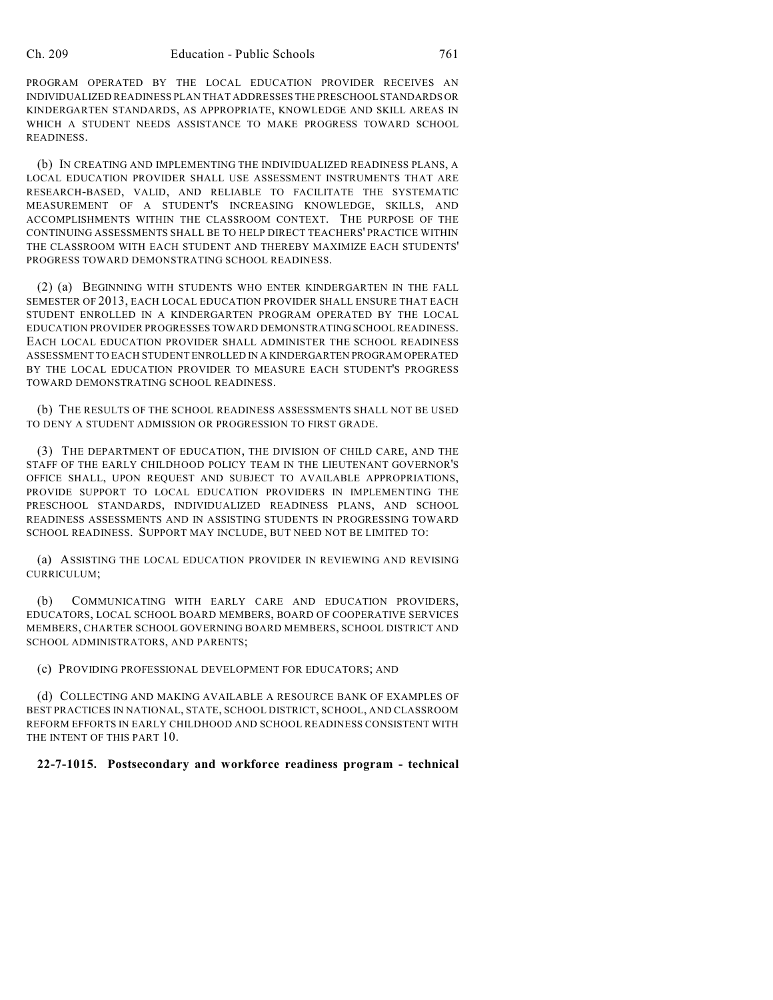PROGRAM OPERATED BY THE LOCAL EDUCATION PROVIDER RECEIVES AN INDIVIDUALIZED READINESS PLAN THAT ADDRESSES THE PRESCHOOL STANDARDS OR KINDERGARTEN STANDARDS, AS APPROPRIATE, KNOWLEDGE AND SKILL AREAS IN WHICH A STUDENT NEEDS ASSISTANCE TO MAKE PROGRESS TOWARD SCHOOL READINESS.

(b) IN CREATING AND IMPLEMENTING THE INDIVIDUALIZED READINESS PLANS, A LOCAL EDUCATION PROVIDER SHALL USE ASSESSMENT INSTRUMENTS THAT ARE RESEARCH-BASED, VALID, AND RELIABLE TO FACILITATE THE SYSTEMATIC MEASUREMENT OF A STUDENT'S INCREASING KNOWLEDGE, SKILLS, AND ACCOMPLISHMENTS WITHIN THE CLASSROOM CONTEXT. THE PURPOSE OF THE CONTINUING ASSESSMENTS SHALL BE TO HELP DIRECT TEACHERS' PRACTICE WITHIN THE CLASSROOM WITH EACH STUDENT AND THEREBY MAXIMIZE EACH STUDENTS' PROGRESS TOWARD DEMONSTRATING SCHOOL READINESS.

(2) (a) BEGINNING WITH STUDENTS WHO ENTER KINDERGARTEN IN THE FALL SEMESTER OF 2013, EACH LOCAL EDUCATION PROVIDER SHALL ENSURE THAT EACH STUDENT ENROLLED IN A KINDERGARTEN PROGRAM OPERATED BY THE LOCAL EDUCATION PROVIDER PROGRESSES TOWARD DEMONSTRATING SCHOOL READINESS. EACH LOCAL EDUCATION PROVIDER SHALL ADMINISTER THE SCHOOL READINESS ASSESSMENT TO EACH STUDENT ENROLLED IN A KINDERGARTEN PROGRAM OPERATED BY THE LOCAL EDUCATION PROVIDER TO MEASURE EACH STUDENT'S PROGRESS TOWARD DEMONSTRATING SCHOOL READINESS.

(b) THE RESULTS OF THE SCHOOL READINESS ASSESSMENTS SHALL NOT BE USED TO DENY A STUDENT ADMISSION OR PROGRESSION TO FIRST GRADE.

(3) THE DEPARTMENT OF EDUCATION, THE DIVISION OF CHILD CARE, AND THE STAFF OF THE EARLY CHILDHOOD POLICY TEAM IN THE LIEUTENANT GOVERNOR'S OFFICE SHALL, UPON REQUEST AND SUBJECT TO AVAILABLE APPROPRIATIONS, PROVIDE SUPPORT TO LOCAL EDUCATION PROVIDERS IN IMPLEMENTING THE PRESCHOOL STANDARDS, INDIVIDUALIZED READINESS PLANS, AND SCHOOL READINESS ASSESSMENTS AND IN ASSISTING STUDENTS IN PROGRESSING TOWARD SCHOOL READINESS. SUPPORT MAY INCLUDE, BUT NEED NOT BE LIMITED TO:

(a) ASSISTING THE LOCAL EDUCATION PROVIDER IN REVIEWING AND REVISING CURRICULUM;

(b) COMMUNICATING WITH EARLY CARE AND EDUCATION PROVIDERS, EDUCATORS, LOCAL SCHOOL BOARD MEMBERS, BOARD OF COOPERATIVE SERVICES MEMBERS, CHARTER SCHOOL GOVERNING BOARD MEMBERS, SCHOOL DISTRICT AND SCHOOL ADMINISTRATORS, AND PARENTS;

(c) PROVIDING PROFESSIONAL DEVELOPMENT FOR EDUCATORS; AND

(d) COLLECTING AND MAKING AVAILABLE A RESOURCE BANK OF EXAMPLES OF BEST PRACTICES IN NATIONAL, STATE, SCHOOL DISTRICT, SCHOOL, AND CLASSROOM REFORM EFFORTS IN EARLY CHILDHOOD AND SCHOOL READINESS CONSISTENT WITH THE INTENT OF THIS PART 10.

## **22-7-1015. Postsecondary and workforce readiness program - technical**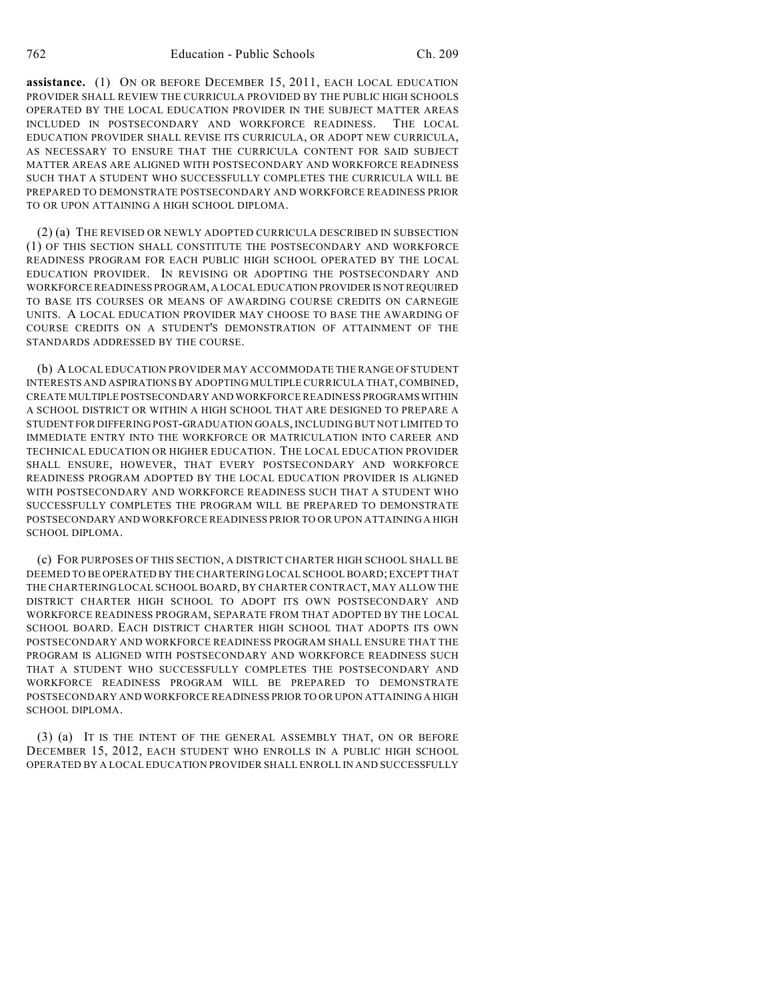**assistance.** (1) ON OR BEFORE DECEMBER 15, 2011, EACH LOCAL EDUCATION PROVIDER SHALL REVIEW THE CURRICULA PROVIDED BY THE PUBLIC HIGH SCHOOLS OPERATED BY THE LOCAL EDUCATION PROVIDER IN THE SUBJECT MATTER AREAS INCLUDED IN POSTSECONDARY AND WORKFORCE READINESS. THE LOCAL EDUCATION PROVIDER SHALL REVISE ITS CURRICULA, OR ADOPT NEW CURRICULA, AS NECESSARY TO ENSURE THAT THE CURRICULA CONTENT FOR SAID SUBJECT MATTER AREAS ARE ALIGNED WITH POSTSECONDARY AND WORKFORCE READINESS SUCH THAT A STUDENT WHO SUCCESSFULLY COMPLETES THE CURRICULA WILL BE PREPARED TO DEMONSTRATE POSTSECONDARY AND WORKFORCE READINESS PRIOR TO OR UPON ATTAINING A HIGH SCHOOL DIPLOMA.

(2) (a) THE REVISED OR NEWLY ADOPTED CURRICULA DESCRIBED IN SUBSECTION (1) OF THIS SECTION SHALL CONSTITUTE THE POSTSECONDARY AND WORKFORCE READINESS PROGRAM FOR EACH PUBLIC HIGH SCHOOL OPERATED BY THE LOCAL EDUCATION PROVIDER. IN REVISING OR ADOPTING THE POSTSECONDARY AND WORKFORCE READINESS PROGRAM, A LOCAL EDUCATION PROVIDER IS NOT REQUIRED TO BASE ITS COURSES OR MEANS OF AWARDING COURSE CREDITS ON CARNEGIE UNITS. A LOCAL EDUCATION PROVIDER MAY CHOOSE TO BASE THE AWARDING OF COURSE CREDITS ON A STUDENT'S DEMONSTRATION OF ATTAINMENT OF THE STANDARDS ADDRESSED BY THE COURSE.

(b) A LOCAL EDUCATION PROVIDER MAY ACCOMMODATE THE RANGE OF STUDENT INTERESTS AND ASPIRATIONS BY ADOPTING MULTIPLE CURRICULA THAT, COMBINED, CREATE MULTIPLE POSTSECONDARY AND WORKFORCE READINESS PROGRAMS WITHIN A SCHOOL DISTRICT OR WITHIN A HIGH SCHOOL THAT ARE DESIGNED TO PREPARE A STUDENT FOR DIFFERING POST-GRADUATION GOALS, INCLUDING BUT NOT LIMITED TO IMMEDIATE ENTRY INTO THE WORKFORCE OR MATRICULATION INTO CAREER AND TECHNICAL EDUCATION OR HIGHER EDUCATION. THE LOCAL EDUCATION PROVIDER SHALL ENSURE, HOWEVER, THAT EVERY POSTSECONDARY AND WORKFORCE READINESS PROGRAM ADOPTED BY THE LOCAL EDUCATION PROVIDER IS ALIGNED WITH POSTSECONDARY AND WORKFORCE READINESS SUCH THAT A STUDENT WHO SUCCESSFULLY COMPLETES THE PROGRAM WILL BE PREPARED TO DEMONSTRATE POSTSECONDARY AND WORKFORCE READINESS PRIOR TO OR UPON ATTAINING A HIGH SCHOOL DIPLOMA.

(c) FOR PURPOSES OF THIS SECTION, A DISTRICT CHARTER HIGH SCHOOL SHALL BE DEEMED TO BE OPERATED BY THE CHARTERING LOCAL SCHOOL BOARD; EXCEPT THAT THE CHARTERING LOCAL SCHOOL BOARD, BY CHARTER CONTRACT, MAY ALLOW THE DISTRICT CHARTER HIGH SCHOOL TO ADOPT ITS OWN POSTSECONDARY AND WORKFORCE READINESS PROGRAM, SEPARATE FROM THAT ADOPTED BY THE LOCAL SCHOOL BOARD. EACH DISTRICT CHARTER HIGH SCHOOL THAT ADOPTS ITS OWN POSTSECONDARY AND WORKFORCE READINESS PROGRAM SHALL ENSURE THAT THE PROGRAM IS ALIGNED WITH POSTSECONDARY AND WORKFORCE READINESS SUCH THAT A STUDENT WHO SUCCESSFULLY COMPLETES THE POSTSECONDARY AND WORKFORCE READINESS PROGRAM WILL BE PREPARED TO DEMONSTRATE POSTSECONDARY AND WORKFORCE READINESS PRIOR TO OR UPON ATTAINING A HIGH SCHOOL DIPLOMA.

(3) (a) IT IS THE INTENT OF THE GENERAL ASSEMBLY THAT, ON OR BEFORE DECEMBER 15, 2012, EACH STUDENT WHO ENROLLS IN A PUBLIC HIGH SCHOOL OPERATED BY A LOCAL EDUCATION PROVIDER SHALL ENROLL IN AND SUCCESSFULLY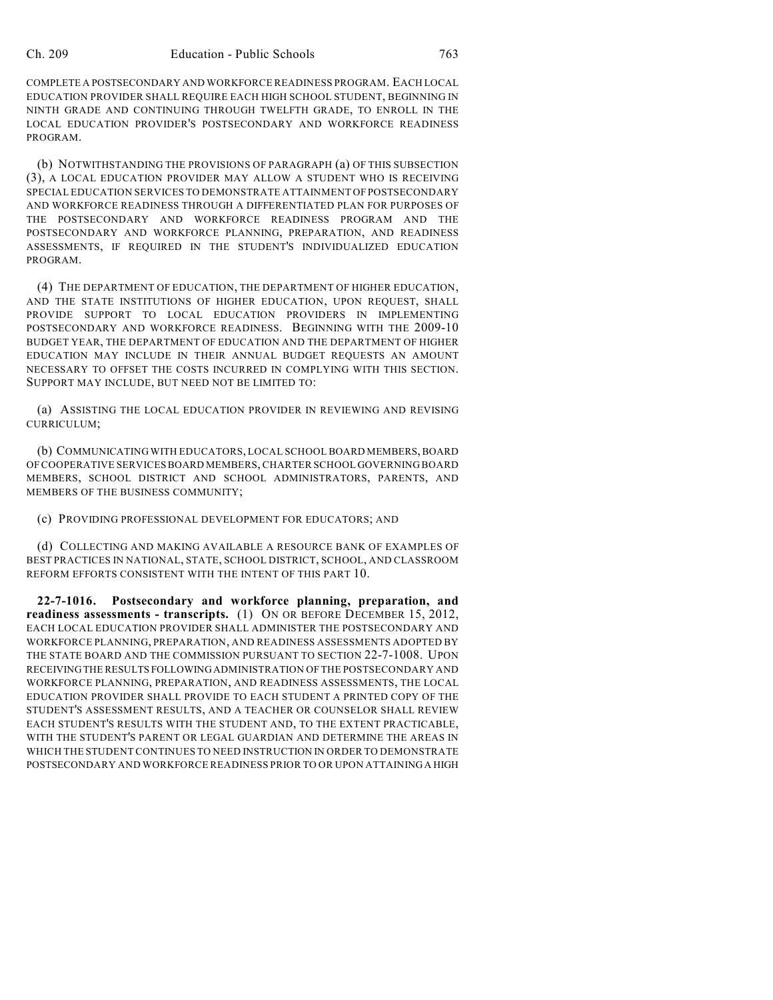COMPLETE A POSTSECONDARY AND WORKFORCE READINESS PROGRAM. EACH LOCAL EDUCATION PROVIDER SHALL REQUIRE EACH HIGH SCHOOL STUDENT, BEGINNING IN NINTH GRADE AND CONTINUING THROUGH TWELFTH GRADE, TO ENROLL IN THE LOCAL EDUCATION PROVIDER'S POSTSECONDARY AND WORKFORCE READINESS PROGRAM.

(b) NOTWITHSTANDING THE PROVISIONS OF PARAGRAPH (a) OF THIS SUBSECTION (3), A LOCAL EDUCATION PROVIDER MAY ALLOW A STUDENT WHO IS RECEIVING SPECIAL EDUCATION SERVICES TO DEMONSTRATE ATTAINMENT OF POSTSECONDARY AND WORKFORCE READINESS THROUGH A DIFFERENTIATED PLAN FOR PURPOSES OF THE POSTSECONDARY AND WORKFORCE READINESS PROGRAM AND THE POSTSECONDARY AND WORKFORCE PLANNING, PREPARATION, AND READINESS ASSESSMENTS, IF REQUIRED IN THE STUDENT'S INDIVIDUALIZED EDUCATION PROGRAM.

(4) THE DEPARTMENT OF EDUCATION, THE DEPARTMENT OF HIGHER EDUCATION, AND THE STATE INSTITUTIONS OF HIGHER EDUCATION, UPON REQUEST, SHALL PROVIDE SUPPORT TO LOCAL EDUCATION PROVIDERS IN IMPLEMENTING POSTSECONDARY AND WORKFORCE READINESS. BEGINNING WITH THE 2009-10 BUDGET YEAR, THE DEPARTMENT OF EDUCATION AND THE DEPARTMENT OF HIGHER EDUCATION MAY INCLUDE IN THEIR ANNUAL BUDGET REQUESTS AN AMOUNT NECESSARY TO OFFSET THE COSTS INCURRED IN COMPLYING WITH THIS SECTION. SUPPORT MAY INCLUDE, BUT NEED NOT BE LIMITED TO:

(a) ASSISTING THE LOCAL EDUCATION PROVIDER IN REVIEWING AND REVISING CURRICULUM;

(b) COMMUNICATING WITH EDUCATORS, LOCAL SCHOOL BOARD MEMBERS, BOARD OF COOPERATIVE SERVICES BOARD MEMBERS, CHARTER SCHOOL GOVERNING BOARD MEMBERS, SCHOOL DISTRICT AND SCHOOL ADMINISTRATORS, PARENTS, AND MEMBERS OF THE BUSINESS COMMUNITY;

(c) PROVIDING PROFESSIONAL DEVELOPMENT FOR EDUCATORS; AND

(d) COLLECTING AND MAKING AVAILABLE A RESOURCE BANK OF EXAMPLES OF BEST PRACTICES IN NATIONAL, STATE, SCHOOL DISTRICT, SCHOOL, AND CLASSROOM REFORM EFFORTS CONSISTENT WITH THE INTENT OF THIS PART 10.

**22-7-1016. Postsecondary and workforce planning, preparation, and readiness assessments - transcripts.** (1) ON OR BEFORE DECEMBER 15, 2012, EACH LOCAL EDUCATION PROVIDER SHALL ADMINISTER THE POSTSECONDARY AND WORKFORCE PLANNING, PREPARATION, AND READINESS ASSESSMENTS ADOPTED BY THE STATE BOARD AND THE COMMISSION PURSUANT TO SECTION 22-7-1008. UPON RECEIVING THE RESULTS FOLLOWING ADMINISTRATION OF THE POSTSECONDARY AND WORKFORCE PLANNING, PREPARATION, AND READINESS ASSESSMENTS, THE LOCAL EDUCATION PROVIDER SHALL PROVIDE TO EACH STUDENT A PRINTED COPY OF THE STUDENT'S ASSESSMENT RESULTS, AND A TEACHER OR COUNSELOR SHALL REVIEW EACH STUDENT'S RESULTS WITH THE STUDENT AND, TO THE EXTENT PRACTICABLE, WITH THE STUDENT'S PARENT OR LEGAL GUARDIAN AND DETERMINE THE AREAS IN WHICH THE STUDENT CONTINUES TO NEED INSTRUCTION IN ORDER TO DEMONSTRATE POSTSECONDARY AND WORKFORCE READINESS PRIOR TO OR UPON ATTAINING A HIGH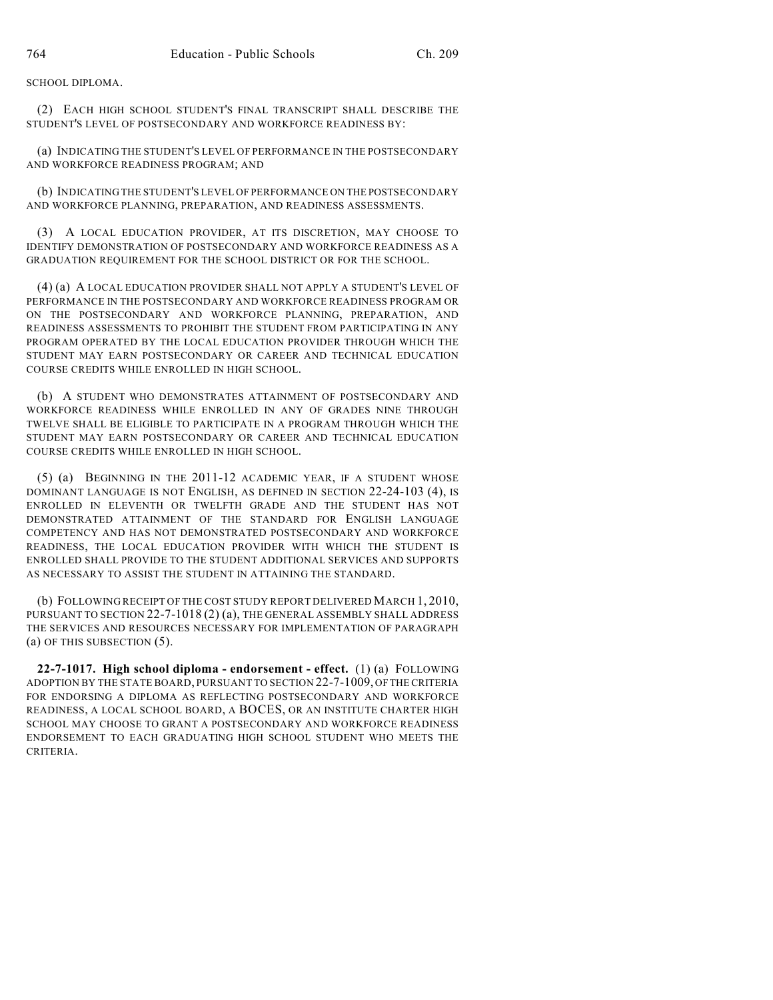SCHOOL DIPLOMA.

(2) EACH HIGH SCHOOL STUDENT'S FINAL TRANSCRIPT SHALL DESCRIBE THE STUDENT'S LEVEL OF POSTSECONDARY AND WORKFORCE READINESS BY:

(a) INDICATING THE STUDENT'S LEVEL OF PERFORMANCE IN THE POSTSECONDARY AND WORKFORCE READINESS PROGRAM; AND

(b) INDICATING THE STUDENT'S LEVEL OF PERFORMANCE ON THE POSTSECONDARY AND WORKFORCE PLANNING, PREPARATION, AND READINESS ASSESSMENTS.

(3) A LOCAL EDUCATION PROVIDER, AT ITS DISCRETION, MAY CHOOSE TO IDENTIFY DEMONSTRATION OF POSTSECONDARY AND WORKFORCE READINESS AS A GRADUATION REQUIREMENT FOR THE SCHOOL DISTRICT OR FOR THE SCHOOL.

(4) (a) A LOCAL EDUCATION PROVIDER SHALL NOT APPLY A STUDENT'S LEVEL OF PERFORMANCE IN THE POSTSECONDARY AND WORKFORCE READINESS PROGRAM OR ON THE POSTSECONDARY AND WORKFORCE PLANNING, PREPARATION, AND READINESS ASSESSMENTS TO PROHIBIT THE STUDENT FROM PARTICIPATING IN ANY PROGRAM OPERATED BY THE LOCAL EDUCATION PROVIDER THROUGH WHICH THE STUDENT MAY EARN POSTSECONDARY OR CAREER AND TECHNICAL EDUCATION COURSE CREDITS WHILE ENROLLED IN HIGH SCHOOL.

(b) A STUDENT WHO DEMONSTRATES ATTAINMENT OF POSTSECONDARY AND WORKFORCE READINESS WHILE ENROLLED IN ANY OF GRADES NINE THROUGH TWELVE SHALL BE ELIGIBLE TO PARTICIPATE IN A PROGRAM THROUGH WHICH THE STUDENT MAY EARN POSTSECONDARY OR CAREER AND TECHNICAL EDUCATION COURSE CREDITS WHILE ENROLLED IN HIGH SCHOOL.

(5) (a) BEGINNING IN THE 2011-12 ACADEMIC YEAR, IF A STUDENT WHOSE DOMINANT LANGUAGE IS NOT ENGLISH, AS DEFINED IN SECTION 22-24-103 (4), IS ENROLLED IN ELEVENTH OR TWELFTH GRADE AND THE STUDENT HAS NOT DEMONSTRATED ATTAINMENT OF THE STANDARD FOR ENGLISH LANGUAGE COMPETENCY AND HAS NOT DEMONSTRATED POSTSECONDARY AND WORKFORCE READINESS, THE LOCAL EDUCATION PROVIDER WITH WHICH THE STUDENT IS ENROLLED SHALL PROVIDE TO THE STUDENT ADDITIONAL SERVICES AND SUPPORTS AS NECESSARY TO ASSIST THE STUDENT IN ATTAINING THE STANDARD.

(b) FOLLOWING RECEIPT OF THE COST STUDY REPORT DELIVERED MARCH 1, 2010, PURSUANT TO SECTION 22-7-1018 (2) (a), THE GENERAL ASSEMBLY SHALL ADDRESS THE SERVICES AND RESOURCES NECESSARY FOR IMPLEMENTATION OF PARAGRAPH (a) OF THIS SUBSECTION (5).

**22-7-1017. High school diploma - endorsement - effect.** (1) (a) FOLLOWING ADOPTION BY THE STATE BOARD, PURSUANT TO SECTION 22-7-1009, OF THE CRITERIA FOR ENDORSING A DIPLOMA AS REFLECTING POSTSECONDARY AND WORKFORCE READINESS, A LOCAL SCHOOL BOARD, A BOCES, OR AN INSTITUTE CHARTER HIGH SCHOOL MAY CHOOSE TO GRANT A POSTSECONDARY AND WORKFORCE READINESS ENDORSEMENT TO EACH GRADUATING HIGH SCHOOL STUDENT WHO MEETS THE CRITERIA.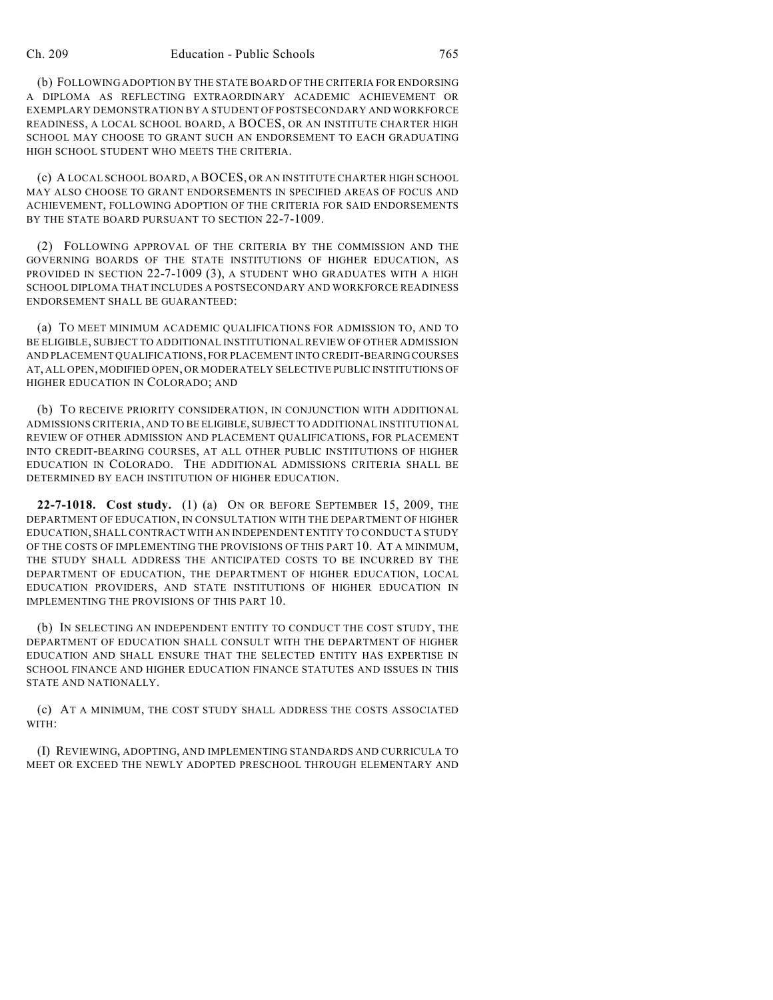(b) FOLLOWING ADOPTION BY THE STATE BOARD OF THE CRITERIA FOR ENDORSING A DIPLOMA AS REFLECTING EXTRAORDINARY ACADEMIC ACHIEVEMENT OR EXEMPLARY DEMONSTRATION BY A STUDENT OF POSTSECONDARY AND WORKFORCE READINESS, A LOCAL SCHOOL BOARD, A BOCES, OR AN INSTITUTE CHARTER HIGH SCHOOL MAY CHOOSE TO GRANT SUCH AN ENDORSEMENT TO EACH GRADUATING HIGH SCHOOL STUDENT WHO MEETS THE CRITERIA.

(c) A LOCAL SCHOOL BOARD, A BOCES, OR AN INSTITUTE CHARTER HIGH SCHOOL MAY ALSO CHOOSE TO GRANT ENDORSEMENTS IN SPECIFIED AREAS OF FOCUS AND ACHIEVEMENT, FOLLOWING ADOPTION OF THE CRITERIA FOR SAID ENDORSEMENTS BY THE STATE BOARD PURSUANT TO SECTION 22-7-1009.

(2) FOLLOWING APPROVAL OF THE CRITERIA BY THE COMMISSION AND THE GOVERNING BOARDS OF THE STATE INSTITUTIONS OF HIGHER EDUCATION, AS PROVIDED IN SECTION 22-7-1009 (3), A STUDENT WHO GRADUATES WITH A HIGH SCHOOL DIPLOMA THAT INCLUDES A POSTSECONDARY AND WORKFORCE READINESS ENDORSEMENT SHALL BE GUARANTEED:

(a) TO MEET MINIMUM ACADEMIC QUALIFICATIONS FOR ADMISSION TO, AND TO BE ELIGIBLE, SUBJECT TO ADDITIONAL INSTITUTIONAL REVIEW OF OTHER ADMISSION AND PLACEMENT QUALIFICATIONS, FOR PLACEMENT INTO CREDIT-BEARING COURSES AT, ALL OPEN, MODIFIED OPEN, OR MODERATELY SELECTIVE PUBLIC INSTITUTIONS OF HIGHER EDUCATION IN COLORADO; AND

(b) TO RECEIVE PRIORITY CONSIDERATION, IN CONJUNCTION WITH ADDITIONAL ADMISSIONS CRITERIA, AND TO BE ELIGIBLE, SUBJECT TO ADDITIONAL INSTITUTIONAL REVIEW OF OTHER ADMISSION AND PLACEMENT QUALIFICATIONS, FOR PLACEMENT INTO CREDIT-BEARING COURSES, AT ALL OTHER PUBLIC INSTITUTIONS OF HIGHER EDUCATION IN COLORADO. THE ADDITIONAL ADMISSIONS CRITERIA SHALL BE DETERMINED BY EACH INSTITUTION OF HIGHER EDUCATION.

**22-7-1018. Cost study.** (1) (a) ON OR BEFORE SEPTEMBER 15, 2009, THE DEPARTMENT OF EDUCATION, IN CONSULTATION WITH THE DEPARTMENT OF HIGHER EDUCATION, SHALL CONTRACT WITH AN INDEPENDENT ENTITY TO CONDUCT A STUDY OF THE COSTS OF IMPLEMENTING THE PROVISIONS OF THIS PART 10. AT A MINIMUM, THE STUDY SHALL ADDRESS THE ANTICIPATED COSTS TO BE INCURRED BY THE DEPARTMENT OF EDUCATION, THE DEPARTMENT OF HIGHER EDUCATION, LOCAL EDUCATION PROVIDERS, AND STATE INSTITUTIONS OF HIGHER EDUCATION IN IMPLEMENTING THE PROVISIONS OF THIS PART 10.

(b) IN SELECTING AN INDEPENDENT ENTITY TO CONDUCT THE COST STUDY, THE DEPARTMENT OF EDUCATION SHALL CONSULT WITH THE DEPARTMENT OF HIGHER EDUCATION AND SHALL ENSURE THAT THE SELECTED ENTITY HAS EXPERTISE IN SCHOOL FINANCE AND HIGHER EDUCATION FINANCE STATUTES AND ISSUES IN THIS STATE AND NATIONALLY.

(c) AT A MINIMUM, THE COST STUDY SHALL ADDRESS THE COSTS ASSOCIATED WITH:

(I) REVIEWING, ADOPTING, AND IMPLEMENTING STANDARDS AND CURRICULA TO MEET OR EXCEED THE NEWLY ADOPTED PRESCHOOL THROUGH ELEMENTARY AND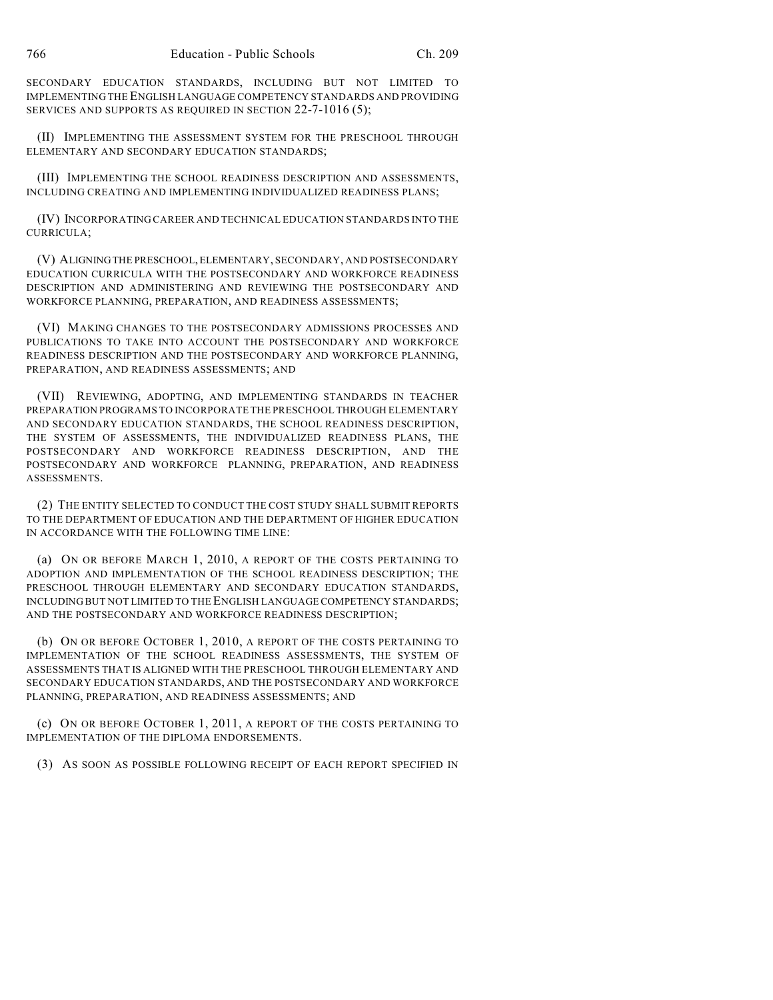SECONDARY EDUCATION STANDARDS, INCLUDING BUT NOT LIMITED TO IMPLEMENTING THE ENGLISH LANGUAGE COMPETENCY STANDARDS AND PROVIDING SERVICES AND SUPPORTS AS REQUIRED IN SECTION 22-7-1016 (5);

(II) IMPLEMENTING THE ASSESSMENT SYSTEM FOR THE PRESCHOOL THROUGH ELEMENTARY AND SECONDARY EDUCATION STANDARDS;

(III) IMPLEMENTING THE SCHOOL READINESS DESCRIPTION AND ASSESSMENTS, INCLUDING CREATING AND IMPLEMENTING INDIVIDUALIZED READINESS PLANS;

(IV) INCORPORATING CAREER AND TECHNICAL EDUCATION STANDARDS INTO THE CURRICULA;

(V) ALIGNING THE PRESCHOOL, ELEMENTARY, SECONDARY, AND POSTSECONDARY EDUCATION CURRICULA WITH THE POSTSECONDARY AND WORKFORCE READINESS DESCRIPTION AND ADMINISTERING AND REVIEWING THE POSTSECONDARY AND WORKFORCE PLANNING, PREPARATION, AND READINESS ASSESSMENTS;

(VI) MAKING CHANGES TO THE POSTSECONDARY ADMISSIONS PROCESSES AND PUBLICATIONS TO TAKE INTO ACCOUNT THE POSTSECONDARY AND WORKFORCE READINESS DESCRIPTION AND THE POSTSECONDARY AND WORKFORCE PLANNING, PREPARATION, AND READINESS ASSESSMENTS; AND

(VII) REVIEWING, ADOPTING, AND IMPLEMENTING STANDARDS IN TEACHER PREPARATION PROGRAMS TO INCORPORATE THE PRESCHOOL THROUGH ELEMENTARY AND SECONDARY EDUCATION STANDARDS, THE SCHOOL READINESS DESCRIPTION, THE SYSTEM OF ASSESSMENTS, THE INDIVIDUALIZED READINESS PLANS, THE POSTSECONDARY AND WORKFORCE READINESS DESCRIPTION, AND THE POSTSECONDARY AND WORKFORCE PLANNING, PREPARATION, AND READINESS ASSESSMENTS.

(2) THE ENTITY SELECTED TO CONDUCT THE COST STUDY SHALL SUBMIT REPORTS TO THE DEPARTMENT OF EDUCATION AND THE DEPARTMENT OF HIGHER EDUCATION IN ACCORDANCE WITH THE FOLLOWING TIME LINE:

(a) ON OR BEFORE MARCH 1, 2010, A REPORT OF THE COSTS PERTAINING TO ADOPTION AND IMPLEMENTATION OF THE SCHOOL READINESS DESCRIPTION; THE PRESCHOOL THROUGH ELEMENTARY AND SECONDARY EDUCATION STANDARDS, INCLUDING BUT NOT LIMITED TO THE ENGLISH LANGUAGE COMPETENCY STANDARDS; AND THE POSTSECONDARY AND WORKFORCE READINESS DESCRIPTION;

(b) ON OR BEFORE OCTOBER 1, 2010, A REPORT OF THE COSTS PERTAINING TO IMPLEMENTATION OF THE SCHOOL READINESS ASSESSMENTS, THE SYSTEM OF ASSESSMENTS THAT IS ALIGNED WITH THE PRESCHOOL THROUGH ELEMENTARY AND SECONDARY EDUCATION STANDARDS, AND THE POSTSECONDARY AND WORKFORCE PLANNING, PREPARATION, AND READINESS ASSESSMENTS; AND

(c) ON OR BEFORE OCTOBER 1, 2011, A REPORT OF THE COSTS PERTAINING TO IMPLEMENTATION OF THE DIPLOMA ENDORSEMENTS.

(3) AS SOON AS POSSIBLE FOLLOWING RECEIPT OF EACH REPORT SPECIFIED IN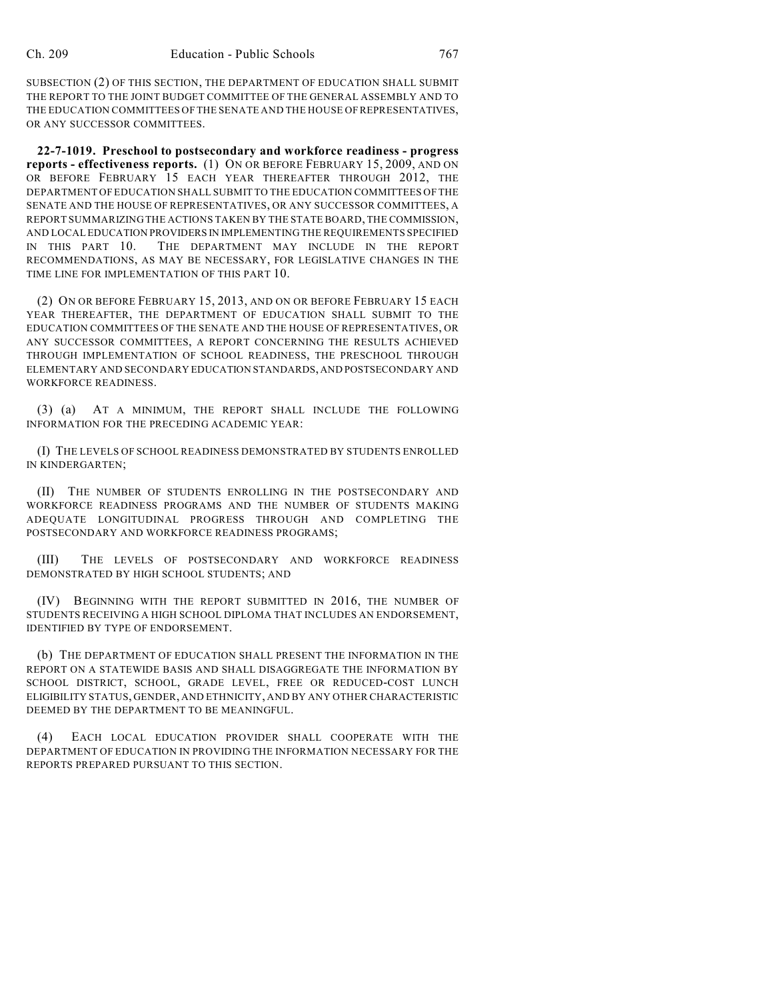SUBSECTION (2) OF THIS SECTION, THE DEPARTMENT OF EDUCATION SHALL SUBMIT THE REPORT TO THE JOINT BUDGET COMMITTEE OF THE GENERAL ASSEMBLY AND TO THE EDUCATION COMMITTEES OF THE SENATE AND THE HOUSE OF REPRESENTATIVES, OR ANY SUCCESSOR COMMITTEES.

**22-7-1019. Preschool to postsecondary and workforce readiness - progress reports - effectiveness reports.** (1) ON OR BEFORE FEBRUARY 15, 2009, AND ON OR BEFORE FEBRUARY 15 EACH YEAR THEREAFTER THROUGH 2012, THE DEPARTMENT OF EDUCATION SHALL SUBMIT TO THE EDUCATION COMMITTEES OF THE SENATE AND THE HOUSE OF REPRESENTATIVES, OR ANY SUCCESSOR COMMITTEES, A REPORT SUMMARIZING THE ACTIONS TAKEN BY THE STATE BOARD, THE COMMISSION, AND LOCAL EDUCATION PROVIDERS IN IMPLEMENTING THE REQUIREMENTS SPECIFIED IN THIS PART 10. THE DEPARTMENT MAY INCLUDE IN THE REPORT RECOMMENDATIONS, AS MAY BE NECESSARY, FOR LEGISLATIVE CHANGES IN THE TIME LINE FOR IMPLEMENTATION OF THIS PART 10.

(2) ON OR BEFORE FEBRUARY 15, 2013, AND ON OR BEFORE FEBRUARY 15 EACH YEAR THEREAFTER, THE DEPARTMENT OF EDUCATION SHALL SUBMIT TO THE EDUCATION COMMITTEES OF THE SENATE AND THE HOUSE OF REPRESENTATIVES, OR ANY SUCCESSOR COMMITTEES, A REPORT CONCERNING THE RESULTS ACHIEVED THROUGH IMPLEMENTATION OF SCHOOL READINESS, THE PRESCHOOL THROUGH ELEMENTARY AND SECONDARY EDUCATION STANDARDS, AND POSTSECONDARY AND WORKFORCE READINESS.

(3) (a) AT A MINIMUM, THE REPORT SHALL INCLUDE THE FOLLOWING INFORMATION FOR THE PRECEDING ACADEMIC YEAR:

(I) THE LEVELS OF SCHOOL READINESS DEMONSTRATED BY STUDENTS ENROLLED IN KINDERGARTEN;

(II) THE NUMBER OF STUDENTS ENROLLING IN THE POSTSECONDARY AND WORKFORCE READINESS PROGRAMS AND THE NUMBER OF STUDENTS MAKING ADEQUATE LONGITUDINAL PROGRESS THROUGH AND COMPLETING THE POSTSECONDARY AND WORKFORCE READINESS PROGRAMS;

(III) THE LEVELS OF POSTSECONDARY AND WORKFORCE READINESS DEMONSTRATED BY HIGH SCHOOL STUDENTS; AND

(IV) BEGINNING WITH THE REPORT SUBMITTED IN 2016, THE NUMBER OF STUDENTS RECEIVING A HIGH SCHOOL DIPLOMA THAT INCLUDES AN ENDORSEMENT, IDENTIFIED BY TYPE OF ENDORSEMENT.

(b) THE DEPARTMENT OF EDUCATION SHALL PRESENT THE INFORMATION IN THE REPORT ON A STATEWIDE BASIS AND SHALL DISAGGREGATE THE INFORMATION BY SCHOOL DISTRICT, SCHOOL, GRADE LEVEL, FREE OR REDUCED-COST LUNCH ELIGIBILITY STATUS, GENDER, AND ETHNICITY, AND BY ANY OTHER CHARACTERISTIC DEEMED BY THE DEPARTMENT TO BE MEANINGFUL.

(4) EACH LOCAL EDUCATION PROVIDER SHALL COOPERATE WITH THE DEPARTMENT OF EDUCATION IN PROVIDING THE INFORMATION NECESSARY FOR THE REPORTS PREPARED PURSUANT TO THIS SECTION.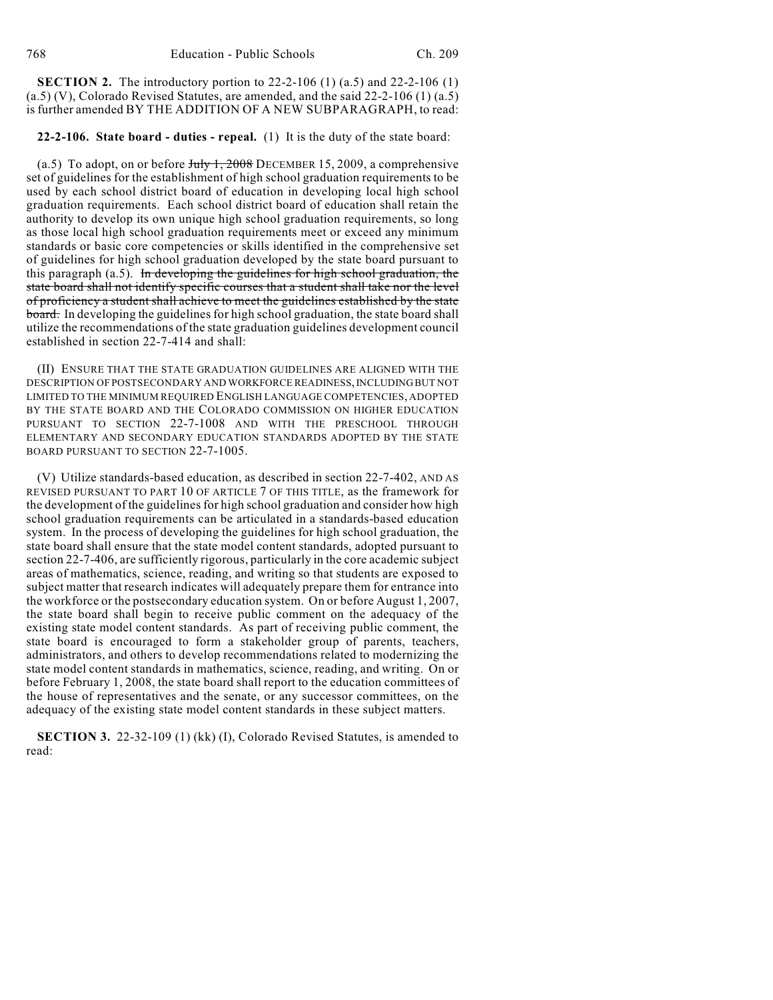**SECTION 2.** The introductory portion to 22-2-106 (1) (a.5) and 22-2-106 (1)  $(a.5)$  (V), Colorado Revised Statutes, are amended, and the said 22-2-106 (1)  $(a.5)$ is further amended BY THE ADDITION OF A NEW SUBPARAGRAPH, to read:

#### **22-2-106. State board - duties - repeal.** (1) It is the duty of the state board:

(a.5) To adopt, on or before  $J_{\text{uly}}$  1, 2008 DECEMBER 15, 2009, a comprehensive set of guidelines for the establishment of high school graduation requirements to be used by each school district board of education in developing local high school graduation requirements. Each school district board of education shall retain the authority to develop its own unique high school graduation requirements, so long as those local high school graduation requirements meet or exceed any minimum standards or basic core competencies or skills identified in the comprehensive set of guidelines for high school graduation developed by the state board pursuant to this paragraph (a.5). In developing the guidelines for high school graduation, the state board shall not identify specific courses that a student shall take nor the level of proficiency a student shall achieve to meet the guidelines established by the state board. In developing the guidelines for high school graduation, the state board shall utilize the recommendations of the state graduation guidelines development council established in section 22-7-414 and shall:

(II) ENSURE THAT THE STATE GRADUATION GUIDELINES ARE ALIGNED WITH THE DESCRIPTION OF POSTSECONDARY AND WORKFORCE READINESS, INCLUDING BUT NOT LIMITED TO THE MINIMUM REQUIRED ENGLISH LANGUAGE COMPETENCIES, ADOPTED BY THE STATE BOARD AND THE COLORADO COMMISSION ON HIGHER EDUCATION PURSUANT TO SECTION 22-7-1008 AND WITH THE PRESCHOOL THROUGH ELEMENTARY AND SECONDARY EDUCATION STANDARDS ADOPTED BY THE STATE BOARD PURSUANT TO SECTION 22-7-1005.

(V) Utilize standards-based education, as described in section 22-7-402, AND AS REVISED PURSUANT TO PART 10 OF ARTICLE 7 OF THIS TITLE, as the framework for the development of the guidelines for high school graduation and consider how high school graduation requirements can be articulated in a standards-based education system. In the process of developing the guidelines for high school graduation, the state board shall ensure that the state model content standards, adopted pursuant to section 22-7-406, are sufficiently rigorous, particularly in the core academic subject areas of mathematics, science, reading, and writing so that students are exposed to subject matter that research indicates will adequately prepare them for entrance into the workforce or the postsecondary education system. On or before August 1, 2007, the state board shall begin to receive public comment on the adequacy of the existing state model content standards. As part of receiving public comment, the state board is encouraged to form a stakeholder group of parents, teachers, administrators, and others to develop recommendations related to modernizing the state model content standards in mathematics, science, reading, and writing. On or before February 1, 2008, the state board shall report to the education committees of the house of representatives and the senate, or any successor committees, on the adequacy of the existing state model content standards in these subject matters.

**SECTION 3.** 22-32-109 (1) (kk) (I), Colorado Revised Statutes, is amended to read: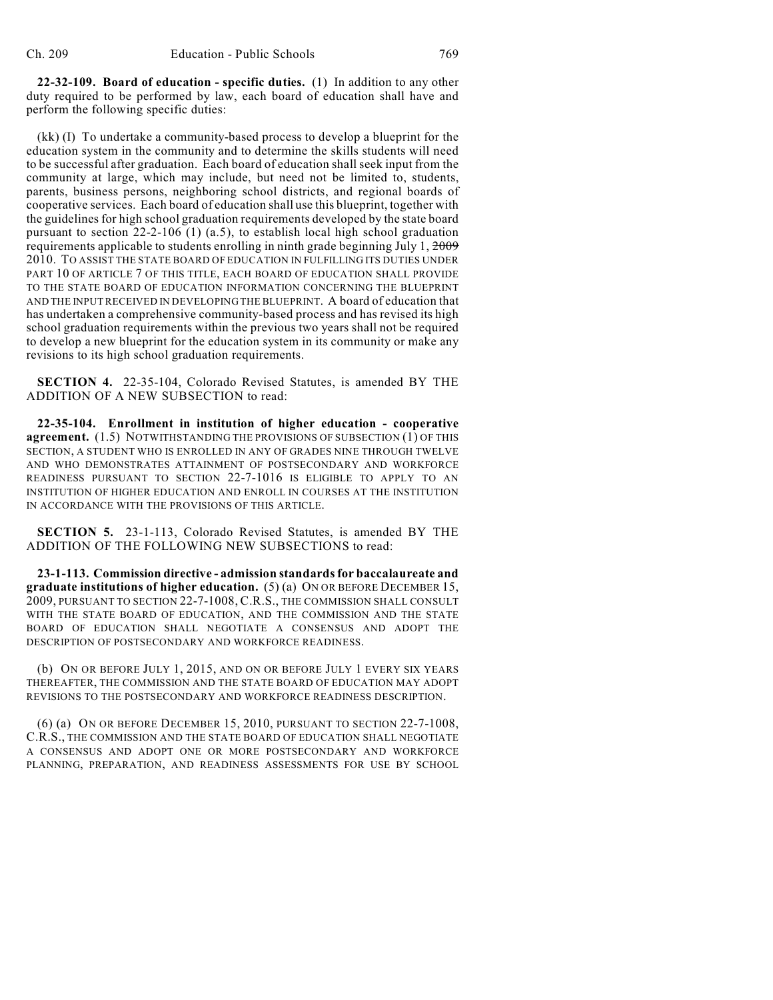**22-32-109. Board of education - specific duties.** (1) In addition to any other duty required to be performed by law, each board of education shall have and perform the following specific duties:

(kk) (I) To undertake a community-based process to develop a blueprint for the education system in the community and to determine the skills students will need to be successful after graduation. Each board of education shall seek input from the community at large, which may include, but need not be limited to, students, parents, business persons, neighboring school districts, and regional boards of cooperative services. Each board of education shall use this blueprint, together with the guidelines for high school graduation requirements developed by the state board pursuant to section  $22-2-106$  (1) (a.5), to establish local high school graduation requirements applicable to students enrolling in ninth grade beginning July 1, 2009 2010. TO ASSIST THE STATE BOARD OF EDUCATION IN FULFILLING ITS DUTIES UNDER PART 10 OF ARTICLE 7 OF THIS TITLE, EACH BOARD OF EDUCATION SHALL PROVIDE TO THE STATE BOARD OF EDUCATION INFORMATION CONCERNING THE BLUEPRINT AND THE INPUT RECEIVED IN DEVELOPING THE BLUEPRINT. A board of education that has undertaken a comprehensive community-based process and has revised its high school graduation requirements within the previous two years shall not be required to develop a new blueprint for the education system in its community or make any revisions to its high school graduation requirements.

**SECTION 4.** 22-35-104, Colorado Revised Statutes, is amended BY THE ADDITION OF A NEW SUBSECTION to read:

**22-35-104. Enrollment in institution of higher education - cooperative agreement.** (1.5) NOTWITHSTANDING THE PROVISIONS OF SUBSECTION (1) OF THIS SECTION, A STUDENT WHO IS ENROLLED IN ANY OF GRADES NINE THROUGH TWELVE AND WHO DEMONSTRATES ATTAINMENT OF POSTSECONDARY AND WORKFORCE READINESS PURSUANT TO SECTION 22-7-1016 IS ELIGIBLE TO APPLY TO AN INSTITUTION OF HIGHER EDUCATION AND ENROLL IN COURSES AT THE INSTITUTION IN ACCORDANCE WITH THE PROVISIONS OF THIS ARTICLE.

**SECTION 5.** 23-1-113, Colorado Revised Statutes, is amended BY THE ADDITION OF THE FOLLOWING NEW SUBSECTIONS to read:

**23-1-113. Commission directive - admission standards for baccalaureate and graduate institutions of higher education.** (5) (a) ON OR BEFORE DECEMBER 15, 2009, PURSUANT TO SECTION 22-7-1008, C.R.S., THE COMMISSION SHALL CONSULT WITH THE STATE BOARD OF EDUCATION, AND THE COMMISSION AND THE STATE BOARD OF EDUCATION SHALL NEGOTIATE A CONSENSUS AND ADOPT THE DESCRIPTION OF POSTSECONDARY AND WORKFORCE READINESS.

(b) ON OR BEFORE JULY 1, 2015, AND ON OR BEFORE JULY 1 EVERY SIX YEARS THEREAFTER, THE COMMISSION AND THE STATE BOARD OF EDUCATION MAY ADOPT REVISIONS TO THE POSTSECONDARY AND WORKFORCE READINESS DESCRIPTION.

(6) (a) ON OR BEFORE DECEMBER 15, 2010, PURSUANT TO SECTION 22-7-1008, C.R.S., THE COMMISSION AND THE STATE BOARD OF EDUCATION SHALL NEGOTIATE A CONSENSUS AND ADOPT ONE OR MORE POSTSECONDARY AND WORKFORCE PLANNING, PREPARATION, AND READINESS ASSESSMENTS FOR USE BY SCHOOL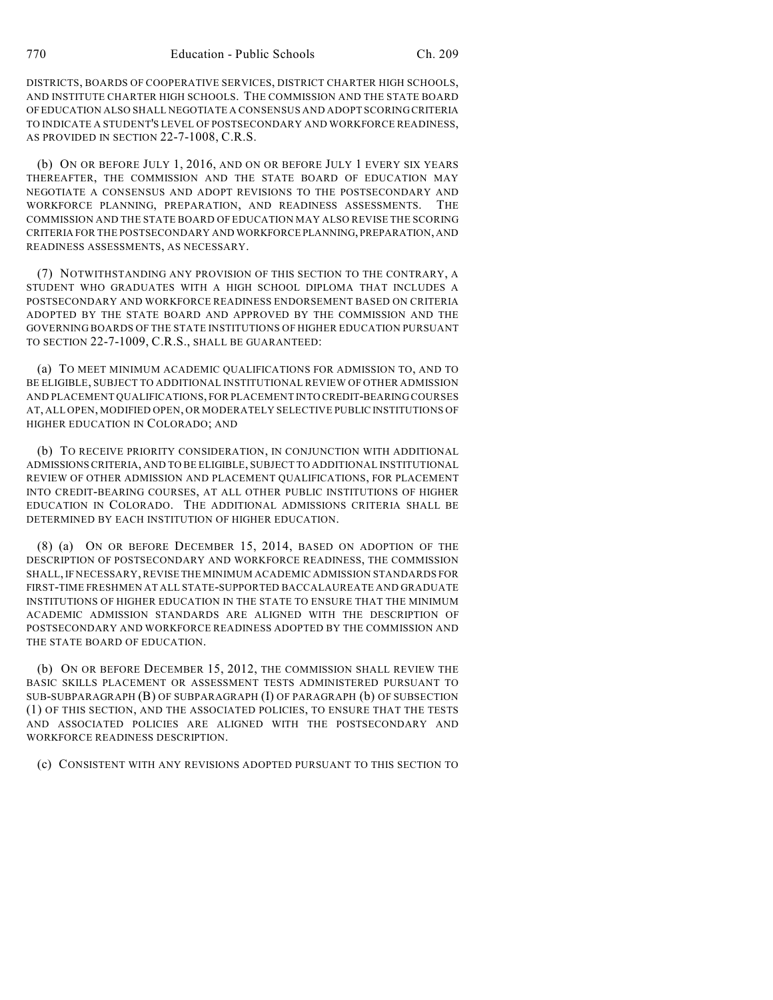DISTRICTS, BOARDS OF COOPERATIVE SERVICES, DISTRICT CHARTER HIGH SCHOOLS, AND INSTITUTE CHARTER HIGH SCHOOLS. THE COMMISSION AND THE STATE BOARD OF EDUCATION ALSO SHALL NEGOTIATE A CONSENSUS AND ADOPT SCORING CRITERIA TO INDICATE A STUDENT'S LEVEL OF POSTSECONDARY AND WORKFORCE READINESS, AS PROVIDED IN SECTION 22-7-1008, C.R.S.

(b) ON OR BEFORE JULY 1, 2016, AND ON OR BEFORE JULY 1 EVERY SIX YEARS THEREAFTER, THE COMMISSION AND THE STATE BOARD OF EDUCATION MAY NEGOTIATE A CONSENSUS AND ADOPT REVISIONS TO THE POSTSECONDARY AND WORKFORCE PLANNING, PREPARATION, AND READINESS ASSESSMENTS. THE COMMISSION AND THE STATE BOARD OF EDUCATION MAY ALSO REVISE THE SCORING CRITERIA FOR THE POSTSECONDARY AND WORKFORCE PLANNING, PREPARATION, AND READINESS ASSESSMENTS, AS NECESSARY.

(7) NOTWITHSTANDING ANY PROVISION OF THIS SECTION TO THE CONTRARY, A STUDENT WHO GRADUATES WITH A HIGH SCHOOL DIPLOMA THAT INCLUDES A POSTSECONDARY AND WORKFORCE READINESS ENDORSEMENT BASED ON CRITERIA ADOPTED BY THE STATE BOARD AND APPROVED BY THE COMMISSION AND THE GOVERNING BOARDS OF THE STATE INSTITUTIONS OF HIGHER EDUCATION PURSUANT TO SECTION 22-7-1009, C.R.S., SHALL BE GUARANTEED:

(a) TO MEET MINIMUM ACADEMIC QUALIFICATIONS FOR ADMISSION TO, AND TO BE ELIGIBLE, SUBJECT TO ADDITIONAL INSTITUTIONAL REVIEW OF OTHER ADMISSION AND PLACEMENT QUALIFICATIONS, FOR PLACEMENT INTO CREDIT-BEARING COURSES AT, ALL OPEN, MODIFIED OPEN, OR MODERATELY SELECTIVE PUBLIC INSTITUTIONS OF HIGHER EDUCATION IN COLORADO; AND

(b) TO RECEIVE PRIORITY CONSIDERATION, IN CONJUNCTION WITH ADDITIONAL ADMISSIONS CRITERIA, AND TO BE ELIGIBLE, SUBJECT TO ADDITIONAL INSTITUTIONAL REVIEW OF OTHER ADMISSION AND PLACEMENT QUALIFICATIONS, FOR PLACEMENT INTO CREDIT-BEARING COURSES, AT ALL OTHER PUBLIC INSTITUTIONS OF HIGHER EDUCATION IN COLORADO. THE ADDITIONAL ADMISSIONS CRITERIA SHALL BE DETERMINED BY EACH INSTITUTION OF HIGHER EDUCATION.

(8) (a) ON OR BEFORE DECEMBER 15, 2014, BASED ON ADOPTION OF THE DESCRIPTION OF POSTSECONDARY AND WORKFORCE READINESS, THE COMMISSION SHALL, IF NECESSARY, REVISE THE MINIMUM ACADEMIC ADMISSION STANDARDS FOR FIRST-TIME FRESHMEN AT ALL STATE-SUPPORTED BACCALAUREATE AND GRADUATE INSTITUTIONS OF HIGHER EDUCATION IN THE STATE TO ENSURE THAT THE MINIMUM ACADEMIC ADMISSION STANDARDS ARE ALIGNED WITH THE DESCRIPTION OF POSTSECONDARY AND WORKFORCE READINESS ADOPTED BY THE COMMISSION AND THE STATE BOARD OF EDUCATION.

(b) ON OR BEFORE DECEMBER 15, 2012, THE COMMISSION SHALL REVIEW THE BASIC SKILLS PLACEMENT OR ASSESSMENT TESTS ADMINISTERED PURSUANT TO SUB-SUBPARAGRAPH (B) OF SUBPARAGRAPH (I) OF PARAGRAPH (b) OF SUBSECTION (1) OF THIS SECTION, AND THE ASSOCIATED POLICIES, TO ENSURE THAT THE TESTS AND ASSOCIATED POLICIES ARE ALIGNED WITH THE POSTSECONDARY AND WORKFORCE READINESS DESCRIPTION.

(c) CONSISTENT WITH ANY REVISIONS ADOPTED PURSUANT TO THIS SECTION TO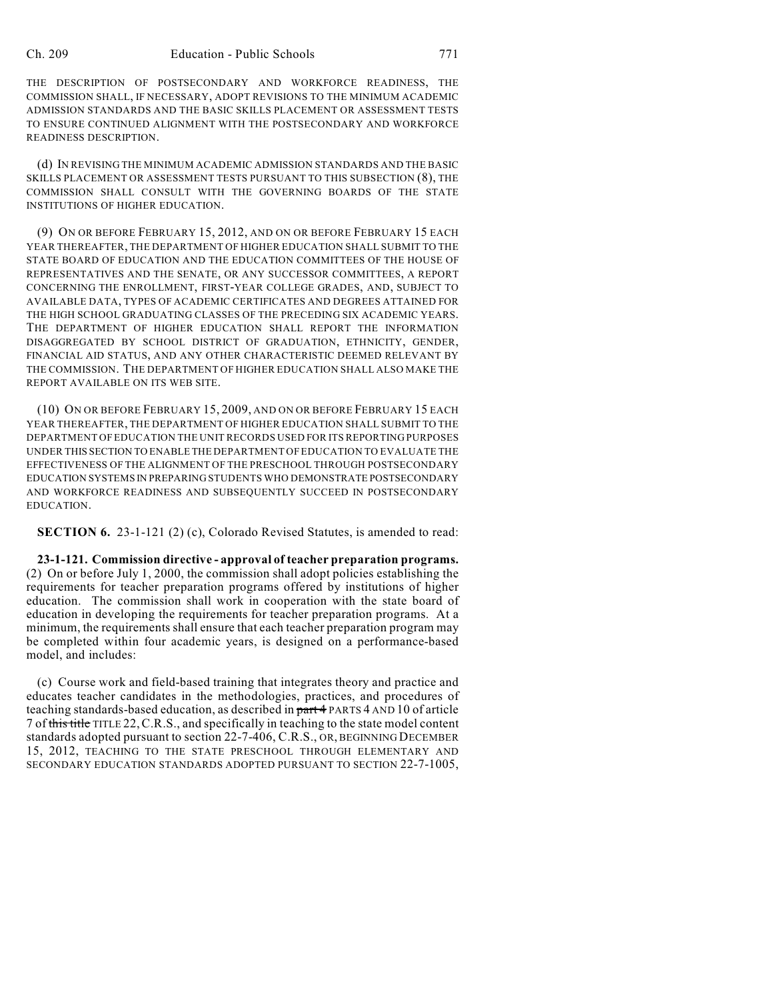THE DESCRIPTION OF POSTSECONDARY AND WORKFORCE READINESS, THE COMMISSION SHALL, IF NECESSARY, ADOPT REVISIONS TO THE MINIMUM ACADEMIC ADMISSION STANDARDS AND THE BASIC SKILLS PLACEMENT OR ASSESSMENT TESTS TO ENSURE CONTINUED ALIGNMENT WITH THE POSTSECONDARY AND WORKFORCE READINESS DESCRIPTION.

(d) IN REVISING THE MINIMUM ACADEMIC ADMISSION STANDARDS AND THE BASIC SKILLS PLACEMENT OR ASSESSMENT TESTS PURSUANT TO THIS SUBSECTION (8), THE COMMISSION SHALL CONSULT WITH THE GOVERNING BOARDS OF THE STATE INSTITUTIONS OF HIGHER EDUCATION.

(9) ON OR BEFORE FEBRUARY 15, 2012, AND ON OR BEFORE FEBRUARY 15 EACH YEAR THEREAFTER, THE DEPARTMENT OF HIGHER EDUCATION SHALL SUBMIT TO THE STATE BOARD OF EDUCATION AND THE EDUCATION COMMITTEES OF THE HOUSE OF REPRESENTATIVES AND THE SENATE, OR ANY SUCCESSOR COMMITTEES, A REPORT CONCERNING THE ENROLLMENT, FIRST-YEAR COLLEGE GRADES, AND, SUBJECT TO AVAILABLE DATA, TYPES OF ACADEMIC CERTIFICATES AND DEGREES ATTAINED FOR THE HIGH SCHOOL GRADUATING CLASSES OF THE PRECEDING SIX ACADEMIC YEARS. THE DEPARTMENT OF HIGHER EDUCATION SHALL REPORT THE INFORMATION DISAGGREGATED BY SCHOOL DISTRICT OF GRADUATION, ETHNICITY, GENDER, FINANCIAL AID STATUS, AND ANY OTHER CHARACTERISTIC DEEMED RELEVANT BY THE COMMISSION. THE DEPARTMENT OF HIGHER EDUCATION SHALL ALSO MAKE THE REPORT AVAILABLE ON ITS WEB SITE.

(10) ON OR BEFORE FEBRUARY 15, 2009, AND ON OR BEFORE FEBRUARY 15 EACH YEAR THEREAFTER, THE DEPARTMENT OF HIGHER EDUCATION SHALL SUBMIT TO THE DEPARTMENT OF EDUCATION THE UNIT RECORDS USED FOR ITS REPORTING PURPOSES UNDER THIS SECTION TO ENABLE THE DEPARTMENT OF EDUCATION TO EVALUATE THE EFFECTIVENESS OF THE ALIGNMENT OF THE PRESCHOOL THROUGH POSTSECONDARY EDUCATION SYSTEMS IN PREPARING STUDENTS WHO DEMONSTRATE POSTSECONDARY AND WORKFORCE READINESS AND SUBSEQUENTLY SUCCEED IN POSTSECONDARY EDUCATION.

**SECTION 6.** 23-1-121 (2) (c), Colorado Revised Statutes, is amended to read:

**23-1-121. Commission directive - approval of teacher preparation programs.** (2) On or before July 1, 2000, the commission shall adopt policies establishing the requirements for teacher preparation programs offered by institutions of higher education. The commission shall work in cooperation with the state board of education in developing the requirements for teacher preparation programs. At a minimum, the requirements shall ensure that each teacher preparation program may be completed within four academic years, is designed on a performance-based model, and includes:

(c) Course work and field-based training that integrates theory and practice and educates teacher candidates in the methodologies, practices, and procedures of teaching standards-based education, as described in part 4 PARTS 4 AND 10 of article 7 of this title TITLE 22,C.R.S., and specifically in teaching to the state model content standards adopted pursuant to section 22-7-406, C.R.S., OR, BEGINNING DECEMBER 15, 2012, TEACHING TO THE STATE PRESCHOOL THROUGH ELEMENTARY AND SECONDARY EDUCATION STANDARDS ADOPTED PURSUANT TO SECTION 22-7-1005,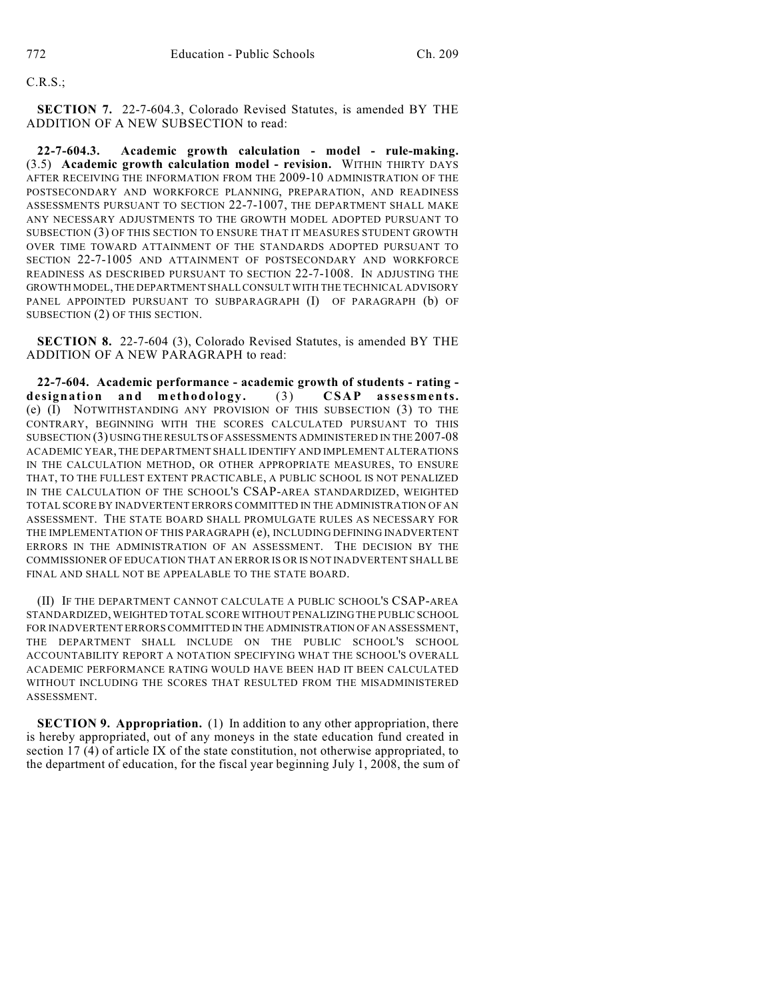### C.R.S.;

**SECTION 7.** 22-7-604.3, Colorado Revised Statutes, is amended BY THE ADDITION OF A NEW SUBSECTION to read:

**22-7-604.3. Academic growth calculation - model - rule-making.** (3.5) **Academic growth calculation model - revision.** WITHIN THIRTY DAYS AFTER RECEIVING THE INFORMATION FROM THE 2009-10 ADMINISTRATION OF THE POSTSECONDARY AND WORKFORCE PLANNING, PREPARATION, AND READINESS ASSESSMENTS PURSUANT TO SECTION 22-7-1007, THE DEPARTMENT SHALL MAKE ANY NECESSARY ADJUSTMENTS TO THE GROWTH MODEL ADOPTED PURSUANT TO SUBSECTION (3) OF THIS SECTION TO ENSURE THAT IT MEASURES STUDENT GROWTH OVER TIME TOWARD ATTAINMENT OF THE STANDARDS ADOPTED PURSUANT TO SECTION 22-7-1005 AND ATTAINMENT OF POSTSECONDARY AND WORKFORCE READINESS AS DESCRIBED PURSUANT TO SECTION 22-7-1008. IN ADJUSTING THE GROWTH MODEL, THE DEPARTMENT SHALL CONSULT WITH THE TECHNICAL ADVISORY PANEL APPOINTED PURSUANT TO SUBPARAGRAPH (I) OF PARAGRAPH (b) OF SUBSECTION (2) OF THIS SECTION.

**SECTION 8.** 22-7-604 (3), Colorado Revised Statutes, is amended BY THE ADDITION OF A NEW PARAGRAPH to read:

**22-7-604. Academic performance - academic growth of students - rating**  designation and methodology. (3) CSAP assessments. (e) (I) NOTWITHSTANDING ANY PROVISION OF THIS SUBSECTION (3) TO THE CONTRARY, BEGINNING WITH THE SCORES CALCULATED PURSUANT TO THIS SUBSECTION (3) USING THE RESULTS OF ASSESSMENTS ADMINISTERED IN THE 2007-08 ACADEMIC YEAR, THE DEPARTMENT SHALL IDENTIFY AND IMPLEMENT ALTERATIONS IN THE CALCULATION METHOD, OR OTHER APPROPRIATE MEASURES, TO ENSURE THAT, TO THE FULLEST EXTENT PRACTICABLE, A PUBLIC SCHOOL IS NOT PENALIZED IN THE CALCULATION OF THE SCHOOL'S CSAP-AREA STANDARDIZED, WEIGHTED TOTAL SCORE BY INADVERTENT ERRORS COMMITTED IN THE ADMINISTRATION OF AN ASSESSMENT. THE STATE BOARD SHALL PROMULGATE RULES AS NECESSARY FOR THE IMPLEMENTATION OF THIS PARAGRAPH (e), INCLUDING DEFINING INADVERTENT ERRORS IN THE ADMINISTRATION OF AN ASSESSMENT. THE DECISION BY THE COMMISSIONER OF EDUCATION THAT AN ERROR IS OR IS NOT INADVERTENT SHALL BE FINAL AND SHALL NOT BE APPEALABLE TO THE STATE BOARD.

(II) IF THE DEPARTMENT CANNOT CALCULATE A PUBLIC SCHOOL'S CSAP-AREA STANDARDIZED, WEIGHTED TOTAL SCORE WITHOUT PENALIZING THE PUBLIC SCHOOL FOR INADVERTENT ERRORS COMMITTED IN THE ADMINISTRATION OF AN ASSESSMENT, THE DEPARTMENT SHALL INCLUDE ON THE PUBLIC SCHOOL'S SCHOOL ACCOUNTABILITY REPORT A NOTATION SPECIFYING WHAT THE SCHOOL'S OVERALL ACADEMIC PERFORMANCE RATING WOULD HAVE BEEN HAD IT BEEN CALCULATED WITHOUT INCLUDING THE SCORES THAT RESULTED FROM THE MISADMINISTERED ASSESSMENT.

**SECTION 9. Appropriation.** (1) In addition to any other appropriation, there is hereby appropriated, out of any moneys in the state education fund created in section 17 (4) of article IX of the state constitution, not otherwise appropriated, to the department of education, for the fiscal year beginning July 1, 2008, the sum of